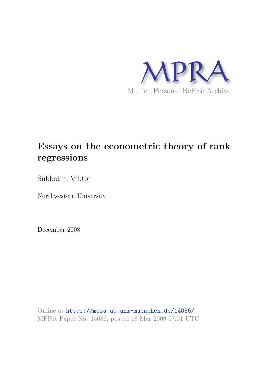

# **Essays on the econometric theory of rank regressions**

Subbotin, Viktor

Northwestern University

December 2008

Online at https://mpra.ub.uni-muenchen.de/14086/ MPRA Paper No. 14086, posted 18 Mar 2009 07:01 UTC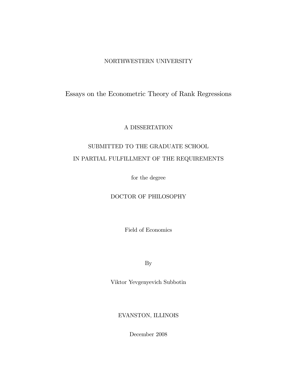## NORTHWESTERN UNIVERSITY

## Essays on the Econometric Theory of Rank Regressions

#### A DISSERTATION

# SUBMITTED TO THE GRADUATE SCHOOL IN PARTIAL FULFILLMENT OF THE REQUIREMENTS

for the degree

## DOCTOR OF PHILOSOPHY

Field of Economics

By

Viktor Yevgenyevich Subbotin

EVANSTON, ILLINOIS

December 2008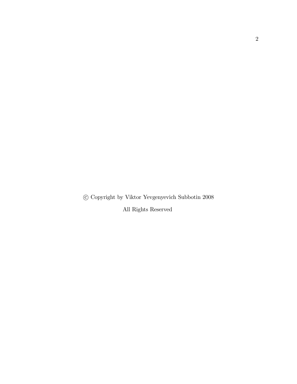c Copyright by Viktor Yevgenyevich Subbotin 2008

All Rights Reserved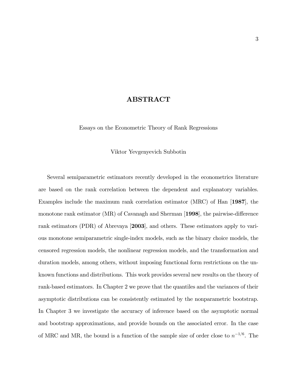### ABSTRACT

Essays on the Econometric Theory of Rank Regressions

Viktor Yevgenyevich Subbotin

Several semiparametric estimators recently developed in the econometrics literature are based on the rank correlation between the dependent and explanatory variables. Examples include the maximum rank correlation estimator (MRC) of Han [1987], the monotone rank estimator ( $MR$ ) of Cavanagh and Sherman [1998], the pairwise-difference rank estimators (PDR) of Abrevaya [2003], and others. These estimators apply to various monotone semiparametric single-index models, such as the binary choice models, the censored regression models, the nonlinear regression models, and the transformation and duration models, among others, without imposing functional form restrictions on the unknown functions and distributions. This work provides several new results on the theory of rank-based estimators. In Chapter 2 we prove that the quantiles and the variances of their asymptotic distributions can be consistently estimated by the nonparametric bootstrap. In Chapter 3 we investigate the accuracy of inference based on the asymptotic normal and bootstrap approximations, and provide bounds on the associated error. In the case of MRC and MR, the bound is a function of the sample size of order close to  $n^{-1/6}$ . The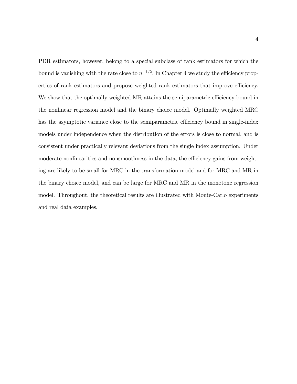PDR estimators, however, belong to a special subclass of rank estimators for which the bound is vanishing with the rate close to  $n^{-1/2}$ . In Chapter 4 we study the efficiency properties of rank estimators and propose weighted rank estimators that improve efficiency. We show that the optimally weighted MR attains the semiparametric efficiency bound in the nonlinear regression model and the binary choice model. Optimally weighted MRC has the asymptotic variance close to the semiparametric efficiency bound in single-index models under independence when the distribution of the errors is close to normal, and is consistent under practically relevant deviations from the single index assumption. Under moderate nonlinearities and nonsmoothness in the data, the efficiency gains from weighting are likely to be small for MRC in the transformation model and for MRC and MR in the binary choice model, and can be large for MRC and MR in the monotone regression model. Throughout, the theoretical results are illustrated with Monte-Carlo experiments and real data examples.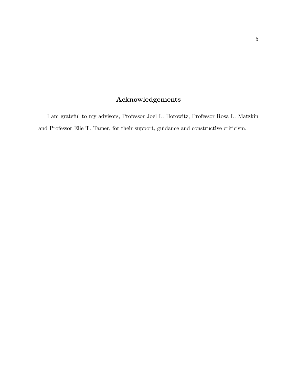# Acknowledgements

I am grateful to my advisors, Professor Joel L. Horowitz, Professor Rosa L. Matzkin and Professor Elie T. Tamer, for their support, guidance and constructive criticism.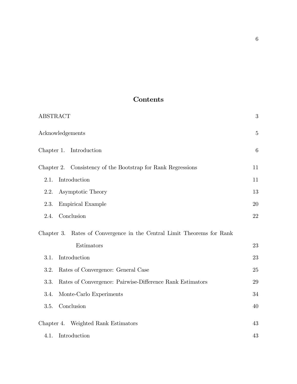# Contents

| <b>ABSTRACT</b>                                                        | $\sqrt{3}$  |
|------------------------------------------------------------------------|-------------|
| Acknowledgements                                                       | $\mathbf 5$ |
| Chapter 1. Introduction                                                | 6           |
| Chapter 2. Consistency of the Bootstrap for Rank Regressions           | 11          |
| Introduction<br>2.1.                                                   | 11          |
| Asymptotic Theory<br>2.2.                                              | 13          |
| 2.3.<br><b>Empirical Example</b>                                       | 20          |
| Conclusion<br>2.4.                                                     | 22          |
| Chapter 3. Rates of Convergence in the Central Limit Theorems for Rank |             |
| Estimators                                                             | 23          |
| Introduction<br>3.1.                                                   | 23          |
| 3.2.<br>Rates of Convergence: General Case                             | 25          |
| Rates of Convergence: Pairwise-Difference Rank Estimators<br>3.3.      | 29          |
| Monte-Carlo Experiments<br>3.4.                                        | 34          |
| Conclusion<br>3.5.                                                     | 40          |
| Chapter 4. Weighted Rank Estimators                                    | 43          |
| 4.1.<br>Introduction                                                   | 43          |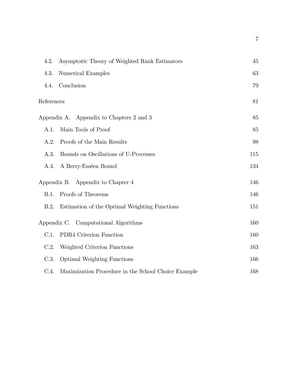| 4.2.       | Asymptotic Theory of Weighted Rank Estimators       | 45  |
|------------|-----------------------------------------------------|-----|
| 4.3.       | Numerical Examples                                  | 63  |
| 4.4.       | Conclusion                                          | 79  |
| References |                                                     | 81  |
|            | Appendix A. Appendix to Chapters 2 and 3            | 85  |
| A.1.       | Main Tools of Proof                                 | 85  |
| A.2.       | Proofs of the Main Results                          | 98  |
| A.3.       | Bounds on Oscillations of U-Processes               | 115 |
| A.4.       | A Berry-Esséen Bound                                | 134 |
|            | Appendix B. Appendix to Chapter 4                   | 146 |
| B.1.       | Proofs of Theorems                                  | 146 |
| B.2.       | Estimation of the Optimal Weighting Functions       | 151 |
|            | Appendix C. Computational Algorithms                | 160 |
| C.1.       | PDR4 Criterion Function                             | 160 |
| C.2.       | Weighted Criterion Functions                        | 163 |
| C.3.       | <b>Optimal Weighting Functions</b>                  | 166 |
| C.4.       | Maximization Procedure in the School Choice Example | 168 |

7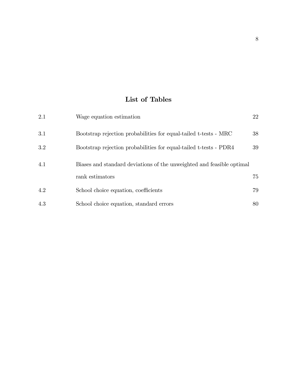# List of Tables

| 2.1 | Wage equation estimation                                              | 22 |
|-----|-----------------------------------------------------------------------|----|
| 3.1 | Bootstrap rejection probabilities for equal-tailed t-tests - MRC      | 38 |
| 3.2 | Bootstrap rejection probabilities for equal-tailed t-tests - PDR4     | 39 |
| 4.1 | Biases and standard deviations of the unweighted and feasible optimal |    |
|     | rank estimators                                                       | 75 |
| 4.2 | School choice equation, coefficients                                  | 79 |
| 4.3 | School choice equation, standard errors                               | 80 |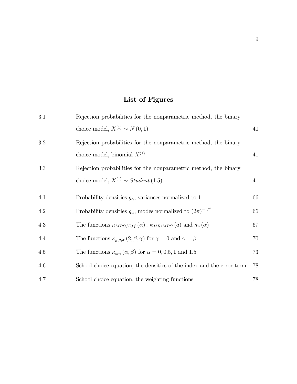# List of Figures

| 3.1 | Rejection probabilities for the nonparametric method, the binary                            |    |
|-----|---------------------------------------------------------------------------------------------|----|
|     | choice model, $X^{(1)} \sim N(0, 1)$                                                        | 40 |
| 3.2 | Rejection probabilities for the nonparametric method, the binary                            |    |
|     | choice model, binomial $X^{(1)}$                                                            | 41 |
| 3.3 | Rejection probabilities for the nonparametric method, the binary                            |    |
|     | choice model, $X^{(1)} \sim Student(1.5)$                                                   | 41 |
| 4.1 | Probability densities $g_{\alpha}$ , variances normalized to 1                              | 66 |
| 4.2 | Probability densities $g_{\alpha}$ , modes normalized to $(2\pi)^{-1/2}$                    | 66 |
| 4.3 | The functions $\kappa_{MRC/Eff}(\alpha)$ , $\kappa_{MR/MRC}(\alpha)$ and $\kappa_g(\alpha)$ | 67 |
| 4.4 | The functions $\kappa_{g,\mu,\sigma}(2,\beta,\gamma)$ for $\gamma=0$ and $\gamma=\beta$     | 70 |
| 4.5 | The functions $\kappa_{bin}(\alpha, \beta)$ for $\alpha = 0, 0.5, 1$ and 1.5                | 73 |
| 4.6 | School choice equation, the densities of the index and the error term                       | 78 |
| 4.7 | School choice equation, the weighting functions                                             | 78 |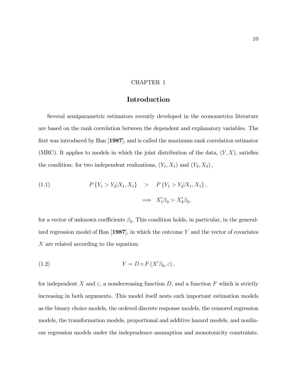#### CHAPTER 1

#### Introduction

Several semiparametric estimators recently developed in the econometrics literature are based on the rank correlation between the dependent and explanatory variables. The first was introduced by Han  $[1987]$ , and is called the maximum rank correlation estimator (MRC). It applies to models in which the joint distribution of the data,  $(Y, X)$ , satisfies the condition: for two independent realizations,  $(Y_1, X_1)$  and  $(Y_2, X_2)$ ,

(1.1) 
$$
P\{Y_1 > Y_2 | X_1, X_1\} > P\{Y_1 > Y_2 | X_1, X_1\},\
$$

$$
\implies X'_1 \beta_0 > X'_2 \beta_0,
$$

for a vector of unknown coefficients  $\beta_0$ . This condition holds, in particular, in the generalized regression model of Han  $[1987]$ , in which the outcome Y and the vector of covariates X are related according to the equation:

(1.2) 
$$
Y = D \circ F(X'\beta_0, \varepsilon),
$$

for independent X and  $\varepsilon$ , a nondecreasing function D, and a function F which is strictly increasing in both arguments. This model itself nests such important estimation models as the binary choice models, the ordered discrete response models, the censored regression models, the transformation models, proportional and additive hazard models, and nonlinear regression models under the independence assumption and monotonicity constraints.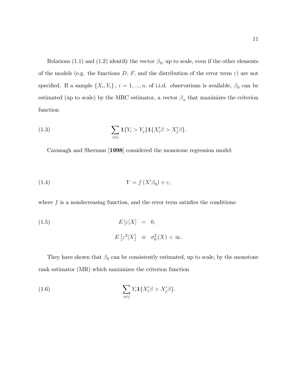Relations (1.1) and (1.2) identify the vector  $\beta_0$ , up to scale, even if the other elements of the models (e.g. the functions D, F, and the distribution of the error term  $\varepsilon$ ) are not specified. If a sample  $\{X_i, Y_i\}$ ,  $i = 1, ..., n$ , of i.i.d. observations is available,  $\beta_0$  can be estimated (up to scale) by the MRC estimator, a vector  $\beta_n$  that maximizes the criterion function

(1.3) 
$$
\sum_{i \neq j} \mathbf{1}\{Y_i > Y_j\} \mathbf{1}\{X'_i \beta > X'_j \beta\}.
$$

Cavanagh and Sherman [1998] considered the monotone regression model:

(1.4) 
$$
Y = f(X'\beta_0) + \varepsilon,
$$

where  $f$  is a nondecreasing function, and the error term satisfies the conditions:

(1.5) 
$$
E\left[\varepsilon|X\right] = 0,
$$

$$
E\left[\varepsilon^2|X\right] \equiv \sigma_0^2(X) < \infty.
$$

They have shown that  $\beta_0$  can be consistently estimated, up to scale, by the monotone rank estimator (MR) which maximizes the criterion function

(1.6) 
$$
\sum_{i \neq j} Y_i \mathbf{1} \{ X_i' \beta > X_j' \beta \}.
$$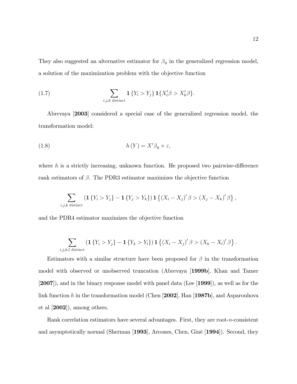They also suggested an alternative estimator for  $\beta_0$  in the generalized regression model, a solution of the maximization problem with the objective function

(1.7) 
$$
\sum_{i,j,k \text{ distinct}} \mathbf{1} \{Y_i > Y_j\} \mathbf{1} \{X'_i \beta > X'_k \beta\}.
$$

Abrevaya [2003] considered a special case of the generalized regression model, the transformation model:

(1.8) 
$$
h(Y) = X'\beta_0 + \varepsilon,
$$

where  $h$  is a strictly increasing, unknown function. He proposed two pairwise-difference rank estimators of  $\beta$ . The PDR3 estimator maximizes the objective function

$$
\sum_{i,j,k \text{ distinct}} (\mathbf{1}\{Y_i > Y_j\} - \mathbf{1}\{Y_j > Y_k\}) \mathbf{1}\left\{ (X_i - X_j)' \beta > (X_j - X_k)' \beta \right\},\,
$$

and the PDR4 estimator maximizes the objective function

$$
\sum_{i,j,k,l \text{ distinct}} \left( \mathbf{1} \left\{ Y_i > Y_j \right\} - \mathbf{1} \left\{ Y_k > Y_l \right\} \right) \mathbf{1} \left\{ \left( X_i - X_j \right)' \beta > \left( X_k - X_l \right)' \beta \right\}.
$$

Estimators with a similar structure have been proposed for  $\beta$  in the transformation model with observed or unobserved truncation (Abrevaya [1999b], Khan and Tamer [2007]), and in the binary response model with panel data (Lee [1999]), as well as for the link function h in the transformation model (Chen  $[2002]$ , Han  $[1987b]$ , and Asparouhova et al [2002]), among others.

Rank correlation estimators have several advantages. First, they are root-n-consistent and asymptotically normal (Sherman [1993], Arcones, Chen, GinÈ [1994]). Second, they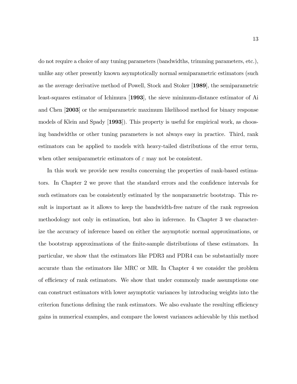do not require a choice of any tuning parameters (bandwidths, trimming parameters, etc.), unlike any other presently known asymptotically normal semiparametric estimators (such as the average derivative method of Powell, Stock and Stoker [1989], the semiparametric least-squares estimator of Ichimura [1993], the sieve minimum-distance estimator of Ai and Chen [2003] or the semiparametric maximum likelihood method for binary response models of Klein and Spady [1993]). This property is useful for empirical work, as choosing bandwidths or other tuning parameters is not always easy in practice. Third, rank estimators can be applied to models with heavy-tailed distributions of the error term, when other semiparametric estimators of  $\varepsilon$  may not be consistent.

In this work we provide new results concerning the properties of rank-based estimators. In Chapter 2 we prove that the standard errors and the confidence intervals for such estimators can be consistently estimated by the nonparametric bootstrap. This result is important as it allows to keep the bandwidth-free nature of the rank regression methodology not only in estimation, but also in inference. In Chapter 3 we characterize the accuracy of inference based on either the asymptotic normal approximations, or the bootstrap approximations of the Önite-sample distributions of these estimators. In particular, we show that the estimators like PDR3 and PDR4 can be substantially more accurate than the estimators like MRC or MR. In Chapter 4 we consider the problem of efficiency of rank estimators. We show that under commonly made assumptions one can construct estimators with lower asymptotic variances by introducing weights into the criterion functions defining the rank estimators. We also evaluate the resulting efficiency gains in numerical examples, and compare the lowest variances achievable by this method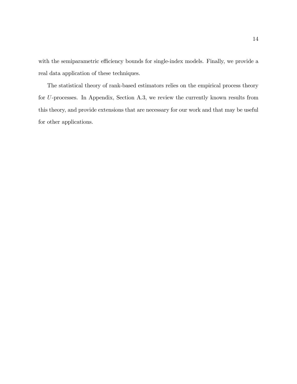with the semiparametric efficiency bounds for single-index models. Finally, we provide a real data application of these techniques.

The statistical theory of rank-based estimators relies on the empirical process theory for U-processes. In Appendix, Section A.3, we review the currently known results from this theory, and provide extensions that are necessary for our work and that may be useful for other applications.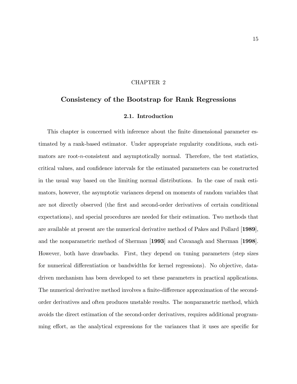#### CHAPTER 2

## Consistency of the Bootstrap for Rank Regressions

#### 2.1. Introduction

This chapter is concerned with inference about the finite dimensional parameter estimated by a rank-based estimator. Under appropriate regularity conditions, such estimators are root-n-consistent and asymptotically normal. Therefore, the test statistics, critical values, and conÖdence intervals for the estimated parameters can be constructed in the usual way based on the limiting normal distributions. In the case of rank estimators, however, the asymptotic variances depend on moments of random variables that are not directly observed (the first and second-order derivatives of certain conditional expectations), and special procedures are needed for their estimation. Two methods that are available at present are the numerical derivative method of Pakes and Pollard [1989], and the nonparametric method of Sherman [1993] and Cavanagh and Sherman [1998]. However, both have drawbacks. First, they depend on tuning parameters (step sizes for numerical differentiation or bandwidths for kernel regressions). No objective, datadriven mechanism has been developed to set these parameters in practical applications. The numerical derivative method involves a finite-difference approximation of the secondorder derivatives and often produces unstable results. The nonparametric method, which avoids the direct estimation of the second-order derivatives, requires additional programming effort, as the analytical expressions for the variances that it uses are specific for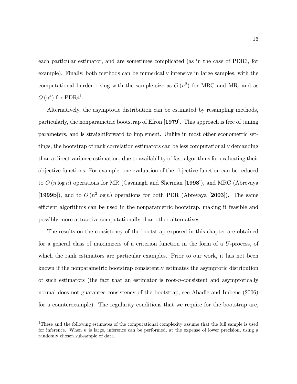each particular estimator, and are sometimes complicated (as in the case of PDR3, for example). Finally, both methods can be numerically intensive in large samples, with the computational burden rising with the sample size as  $O(n^2)$  for MRC and MR, and as  $O(n^4)$  for PDR4<sup>1</sup>.

Alternatively, the asymptotic distribution can be estimated by resampling methods, particularly, the nonparametric bootstrap of Efron [1979]. This approach is free of tuning parameters, and is straightforward to implement. Unlike in most other econometric settings, the bootstrap of rank correlation estimators can be less computationally demanding than a direct variance estimation, due to availability of fast algorithms for evaluating their objective functions. For example, one evaluation of the objective function can be reduced to  $O(n \log n)$  operations for MR (Cavanagh and Sherman [1998]), and MRC (Abrevaya [1999b]), and to  $O(n^2 \log n)$  operations for both PDR (Abrevaya [2003]). The same efficient algorithms can be used in the nonparametric bootstrap, making it feasible and possibly more attractive computationally than other alternatives.

The results on the consistency of the bootstrap exposed in this chapter are obtained for a general class of maximizers of a criterion function in the form of a U-process, of which the rank estimators are particular examples. Prior to our work, it has not been known if the nonparametric bootstrap consistently estimates the asymptotic distribution of such estimators (the fact that an estimator is root-n-consistent and asymptotically normal does not guarantee consistency of the bootstrap, see Abadie and Imbens (2006) for a counterexample). The regularity conditions that we require for the bootstrap are,

<sup>&</sup>lt;sup>1</sup>These and the following estimates of the computational complexity assume that the full sample is used for inference. When  $n$  is large, inference can be performed, at the expense of lower precision, using a randomly chosen subsample of data.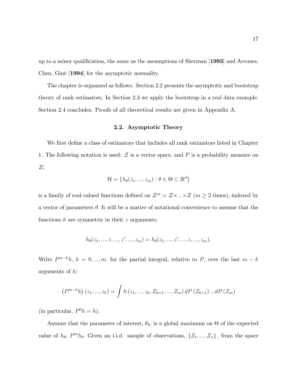up to a minor qualification, the same as the assumptions of Sherman [1993] and Arcones, Chen, Giné [1994] for the asymptotic normality.

The chapter is organized as follows. Section 2.2 presents the asymptotic and bootstrap theory of rank estimators. In Section 2.3 we apply the bootstrap in a real data example. Section 2.4 concludes. Proofs of all theoretical results are given in Appendix A.

#### 2.2. Asymptotic Theory

We first define a class of estimators that includes all rank estimators listed in Chapter 1. The following notation is used:  $\mathcal Z$  is a vector space, and  $P$  is a probability measure on  $\mathcal{Z};$ 

$$
\mathcal{H} = \{h_{\theta}(z_1, ..., z_m) : \theta \in \Theta \subset \mathbb{R}^d\}
$$

is a family of real-valued functions defined on  $\mathcal{Z}^m = \mathcal{Z} \times ... \times \mathcal{Z}$  ( $m \geq 2$  times), indexed by a vector of parameters  $\theta$ . It will be a matter of notational convenience to assume that the functions  $h$  are symmetric in their  $z$  arguments:

$$
h_{\theta}(z_1, ..., z, ..., z', ..., z_m) = h_{\theta}(z_1, ..., z', ..., z, ..., z_m).
$$

Write  $P^{m-k}h$ ,  $k = 0, ..., m$ , for the partial integral, relative to P, over the last  $m - k$ arguments of h:

$$
(P^{m-k}h)(z_1,...,z_k) = \int h(z_1,...,z_k, Z_{k+1},..., Z_m) dP(Z_{k+1})...dP(Z_m)
$$

(in particular,  $P^0 h = h$ ).

Assume that the parameter of interest,  $\theta_0$ , is a global maximum on  $\Theta$  of the expected value of  $h_{\theta}$ ,  $P^{m}h_{\theta}$ . Given an i.i.d. sample of observations,  $\{Z_{1},...,Z_{n}\}$ , from the space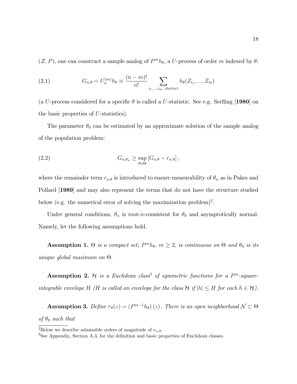$(\mathcal{Z}, P)$ , one can construct a sample analog of  $P^m h_{\theta}$ , a U-process of order m indexed by  $\theta$ :

(2.1) 
$$
G_{n,\theta} = U_n^{(m)} h_{\theta} \equiv \frac{(n-m)!}{n!} \sum_{i_1,...,i_m, \text{ distinct}} h_{\theta}(Z_{i_1},...,Z_m)
$$

(a U-process considered for a specific  $\theta$  is called a U-statistic. See e.g. Serfling [1980] on the basic properties of U-statistics).

The parameter  $\theta_0$  can be estimated by an approximate solution of the sample analog of the population problem:

(2.2) 
$$
G_{n,\theta_n} \geq \sup_{\theta \in \Theta} [G_{n,\theta} - r_{n,\theta}],
$$

where the remainder term  $r_{n,\theta}$  is introduced to ensure measurability of  $\theta_n$  as in Pakes and Pollard [1989] and may also represent the terms that do not have the structure studied below (e.g. the numerical error of solving the maximization problem)<sup>2</sup>.

Under general conditions,  $\theta_n$  is root-*n*-consistent for  $\theta_0$  and asymptotically normal. Namely, let the following assumptions hold.

Assumption 1.  $\Theta$  is a compact set;  $P^m h_{\theta}$ ,  $m \geq 2$ , is continuous on  $\Theta$  and  $\theta_0$  is its unique global maximum on  $\Theta$ .

**Assumption 2.** H is a Euclidean class<sup>3</sup> of symmetric functions for a  $P^m$ -squareintegrable envelope H (H is called an envelope for the class  $\mathcal{H}$  if  $|h| \leq H$  for each  $h \in \mathcal{H}$ ).

**Assumption 3.** Define  $\tau_{\theta}(z) = (P^{m-1}h_{\theta})(z)$ . There is an open neighborhood  $\mathcal{N} \subset \Theta$ of  $\theta_0$  such that

 $\overline{^{2}}$ Below we describe admissible orders of magnitude of  $r_{n,\theta}$ .

 ${}^{3}$ See Appendix, Section A.3, for the definition and basic properties of Euclidean classes.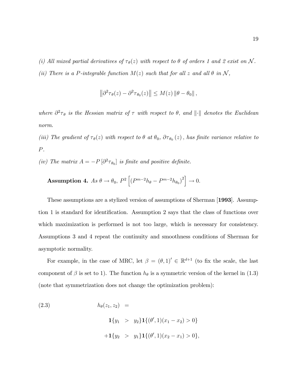(i) All mixed partial derivatives of  $\tau_{\theta}(z)$  with respect to  $\theta$  of orders 1 and 2 exist on N. (ii) There is a P-integrable function  $M(z)$  such that for all z and all  $\theta$  in  $\mathcal{N}$ ,

$$
\left\|\partial^2\tau_{\theta}(z)-\partial^2\tau_{\theta_0}(z)\right\|\leq M(z)\left\|\theta-\theta_0\right\|,
$$

where  $\partial^2 \tau_{\theta}$  is the Hessian matrix of  $\tau$  with respect to  $\theta$ , and  $\|\cdot\|$  denotes the Euclidean norm.

(iii) The gradient of  $\tau_{\theta}(z)$  with respect to  $\theta$  at  $\theta_0$ ,  $\partial \tau_{\theta_0}(z)$ , has finite variance relative to P.

(iv) The matrix  $A = -P\left[\partial^2 \tau_{\theta_0}\right]$  is finite and positive definite.

**Assumption 4.** As 
$$
\theta \to \theta_0
$$
,  $P^2 \left[ \left( P^{m-2} h_{\theta} - P^{m-2} h_{\theta_0} \right)^2 \right] \to 0$ .

These assumptions are a stylized version of assumptions of Sherman [1993]. Assumption 1 is standard for identification. Assumption 2 says that the class of functions over which maximization is performed is not too large, which is necessary for consistency. Assumptions 3 and 4 repeat the continuity and smoothness conditions of Sherman for asymptotic normality.

For example, in the case of MRC, let  $\beta = (\theta, 1)' \in \mathbb{R}^{d+1}$  (to fix the scale, the last component of  $\beta$  is set to 1). The function  $h_{\theta}$  is a symmetric version of the kernel in (1.3) (note that symmetrization does not change the optimization problem):

(2.3) 
$$
h_{\theta}(z_1, z_2) =
$$

$$
\mathbf{1}\{y_1 > y_2\} \mathbf{1}\{(\theta', 1)(x_1 - x_2) > 0\}
$$

$$
+ \mathbf{1}\{y_2 > y_1\} \mathbf{1}\{(\theta', 1)(x_2 - x_1) > 0\},
$$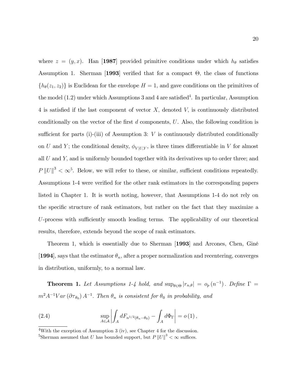where  $z = (y, x)$ . Han [1987] provided primitive conditions under which  $h_{\theta}$  satisfies Assumption 1. Sherman [1993] verified that for a compact  $\Theta$ , the class of functions  $\{h_{\theta}(z_1, z_2)\}\$ is Euclidean for the envelope  $H = 1$ , and gave conditions on the primitives of the model  $(1.2)$  under which Assumptions 3 and 4 are satisfied<sup>4</sup>. In particular, Assumption 4 is satisfied if the last component of vector  $X$ , denoted  $V$ , is continuously distributed conditionally on the vector of the first  $d$  components,  $U$ . Also, the following condition is sufficient for parts (i)-(iii) of Assumption 3:  $V$  is continuously distributed conditionally on U and Y; the conditional density,  $\phi_{V|U,Y}$ , is three times differentiable in V for almost all  $U$  and  $Y$ , and is uniformly bounded together with its derivatives up to order three; and  $P||U||^3 < \infty^5$ . Below, we will refer to these, or similar, sufficient conditions repeatedly. Assumptions 1-4 were verified for the other rank estimators in the corresponding papers listed in Chapter 1. It is worth noting, however, that Assumptions 1-4 do not rely on the specific structure of rank estimators, but rather on the fact that they maximize a  $U$ -process with sufficiently smooth leading terms. The applicability of our theoretical results, therefore, extends beyond the scope of rank estimators.

Theorem 1, which is essentially due to Sherman [1993] and Arcones, Chen, Giné [1994], says that the estimator  $\theta_n$ , after a proper normalization and recentering, converges in distribution, uniformly, to a normal law.

**Theorem 1.** Let Assumptions 1-4 hold, and  $\sup_{\theta \in \Theta} |r_{n,\theta}| = o_p(n^{-1})$ . Define  $\Gamma =$  $m^2A^{-1}Var\left(\partial\tau_{\theta_0}\right)A^{-1}$ . Then  $\theta_n$  is consistent for  $\theta_0$  in probability, and

(2.4) 
$$
\sup_{A\in\mathcal{A}}\left|\int_A dF_{n^{1/2}(\theta_n-\theta_0)}-\int_A d\Phi_{\Gamma}\right|=o(1),
$$

<sup>4</sup>With the exception of Assumption 3 (iv), see Chapter 4 for the discussion.

<sup>&</sup>lt;sup>5</sup>Sherman assumed that U has bounded support, but  $P||U||^3 < \infty$  suffices.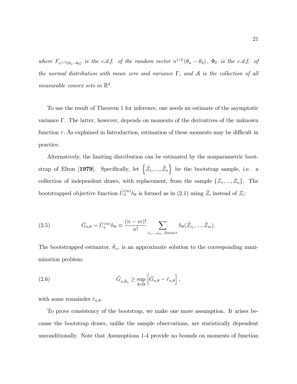where  $F_{n^{1/2}(\theta_n-\theta_0)}$  is the c.d.f. of the random vector  $n^{1/2}(\theta_n-\theta_0)$ ,  $\Phi_{\Gamma}$  is the c.d.f. of the normal distribution with mean zero and variance  $\Gamma$ , and  $\mathcal A$  is the collection of all measurable convex sets in  $\mathbb{R}^d$ .

To use the result of Theorem 1 for inference, one needs an estimate of the asymptotic variance  $\Gamma$ . The latter, however, depends on moments of the derivatives of the unknown function  $\tau$ . As explained in Introduction, estimation of these moments may be difficult in practice.

Alternatively, the limiting distribution can be estimated by the nonparametric bootstrap of Efron [1979]. Specifically, let  $\{\hat{Z}_1, ..., \hat{Z}_n\}$  be the bootstrap sample, i.e. a collection of independent draws, with replacement, from the sample  $\{Z_1, ..., Z_n\}$ . The bootstrapped objective function  $\hat{U}_n^{(m)} h_\theta$  is formed as in (2.1) using  $\hat{Z}_i$  instead of  $Z_i$ :

(2.5) 
$$
\hat{G}_{n,\theta} = \hat{U}_n^{(m)} h_{\theta} \equiv \frac{(n-m)!}{n!} \sum_{i_1,...,i_m, \text{ distinct}} h_{\theta}(\hat{Z}_{i_1},...,\hat{Z}_m).
$$

The bootstrapped estimator,  $\hat{\theta}_n$ , is an approximate solution to the corresponding maximization problem:

(2.6) 
$$
\hat{G}_{n,\hat{\theta}_n} \geq \sup_{\theta \in \Theta} \left[ \hat{G}_{n,\theta} - \hat{r}_{n,\theta} \right],
$$

with some remainder  $\hat{r}_{n,\theta}$ .

To prove consistency of the bootstrap, we make one more assumption. It arises because the bootstrap draws, unlike the sample observations, are statistically dependent unconditionally. Note that Assumptions 1-4 provide no bounds on moments of function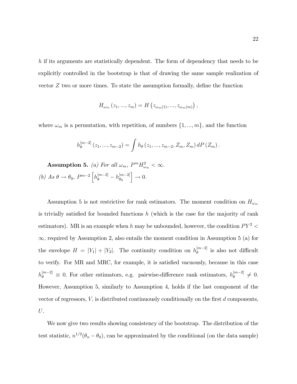h if its arguments are statistically dependent. The form of dependency that needs to be explicitly controlled in the bootstrap is that of drawing the same sample realization of vector  $Z$  two or more times. To state the assumption formally, define the function

$$
H_{\omega_m}(z_1, ..., z_m) = H\left(z_{\omega_m(1)}, ..., z_{\omega_m(m)}\right),
$$

where  $\omega_m$  is a permutation, with repetition, of numbers  $\{1, ..., m\}$ , and the function

$$
h_{\theta}^{[m-2]}(z_1,...,z_{m-2}) = \int h_{\theta}(z_1,...,z_{m-2}, Z_m, Z_m) dP(Z_m).
$$

**Assumption 5.** (a) For all  $\omega_m$ ,  $P^m H_{\omega_m}^2 < \infty$ . (b) As  $\theta \to \theta_0$ ,  $P^{m-2} \left[ h_{\theta}^{[m-2]} - h_{\theta_0}^{[m-2]} \right]$  $\theta_0$  $\Big] \rightarrow 0.$ 

Assumption 5 is not restrictive for rank estimators. The moment condition on  $H_{\omega_m}$ is trivially satisfied for bounded functions  $h$  (which is the case for the majority of rank estimators). MR is an example when  $h$  may be unbounded, however, the condition  $PY^2$  <  $\infty$ , required by Assumption 2, also entails the moment condition in Assumption 5 (a) for the envelope  $H = |Y_1| + |Y_2|$ . The continuity condition on  $h_{\theta}^{[m-2]}$  $\int_{\theta}^{m-z_1}$  is also not difficult to verify. For MR and MRC, for example, it is satisfied vacuously, because in this case  $h_{\theta}^{[m-2]} \equiv 0$ . For other estimators, e.g. pairwise-difference rank estimators,  $h_{\theta}^{[m-2]}$  $\frac{m-2}{\theta} \neq 0.$ However, Assumption 5, similarly to Assumption 4, holds if the last component of the vector of regressors,  $V$ , is distributed continuously conditionally on the first  $d$  components, U.

We now give two results showing consistency of the bootstrap. The distribution of the test statistic,  $n^{1/2}(\theta_n - \theta_0)$ , can be approximated by the conditional (on the data sample)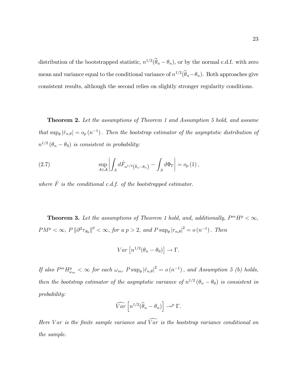distribution of the bootstrapped statistic,  $n^{1/2}(\hat{\theta}_n - \theta_n)$ , or by the normal c.d.f. with zero mean and variance equal to the conditional variance of  $n^{1/2}(\hat{\theta}_n - \theta_n)$ . Both approaches give consistent results, although the second relies on slightly stronger regularity conditions.

**Theorem 2.** Let the assumptions of Theorem 1 and Assumption 5 hold, and assume that  $\sup_{\theta} |\hat{r}_{n,\theta}| = o_p (n^{-1})$ . Then the bootstrap estimator of the asymptotic distribution of  $n^{1/2}(\theta_n - \theta_0)$  is consistent in probability:

(2.7) 
$$
\sup_{A \in \mathcal{A}} \left| \int_A d\hat{F}_{n^{1/2}(\hat{\theta}_n - \theta_n)} - \int_A d\Phi_\Gamma \right| = o_p(1),
$$

where  $\hat{F}$  is the conditional c.d.f. of the bootstrapped estimator.

**Theorem 3.** Let the assumptions of Theorem 1 hold, and, additionally,  $P^mH^p < \infty$ ,  $PM^p < \infty$ ,  $P \Vert \partial^2 \tau_{\theta_0} \Vert^p < \infty$ , for a  $p > 2$ , and  $P \sup_{\theta} |r_{n,\theta}|^2 = o(n^{-1})$ . Then

$$
Var\left[n^{1/2}(\theta_n - \theta_0)\right] \to \Gamma.
$$

If also  $P^m H_{\omega_m}^p < \infty$  for each  $\omega_m$ ,  $P \sup_{\theta} |\hat{r}_{n,\theta}|^2 = o(n^{-1})$ , and Assumption 5 (b) holds, then the bootstrap estimator of the asymptotic variance of  $n^{1/2}(\theta_n - \theta_0)$  is consistent in probability:

$$
\widehat{Var}\left[n^{1/2}(\widehat{\theta}_n - \theta_n)\right] \to^p \Gamma.
$$

Here V ar is the finite sample variance and  $\widehat{Var}$  is the bootstrap variance conditional on the sample.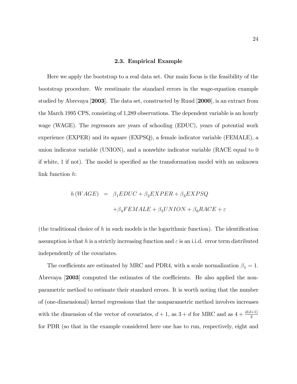#### 2.3. Empirical Example

Here we apply the bootstrap to a real data set. Our main focus is the feasibility of the bootstrap procedure. We reestimate the standard errors in the wage-equation example studied by Abrevaya [2003]. The data set, constructed by Ruud [2000], is an extract from the March 1995 CPS, consisting of 1,289 observations. The dependent variable is an hourly wage (WAGE). The regressors are years of schooling (EDUC), years of potential work experience (EXPER) and its square (EXPSQ), a female indicator variable (FEMALE), a union indicator variable (UNION), and a nonwhite indicator variable (RACE equal to 0 if white, 1 if not). The model is specified as the transformation model with an unknown link function h:

$$
h(WAGE) = \beta_1 E DUC + \beta_2 EXPER + \beta_3 EXPSQ
$$

$$
+ \beta_4 F E MALE + \beta_5 UNION + \beta_6 RACE + \varepsilon
$$

(the traditional choice of h in such models is the logarithmic function). The identification assumption is that h is a strictly increasing function and  $\varepsilon$  is an i.i.d. error term distributed independently of the covariates.

The coefficients are estimated by MRC and PDR4, with a scale normalization  $\beta_1 = 1.$ Abrevaya  $[2003]$  computed the estimates of the coefficients. He also applied the nonparametric method to estimate their standard errors. It is worth noting that the number of (one-dimensional) kernel regressions that the nonparametric method involves increases with the dimension of the vector of covariates,  $d+1$ , as  $3+d$  for MRC and as  $4+\frac{d(d+1)}{2}$ for PDR (so that in the example considered here one has to run, respectively, eight and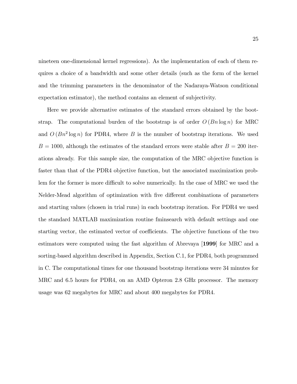nineteen one-dimensional kernel regressions). As the implementation of each of them requires a choice of a bandwidth and some other details (such as the form of the kernel and the trimming parameters in the denominator of the Nadaraya-Watson conditional expectation estimator), the method contains an element of subjectivity.

Here we provide alternative estimates of the standard errors obtained by the bootstrap. The computational burden of the bootstrap is of order  $O(Bn \log n)$  for MRC and  $O(Bn^2 \log n)$  for PDR4, where B is the number of bootstrap iterations. We used  $B = 1000$ , although the estimates of the standard errors were stable after  $B = 200$  iterations already. For this sample size, the computation of the MRC objective function is faster than that of the PDR4 objective function, but the associated maximization problem for the former is more difficult to solve numerically. In the case of MRC we used the Nelder-Mead algorithm of optimization with five different combinations of parameters and starting values (chosen in trial runs) in each bootstrap iteration. For PDR4 we used the standard MATLAB maximization routine fminsearch with default settings and one starting vector, the estimated vector of coefficients. The objective functions of the two estimators were computed using the fast algorithm of Abrevaya [1999] for MRC and a sorting-based algorithm described in Appendix, Section C.1, for PDR4, both programmed in C. The computational times for one thousand bootstrap iterations were 34 minutes for MRC and 6.5 hours for PDR4, on an AMD Opteron 2.8 GHz processor. The memory usage was 62 megabytes for MRC and about 400 megabytes for PDR4.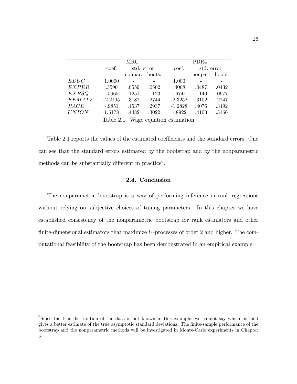|               | MRC       |            |        | PDR <sub>4</sub> |            |        |
|---------------|-----------|------------|--------|------------------|------------|--------|
|               | coef.     | std. error |        | coef.            | std. error |        |
|               |           | nonpar.    | boots. |                  | nonpar.    | boots. |
| EDUC          | 1.0000    |            |        | 1.000            |            |        |
| <b>EXPER</b>  | .3590     | .0559      | .0502  | .4068            | .0487      | .0432  |
| <b>EXRSQ</b>  | $-.5965$  | .1251      | .1123  | $-.6741$         | .1140      | .0977  |
| <b>FEMALE</b> | $-2.2105$ | .3187      | .2744  | $-2.3252$        | .3102      | .2747  |
| RACE          | $-.9851$  | .4537      | .2937  | $-1.2828$        | .4076      | .3492  |
| <b>UNION</b>  | 1.5178    | .4482      | .3022  | 1.8922           | .4103      | .3166  |

Table 2.1. Wage equation estimation

Table 2.1 reports the values of the estimated coefficients and the standard errors. One can see that the standard errors estimated by the bootstrap and by the nonparametric methods can be substantially different in practice<sup>6</sup>.

### 2.4. Conclusion

The nonparametric bootstrap is a way of performing inference in rank regressions without relying on subjective choices of tuning parameters. In this chapter we have established consistency of the nonparametric bootstrap for rank estimators and other finite-dimensional estimators that maximize  $U$ -processes of order 2 and higher. The computational feasibility of the bootstrap has been demonstrated in an empirical example.

<sup>&</sup>lt;sup>6</sup>Since the true distribution of the data is not known in this example, we cannot say which method gives a better estimate of the true asymptotic standard deviations. The finite-sample performance of the bootstrap and the nonparametric methods will be investigated in Monte-Carlo experiments in Chapter 3.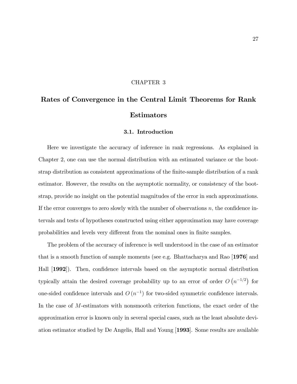#### CHAPTER 3

# Rates of Convergence in the Central Limit Theorems for Rank Estimators

#### 3.1. Introduction

Here we investigate the accuracy of inference in rank regressions. As explained in Chapter 2, one can use the normal distribution with an estimated variance or the bootstrap distribution as consistent approximations of the Önite-sample distribution of a rank estimator. However, the results on the asymptotic normality, or consistency of the bootstrap, provide no insight on the potential magnitudes of the error in such approximations. If the error converges to zero slowly with the number of observations  $n$ , the confidence intervals and tests of hypotheses constructed using either approximation may have coverage probabilities and levels very different from the nominal ones in finite samples.

The problem of the accuracy of inference is well understood in the case of an estimator that is a smooth function of sample moments (see e.g. Bhattacharya and Rao [1976] and Hall [1992]). Then, confidence intervals based on the asymptotic normal distribution typically attain the desired coverage probability up to an error of order  $O(n^{-1/2})$  for one-sided confidence intervals and  $O(n^{-1})$  for two-sided symmetric confidence intervals. In the case of M-estimators with nonsmooth criterion functions, the exact order of the approximation error is known only in several special cases, such as the least absolute deviation estimator studied by De Angelis, Hall and Young [1993]. Some results are available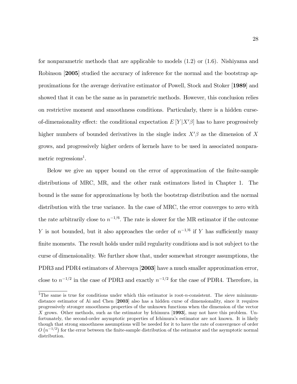for nonparametric methods that are applicable to models (1.2) or (1.6). Nishiyama and Robinson [2005] studied the accuracy of inference for the normal and the bootstrap approximations for the average derivative estimator of Powell, Stock and Stoker [1989] and showed that it can be the same as in parametric methods. However, this conclusion relies on restrictive moment and smoothness conditions. Particularly, there is a hidden curseof-dimensionality effect: the conditional expectation  $E[Y|X'\beta]$  has to have progressively higher numbers of bounded derivatives in the single index  $X'\beta$  as the dimension of X grows, and progressively higher orders of kernels have to be used in associated nonparametric regressions<sup>1</sup>.

Below we give an upper bound on the error of approximation of the Önite-sample distributions of MRC, MR, and the other rank estimators listed in Chapter 1. The bound is the same for approximations by both the bootstrap distribution and the normal distribution with the true variance. In the case of MRC, the error converges to zero with the rate arbitrarily close to  $n^{-1/6}$ . The rate is slower for the MR estimator if the outcome Y is not bounded, but it also approaches the order of  $n^{-1/6}$  if Y has sufficiently many finite moments. The result holds under mild regularity conditions and is not subject to the curse of dimensionality. We further show that, under somewhat stronger assumptions, the PDR3 and PDR4 estimators of Abrevaya [2003] have a much smaller approximation error, close to  $n^{-1/2}$  in the case of PDR3 and exactly  $n^{-1/2}$  for the case of PDR4. Therefore, in

<sup>&</sup>lt;sup>1</sup>The same is true for conditions under which this estimator is root-*n*-consistent. The sieve minimumdistance estimator of Ai and Chen [2003] also has a hidden curse of dimensionality, since it requires progressively stronger smoothness properties of the unknown functions when the dimension of the vector X grows. Other methods, such as the estimator by Ichimura [1993], may not have this problem. Unfortunately, the second-order asymptotic properties of Ichimuraís estimator are not known. It is likely though that strong smoothness assumptions will be needed for it to have the rate of convergence of order  $O(n^{-1/2})$  for the error between the finite-sample distribution of the estimator and the asymptotic normal distribution.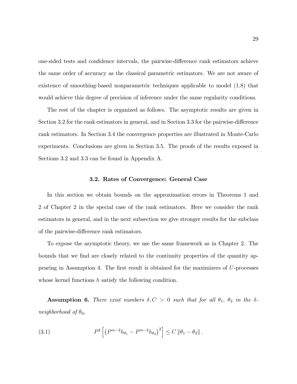one-sided tests and confidence intervals, the pairwise-difference rank estimators achieve the same order of accuracy as the classical parametric estimators. We are not aware of existence of smoothing-based nonparametric techniques applicable to model (1.8) that would achieve this degree of precision of inference under the same regularity conditions.

The rest of the chapter is organized as follows. The asymptotic results are given in Section 3.2 for the rank estimators in general, and in Section 3.3 for the pairwise-difference rank estimators. In Section 3.4 the convergence properties are illustrated in Monte-Carlo experiments. Conclusions are given in Section 3.5. The proofs of the results exposed in Sections 3.2 and 3.3 can be found in Appendix A.

#### 3.2. Rates of Convergence: General Case

In this section we obtain bounds on the approximation errors in Theorems 1 and 2 of Chapter 2 in the special case of the rank estimators. Here we consider the rank estimators in general, and in the next subsection we give stronger results for the subclass of the pairwise-difference rank estimators.

To expose the asymptotic theory, we use the same framework as in Chapter 2. The bounds that we find are closely related to the continuity properties of the quantity appearing in Assumption 4. The first result is obtained for the maximizers of  $U$ -processes whose kernel functions  $h$  satisfy the following condition.

**Assumption 6.** There exist numbers  $\delta, C > 0$  such that for all  $\theta_1$ ,  $\theta_2$  in the  $\delta$ neighborhood of  $\theta_0$ ,

(3.1) 
$$
P^2 \left[ \left( P^{m-2} h_{\theta_1} - P^{m-2} h_{\theta_2} \right)^2 \right] \leq C \left\| \theta_1 - \theta_2 \right\|.
$$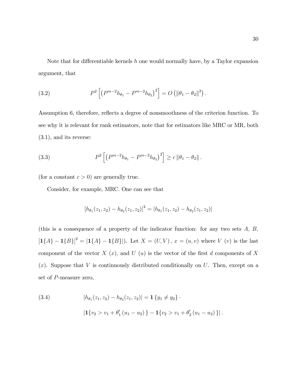Note that for differentiable kernels  $h$  one would normally have, by a Taylor expansion argument, that

(3.2) 
$$
P^2 \left[ \left( P^{m-2} h_{\theta_1} - P^{m-2} h_{\theta_2} \right)^2 \right] = O \left( \|\theta_1 - \theta_2\|^2 \right).
$$

Assumption 6, therefore, reflects a degree of nonsmoothness of the criterion function. To see why it is relevant for rank estimators, note that for estimators like MRC or MR, both (3.1), and its reverse:

(3.3) 
$$
P^2 \left[ \left( P^{m-2} h_{\theta_1} - P^{m-2} h_{\theta_2} \right)^2 \right] \ge c \left\| \theta_1 - \theta_2 \right\|.
$$

(for a constant  $c > 0$ ) are generally true.

Consider, for example, MRC. One can see that

$$
[h_{\theta_1}(z_1, z_2) - h_{\theta_2}(z_1, z_2)]^2 = |h_{\theta_1}(z_1, z_2) - h_{\theta_2}(z_1, z_2)|
$$

(this is a consequence of a property of the indicator function: for any two sets  $A, B$ ,  $[1{A} - 1{B}]^2 = |1{A} - 1{B}|.$  Let  $X = (U, V), x = (u, v)$  where V (v) is the last component of the vector  $X(x)$ , and  $U(x)$  is the vector of the first d components of X  $(x)$ . Suppose that V is continuously distributed conditionally on U. Then, except on a set of P-measure zero,

(3.4) 
$$
|h_{\theta_1}(z_1, z_2) - h_{\theta_2}(z_1, z_2)| = \mathbf{1} \{y_1 \neq y_2\}.
$$

$$
|\mathbf{1} \{v_2 > v_1 + \theta'_1 (u_1 - u_2)\} - \mathbf{1} \{v_2 > v_1 + \theta'_2 (u_1 - u_2)\}|\,.
$$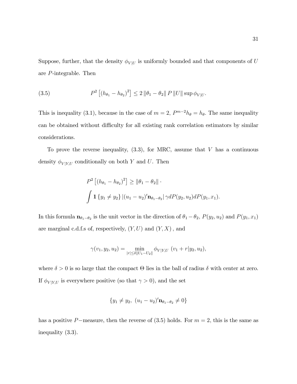Suppose, further, that the density  $\phi_{V|U}$  is uniformly bounded and that components of U are P-integrable. Then

(3.5) 
$$
P^{2} [(h_{\theta_{1}} - h_{\theta_{2}})^{2}] \leq 2 ||\theta_{1} - \theta_{2}|| P ||U|| \sup \phi_{V|U}.
$$

This is inequality (3.1), because in the case of  $m = 2$ ,  $P^{m-2}h_{\theta} = h_{\theta}$ . The same inequality can be obtained without difficulty for all existing rank correlation estimators by similar considerations.

To prove the reverse inequality,  $(3.3)$ , for MRC, assume that V has a continuous density  $\phi_{V|Y,U}$  conditionally on both Y and U. Then

$$
P^{2} [(h_{\theta_{1}} - h_{\theta_{2}})^{2}] \ge ||\theta_{1} - \theta_{2}||
$$
  

$$
\int \mathbf{1} \{y_{1} \neq y_{2}\} |(u_{1} - u_{2})' \mathbf{n}_{\theta_{1} - \theta_{2}}| \gamma dP(y_{2}, u_{2}) dP(y_{1}, x_{1}).
$$

In this formula  $\mathbf{n}_{\theta_1-\theta_2}$  is the unit vector in the direction of  $\theta_1-\theta_2$ ,  $P(y_2, u_2)$  and  $P(y_1, x_1)$ are marginal c.d.f.s of, respectively,  $(Y, U)$  and  $(Y, X)$ , and

$$
\gamma(v_1, y_2, u_2) = \min_{|r| \le \delta ||U_1 - U_2||} \phi_{V|Y,U} \ (v_1 + r |y_2, u_2),
$$

where  $\delta > 0$  is so large that the compact  $\Theta$  lies in the ball of radius  $\delta$  with center at zero. If  $\phi_{V|Y,U}$  is everywhere positive (so that  $\gamma>0),$  and the set

$$
\{y_1 \neq y_2, (u_1 - u_2)' \mathbf{n}_{\theta_1 - \theta_2} \neq 0\}
$$

has a positive P-measure, then the reverse of  $(3.5)$  holds. For  $m = 2$ , this is the same as inequality (3.3).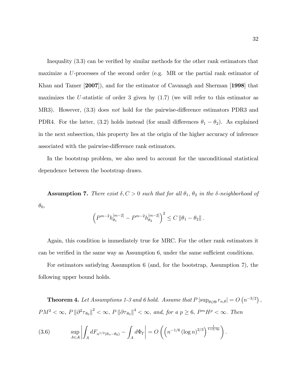Inequality  $(3.3)$  can be verified by similar methods for the other rank estimators that maximize a U-processes of the second order (e.g. MR or the partial rank estimator of Khan and Tamer [2007]), and for the estimator of Cavanagh and Sherman [1998] that maximizes the U-statistic of order 3 given by  $(1.7)$  (we will refer to this estimator as MR3). However,  $(3.3)$  does not hold for the pairwise-difference estimators PDR3 and PDR4. For the latter, (3.2) holds instead (for small differences  $\theta_1 - \theta_2$ ). As explained in the next subsection, this property lies at the origin of the higher accuracy of inference associated with the pairwise-difference rank estimators.

In the bootstrap problem, we also need to account for the unconditional statistical dependence between the bootstrap draws.

**Assumption 7.** There exist  $\delta, C > 0$  such that for all  $\theta_1$ ,  $\theta_2$  in the  $\delta$ -neighborhood of  $\theta_0$ 

$$
\left(P^{m-2}h_{\theta_1}^{[m-2]} - P^{m-2}h_{\theta_2}^{[m-2]}\right)^2 \le C \left\|\theta_1 - \theta_2\right\|.
$$

Again, this condition is immediately true for MRC. For the other rank estimators it can be verified in the same way as Assumption  $6$ , under the same sufficient conditions.

For estimators satisfying Assumption 6 (and, for the bootstrap, Assumption 7), the following upper bound holds.

**Theorem 4.** Let Assumptions 1-3 and 6 hold. Assume that  $P |\sup_{\theta \in \Theta} r_{n,\theta}| = O(n^{-3/2})$ ,  $PM^2 < \infty$ ,  $P \|\partial^2 \tau_{\theta_0}\|^2 < \infty$ ,  $P \|\partial \tau_{\theta_0}\|^4 < \infty$ , and, for a  $p \ge 6$ ,  $P^m H^p < \infty$ . Then

(3.6) 
$$
\sup_{A \in \mathcal{A}} \left| \int_A dF_{n^{1/2}(\theta_n - \theta_0)} - \int_A d\Phi_{\Gamma} \right| = O\left( \left( n^{-1/6} \left( \log n \right)^{2/3} \right)^{\frac{1}{1+2/3p}} \right).
$$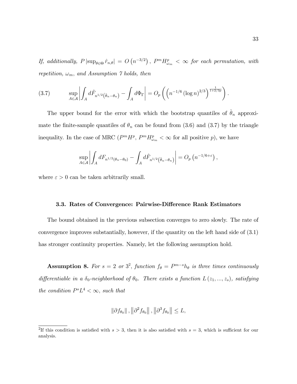If, additionally,  $P|\sup_{\theta \in \Theta} \hat{r}_{n,\theta}| = O(n^{-3/2})$ ,  $P^m H_{\omega_m}^p < \infty$  for each permutation, with repetition,  $\omega_m,$  and Assumption 7 holds, then

(3.7) 
$$
\sup_{A \in \mathcal{A}} \left| \int_A d\hat{F}_{n^{1/2}(\hat{\theta}_n - \theta_n)} - \int_A d\Phi_{\Gamma} \right| = O_p\left( \left( n^{-1/6} (\log n)^{2/3} \right)^{\frac{1}{1+2/3p}} \right).
$$

The upper bound for the error with which the bootstrap quantiles of  $\hat{\theta}_n$  approximate the finite-sample quantiles of  $\theta_n$  can be found from (3.6) and (3.7) by the triangle inequality. In the case of MRC  $(P^m H^p, P^m H^p_{\omega_m} < \infty$  for all positive  $p$ ), we have

$$
\sup_{A\in\mathcal{A}}\left|\int_A dF_{n^{1/2}(\theta_n-\theta_0)} - \int_A d\hat{F}_{n^{1/2}(\hat{\theta}_n-\theta_n)}\right| = O_p\left(n^{-1/6+\varepsilon}\right),
$$

where  $\varepsilon > 0$  can be taken arbitrarily small.

#### 3.3. Rates of Convergence: Pairwise-Difference Rank Estimators

The bound obtained in the previous subsection converges to zero slowly. The rate of convergence improves substantially, however, if the quantity on the left hand side of (3.1) has stronger continuity properties. Namely, let the following assumption hold.

**Assumption 8.** For  $s = 2$  or  $3^2$ , function  $f_{\theta} = P^{m-s}h_{\theta}$  is three times continuously differentiable in a  $\delta_0$ -neighborhood of  $\theta_0$ . There exists a function  $L(z_1,...,z_s)$ , satisfying the condition  $P^sL^4 < \infty$ , such that

$$
\left\|\partial f_{\theta_0}\right\|, \left\|\partial^2 f_{\theta_0}\right\|, \left\|\partial^3 f_{\theta_0}\right\| \leq L,
$$

<sup>&</sup>lt;sup>2</sup>If this condition is satisfied with  $s > 3$ , then it is also satisfied with  $s = 3$ , which is sufficient for our analysis.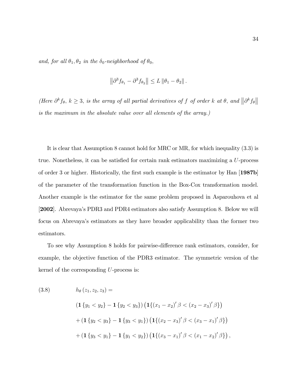and, for all  $\theta_1, \theta_2$  in the  $\delta_0$ -neighborhood of  $\theta_0$ ,

$$
\left\|\partial^3 f_{\theta_1} - \partial^3 f_{\theta_2}\right\| \leq L \left\|\theta_1 - \theta_2\right\|.
$$

(Here  $\partial^k f_\theta$ ,  $k \geq 3$ , is the array of all partial derivatives of f of order k at  $\theta$ , and  $\|\partial^k f_\theta\|$ is the maximum in the absolute value over all elements of the array.)

It is clear that Assumption 8 cannot hold for MRC or MR, for which inequality (3.3) is true. Nonetheless, it can be satisfied for certain rank estimators maximizing a  $U$ -process of order 3 or higher. Historically, the first such example is the estimator by Han [1987b] of the parameter of the transformation function in the Box-Cox transformation model. Another example is the estimator for the same problem proposed in Asparouhova et al [2002]. Abrevayaís PDR3 and PDR4 estimators also satisfy Assumption 8. Below we will focus on Abrevayaís estimators as they have broader applicability than the former two estimators.

To see why Assumption 8 holds for pairwise-difference rank estimators, consider, for example, the objective function of the PDR3 estimator. The symmetric version of the kernel of the corresponding U-process is:

(3.8) 
$$
h_{\theta}(z_1, z_2, z_3) =
$$

$$
(\mathbf{1}\{y_1 < y_2\} - \mathbf{1}\{y_2 < y_3\}) (\mathbf{1}\{(x_1 - x_2)' \beta < (x_2 - x_3)' \beta\})
$$

$$
+ (\mathbf{1}\{y_2 < y_3\} - \mathbf{1}\{y_3 < y_1\}) (\mathbf{1}\{(x_2 - x_3)' \beta < (x_3 - x_1)' \beta\})
$$

$$
+ (\mathbf{1}\{y_3 < y_1\} - \mathbf{1}\{y_1 < y_2\}) (\mathbf{1}\{(x_3 - x_1)' \beta < (x_1 - x_2)' \beta\}),
$$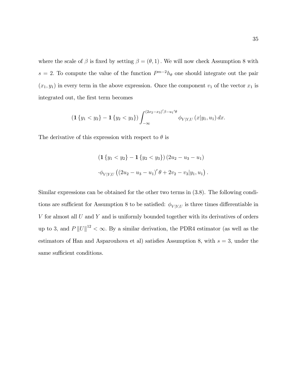where the scale of  $\beta$  is fixed by setting  $\beta = (\theta, 1)$ . We will now check Assumption 8 with  $s = 2$ . To compute the value of the function  $P^{m-2}h_{\theta}$  one should integrate out the pair  $(x_1, y_1)$  in every term in the above expression. Once the component  $v_1$  of the vector  $x_1$  is integrated out, the first term becomes

$$
\left(\mathbf{1}\left\{y_1 < y_2\right\} - \mathbf{1}\left\{y_2 < y_3\right\}\right) \int_{-\infty}^{(2x_2 - x_3)'\beta - u_1'\theta} \phi_{V|Y,U}\left(x|y_1, u_1\right) dx.
$$

The derivative of this expression with respect to  $\theta$  is

$$
\begin{aligned} \left( \mathbf{1} \left\{ y_1 < y_2 \right\} - \mathbf{1} \left\{ y_2 < y_3 \right\} \right) \left( 2u_2 - u_3 - u_1 \right) \\ \cdot \phi_{V|Y,U} \left( \left( 2u_2 - u_3 - u_1 \right)' \theta + 2v_2 - v_3 | y_1, u_1 \right). \end{aligned}
$$

Similar expressions can be obtained for the other two terms in (3.8). The following conditions are sufficient for Assumption 8 to be satisfied:  $\phi_{V|Y,U}$  is three times differentiable in  $V$  for almost all  $U$  and  $Y$  and is uniformly bounded together with its derivatives of orders up to 3, and  $P ||U||^{12} < \infty$ . By a similar derivation, the PDR4 estimator (as well as the estimators of Han and Asparouhova et al) satisfies Assumption 8, with  $s = 3$ , under the same sufficient conditions.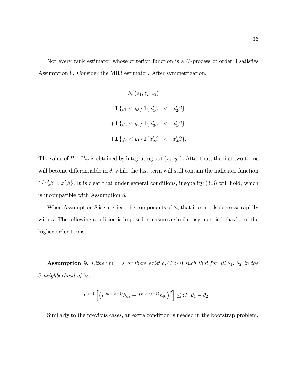Not every rank estimator whose criterion function is a  $U$ -process of order 3 satisfies Assumption 8. Consider the MR3 estimator. After symmetrization,

$$
h_{\theta}(z_1, z_2, z_3) =
$$
  

$$
\mathbf{1} \{y_1 < y_3\} \mathbf{1} \{x'_1 \beta < x'_2 \beta\}
$$
  

$$
+ \mathbf{1} \{y_3 < y_2\} \mathbf{1} \{x'_3 \beta < x'_1 \beta\}
$$
  

$$
+ \mathbf{1} \{y_2 < y_1\} \mathbf{1} \{x'_2 \beta < x'_3 \beta\}.
$$

The value of  $P^{m-2}h_{\theta}$  is obtained by integrating out  $(x_1, y_1)$ . After that, the first two terms will become differentiable in  $\theta$ , while the last term will still contain the indicator function  $\mathbf{1}\{x_2'\beta < x_3'\beta\}$ . It is clear that under general conditions, inequality (3.3) will hold, which is incompatible with Assumption 8.

When Assumption 8 is satisfied, the components of  $\theta_n$  that it controls decrease rapidly with  $n$ . The following condition is imposed to ensure a similar asymptotic behavior of the higher-order terms.

**Assumption 9.** Either  $m = s$  or there exist  $\delta, C > 0$  such that for all  $\theta_1$ ,  $\theta_2$  in the  $\delta\text{-neighborhood of }\theta_0,$ 

$$
P^{s+1}\left[\left(P^{m-(s+1)}h_{\theta_1} - P^{m-(s+1)}h_{\theta_2}\right)^2\right] \leq C \left\|\theta_1 - \theta_2\right\|.
$$

Similarly to the previous cases, an extra condition is needed in the bootstrap problem.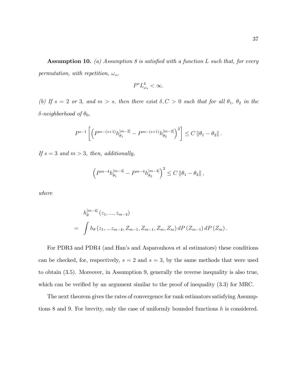**Assumption 10.** (a) Assumption 8 is satisfied with a function L such that, for every permutation, with repetition,  $\omega_s$ ,

$$
P^s L^4_{\omega_s} < \infty.
$$

(b) If  $s = 2$  or 3, and  $m > s$ , then there exist  $\delta, C > 0$  such that for all  $\theta_1, \theta_2$  in the  $\delta$ -neighborhood of  $\theta_0$ ,

$$
P^{s-1}\left[\left(P^{m-(s+1)}h_{\theta_1}^{[m-2]}-P^{m-(s+1)}h_{\theta_2}^{[m-2]}\right)^2\right]\leq C\left\|\theta_1-\theta_2\right\|.
$$

If  $s = 3$  and  $m > 3$ , then, additionally,

$$
\left(P^{m-4}h_{\theta_1}^{[m-4]} - P^{m-4}h_{\theta_2}^{[m-4]}\right)^2 \le C \left\|\theta_1 - \theta_2\right\|,
$$

where

$$
h_{\theta}^{[m-4]}(z_1, ..., z_{m-4})
$$
  
=  $\int h_{\theta}(z_1, ... z_{m-4}, Z_{m-1}, Z_{m-1}, Z_m, Z_m) dP(Z_{m-1}) dP(Z_m).$ 

For PDR3 and PDR4 (and Hanís and Asparouhova et al estimators) these conditions can be checked, for, respectively,  $s = 2$  and  $s = 3$ , by the same methods that were used to obtain (3.5). Moreover, in Assumption 9, generally the reverse inequality is also true, which can be verified by an argument similar to the proof of inequality  $(3.3)$  for MRC.

The next theorem gives the rates of convergence for rank estimators satisfying Assumptions 8 and 9. For brevity, only the case of uniformly bounded functions h is considered.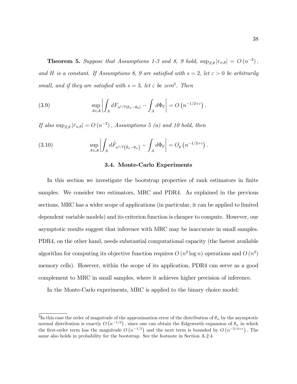**Theorem 5.** Suppose that Assumptions 1-3 and 8, 9 hold,  $\sup_{Z,\theta} |r_{n,\theta}| = O(n^{-2}),$ and H is a constant. If Assumptions 8, 9 are satisfied with  $s = 2$ , let  $\varepsilon > 0$  be arbitrarily small, and if they are satisfied with  $s = 3$ , let  $\varepsilon$  be zero<sup>3</sup>. Then

(3.9) 
$$
\sup_{A \in \mathcal{A}} \left| \int_A dF_{n^{1/2}(\theta_n - \theta_0)} - \int_A d\Phi_{\Gamma} \right| = O\left(n^{-1/2 + \varepsilon}\right).
$$

If also  $\sup_{Z,\theta} |\hat{r}_{n,\theta}| = O(n^{-2})$ , Assumptions 5 (a) and 10 hold, then

(3.10) 
$$
\sup_{A \in \mathcal{A}} \left| \int_A d\hat{F}_{n^{1/2}(\hat{\theta}_n - \theta_n)} - \int_A d\Phi_\Gamma \right| = O_p\left(n^{-1/2 + \varepsilon}\right).
$$

#### 3.4. Monte-Carlo Experiments

In this section we investigate the bootstrap properties of rank estimators in finite samples. We consider two estimators, MRC and PDR4. As explained in the previous sections, MRC has a wider scope of applications (in particular, it can be applied to limited dependent variable models) and its criterion function is cheaper to compute. However, our asymptotic results suggest that inference with MRC may be inaccurate in small samples. PDR4, on the other hand, needs substantial computational capacity (the fastest available algorithm for computing its objective function requires  $O(n^2 \log n)$  operations and  $O(n^2)$ memory cells). However, within the scope of its application, PDR4 can serve as a good complement to MRC in small samples, where it achieves higher precision of inference.

In the Monte-Carlo experiments, MRC is applied to the binary choice model:

 ${}^{3}\text{In this case the order of magnitude of the approximation error of the distribution of } \theta_n$  by the asymptotic normal distribution is exactly  $O(n^{-1/2})$ , since one can obtain the Edgeworth expansion of  $\theta_n$  in which the first-order term has the magnitude  $O(n^{-1/2})$  and the next term is bounded by  $O(n^{-3/4+\epsilon})$ . The same also holds in probability for the bootstrap. See the footnote in Section A.2.4.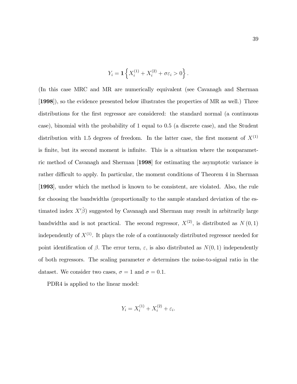$$
Y_i = \mathbf{1} \left\{ X_i^{(1)} + X_i^{(2)} + \sigma \varepsilon_i > 0 \right\}.
$$

(In this case MRC and MR are numerically equivalent (see Cavanagh and Sherman [1998]), so the evidence presented below illustrates the properties of MR as well.) Three distributions for the first regressor are considered: the standard normal (a continuous case), binomial with the probability of 1 equal to 0.5 (a discrete case), and the Student distribution with 1.5 degrees of freedom. In the latter case, the first moment of  $X^{(1)}$ is finite, but its second moment is infinite. This is a situation where the nonparametric method of Cavanagh and Sherman [1998] for estimating the asymptotic variance is rather difficult to apply. In particular, the moment conditions of Theorem 4 in Sherman [1993], under which the method is known to be consistent, are violated. Also, the rule for choosing the bandwidths (proportionally to the sample standard deviation of the estimated index  $X\hat{\beta}$  suggested by Cavanagh and Sherman may result in arbitrarily large bandwidths and is not practical. The second regressor,  $X^{(2)}$ , is distributed as  $N(0,1)$ independently of  $X^{(1)}$ . It plays the role of a continuously distributed regressor needed for point identification of  $\beta$ . The error term,  $\varepsilon$ , is also distributed as  $N(0, 1)$  independently of both regressors. The scaling parameter  $\sigma$  determines the noise-to-signal ratio in the dataset. We consider two cases,  $\sigma = 1$  and  $\sigma = 0.1$ .

PDR4 is applied to the linear model:

$$
Y_i = X_i^{(1)} + X_i^{(2)} + \varepsilon_i.
$$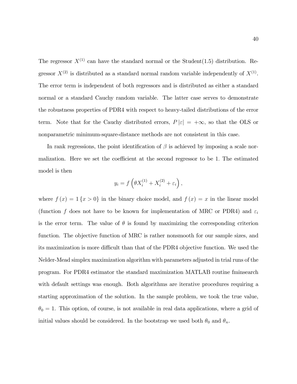The regressor  $X^{(1)}$  can have the standard normal or the Student(1.5) distribution. Regressor  $X^{(2)}$  is distributed as a standard normal random variable independently of  $X^{(1)}$ . The error term is independent of both regressors and is distributed as either a standard normal or a standard Cauchy random variable. The latter case serves to demonstrate the robustness properties of PDR4 with respect to heavy-tailed distributions of the error term. Note that for the Cauchy distributed errors,  $P |\varepsilon| = +\infty$ , so that the OLS or nonparametric minimum-square-distance methods are not consistent in this case.

In rank regressions, the point identification of  $\beta$  is achieved by imposing a scale normalization. Here we set the coefficient at the second regressor to be 1. The estimated model is then

$$
y_i = f\left(\theta X_i^{(1)} + X_i^{(2)} + \varepsilon_i\right),\,
$$

where  $f(x) = 1\{x > 0\}$  in the binary choice model, and  $f(x) = x$  in the linear model (function f does not have to be known for implementation of MRC or PDR4) and  $\varepsilon_i$ is the error term. The value of  $\theta$  is found by maximizing the corresponding criterion function. The objective function of MRC is rather nonsmooth for our sample sizes, and its maximization is more difficult than that of the PDR4 objective function. We used the Nelder-Mead simplex maximization algorithm with parameters adjusted in trial runs of the program. For PDR4 estimator the standard maximization MATLAB routine fminsearch with default settings was enough. Both algorithms are iterative procedures requiring a starting approximation of the solution. In the sample problem, we took the true value,  $\theta_0 = 1$ . This option, of course, is not available in real data applications, where a grid of initial values should be considered. In the bootstrap we used both  $\theta_0$  and  $\theta_n$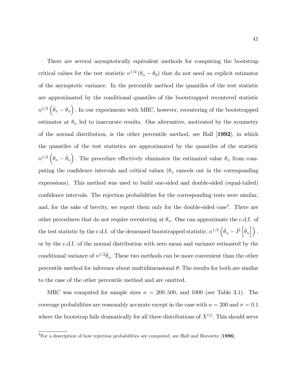There are several asymptotically equivalent methods for computing the bootstrap critical values for the test statistic  $n^{1/2}$  ( $\theta_n - \theta_0$ ) that do not need an explicit estimator of the asymptotic variance. In the percentile method the quantiles of the test statistic are approximated by the conditional quantiles of the bootstrapped recentered statistic  $n^{1/2}(\hat{\theta}_n - \theta_n)$ . In our experiments with MRC, however, recentering of the bootstrapped estimator at  $\theta_n$  led to inaccurate results. One alternative, motivated by the symmetry of the normal distribution, is the other percentile method, see Hall  $|1992|$ , in which the quantiles of the test statistics are approximated by the quantiles of the statistic  $n^{1/2}(\theta_n - \hat{\theta}_n)$ . The procedure effectively eliminates the estimated value  $\theta_n$  from computing the confidence intervals and critical values ( $\theta_n$  cancels out in the corresponding expressions). This method was used to build one-sided and double-sided (equal-tailed) confidence intervals. The rejection probabilities for the corresponding tests were similar, and, for the sake of brevity, we report them only for the double-sided case<sup>4</sup>. There are other procedures that do not require recentering at  $\theta_n$ . One can approximate the c.d.f. of the test statistic by the c.d.f. of the demeaned bootstrapped statistic,  $n^{1/2} \left( \hat{\theta}_n - \hat{P} \left[ \hat{\theta}_n \right] \right)$ , or by the c.d.f. of the normal distribution with zero mean and variance estimated by the conditional variance of  $n^{1/2}\hat{\theta}_n$ . These two methods can be more convenient than the other percentile method for inference about multidimensional  $\theta$ . The results for both are similar to the case of the other percentile method and are omitted.

MRC was computed for sample sizes  $n = 200, 500,$  and 1000 (see Table 3.1). The coverage probabilities are reasonably accurate except in the case with  $n = 200$  and  $\sigma = 0.1$ where the bootstrap fails dramatically for all three distributions of  $X^{(1)}$ . This should serve

<sup>&</sup>lt;sup>4</sup>For a description of how rejection probabilities are computed, see Hall and Horowitz [1996].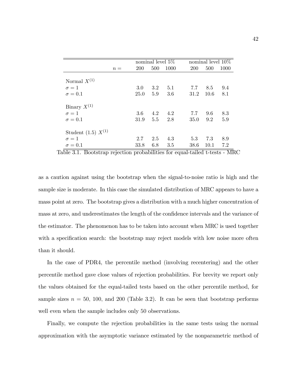|                         |       |             | nominal level $5\%$ |      |            | nominal level $10\%$ |      |  |
|-------------------------|-------|-------------|---------------------|------|------------|----------------------|------|--|
|                         | $n =$ | <b>200</b>  | 500                 | 1000 | <b>200</b> | 500                  | 1000 |  |
| Normal $X^{(1)}$        |       |             |                     |      |            |                      |      |  |
| $\sigma = 1$            |       | 3.0         | 3.2                 | 5.1  | 7.7        | 8.5                  | 9.4  |  |
| $\sigma = 0.1$          |       | <b>25.0</b> | 5.9                 | 3.6  | 31.2       | 10.6                 | 8.1  |  |
| Binary $X^{(1)}$        |       |             |                     |      |            |                      |      |  |
| $\sigma = 1$            |       | 3.6         | 4.2                 | 4.2  | 7.7        | 9.6                  | 8.3  |  |
| $\sigma = 0.1$          |       | 31.9        | 5.5                 | 2.8  | 35.0       | 9.2                  | 5.9  |  |
| Student (1.5) $X^{(1)}$ |       |             |                     |      |            |                      |      |  |
| $\sigma=1$              |       | 2.7         | 2.5                 | 4.3  | 5.3        | 7.3                  | 8.9  |  |
| $\sigma = 0.1$          |       | 33.8        | 6.8                 | 3.5  | 38.6       | 10.1                 | 7.2  |  |

Table 3.1. Bootstrap rejection probabilities for equal-tailed t-tests - MRC

as a caution against using the bootstrap when the signal-to-noise ratio is high and the sample size is moderate. In this case the simulated distribution of MRC appears to have a mass point at zero. The bootstrap gives a distribution with a much higher concentration of mass at zero, and underestimates the length of the confidence intervals and the variance of the estimator. The phenomenon has to be taken into account when MRC is used together with a specification search: the bootstrap may reject models with low noise more often than it should.

In the case of PDR4, the percentile method (involving recentering) and the other percentile method gave close values of rejection probabilities. For brevity we report only the values obtained for the equal-tailed tests based on the other percentile method, for sample sizes  $n = 50$ , 100, and 200 (Table 3.2). It can be seen that bootstrap performs well even when the sample includes only 50 observations.

Finally, we compute the rejection probabilities in the same tests using the normal approximation with the asymptotic variance estimated by the nonparametric method of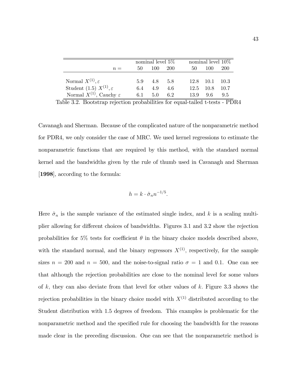|                                         | nominal level $5\%$ |         |             | nominal level $10\%$ |                  |            |  |
|-----------------------------------------|---------------------|---------|-------------|----------------------|------------------|------------|--|
| $n =$                                   | 50                  | - 100 - | 200         | 50                   | 100              | <b>200</b> |  |
|                                         |                     |         |             |                      |                  |            |  |
| Normal $X^{(1)}, \varepsilon$           | 5.9                 |         | $4.8$ $5.8$ |                      | $12.8$ 10.1 10.3 |            |  |
| Student (1.5) $X^{(1)}, \varepsilon$    | 6.4                 | 4.9     | 4.6         |                      | 12.5 10.8 10.7   |            |  |
| Normal $X^{(1)}$ , Cauchy $\varepsilon$ | 6.1                 | 5.0     | 6.2         |                      | 13.9 9.6         | 9.5        |  |

Table 3.2. Bootstrap rejection probabilities for equal-tailed t-tests - PDR4

Cavanagh and Sherman. Because of the complicated nature of the nonparametric method for PDR4, we only consider the case of MRC. We used kernel regressions to estimate the nonparametric functions that are required by this method, with the standard normal kernel and the bandwidths given by the rule of thumb used in Cavanagh and Sherman [1998], according to the formula:

$$
h = k \cdot \hat{\sigma}_n n^{-1/5}.
$$

Here  $\hat{\sigma}_n$  is the sample variance of the estimated single index, and k is a scaling multiplier allowing for different choices of bandwidths. Figures 3.1 and 3.2 show the rejection probabilities for 5% tests for coefficient  $\theta$  in the binary choice models described above, with the standard normal, and the binary regressors  $X^{(1)}$ , respectively, for the sample sizes  $n = 200$  and  $n = 500$ , and the noise-to-signal ratio  $\sigma = 1$  and 0.1. One can see that although the rejection probabilities are close to the nominal level for some values of k, they can also deviate from that level for other values of k. Figure 3.3 shows the rejection probabilities in the binary choice model with  $X^{(1)}$  distributed according to the Student distribution with 1.5 degrees of freedom. This examples is problematic for the nonparametric method and the specified rule for choosing the bandwidth for the reasons made clear in the preceding discussion. One can see that the nonparametric method is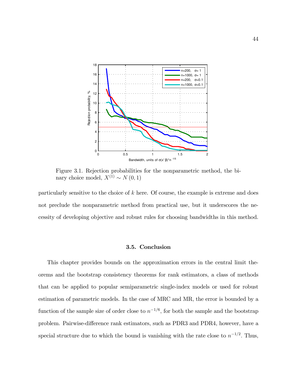

Figure 3.1. Rejection probabilities for the nonparametric method, the binary choice model,  $X^{(1)} \sim N(0, 1)$ 

particularly sensitive to the choice of  $k$  here. Of course, the example is extreme and does not preclude the nonparametric method from practical use, but it underscores the necessity of developing objective and robust rules for choosing bandwidths in this method.

## 3.5. Conclusion

This chapter provides bounds on the approximation errors in the central limit theorems and the bootstrap consistency theorems for rank estimators, a class of methods that can be applied to popular semiparametric single-index models or used for robust estimation of parametric models. In the case of MRC and MR, the error is bounded by a function of the sample size of order close to  $n^{-1/6}$ , for both the sample and the bootstrap problem. Pairwise-difference rank estimators, such as PDR3 and PDR4, however, have a special structure due to which the bound is vanishing with the rate close to  $n^{-1/2}$ . Thus,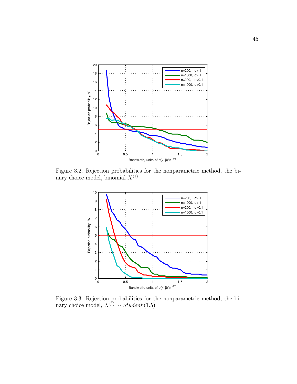

Figure 3.2. Rejection probabilities for the nonparametric method, the binary choice model, binomial  $X^{(1)}$ 



Figure 3.3. Rejection probabilities for the nonparametric method, the binary choice model,  $X^{(1)} \sim Student(1.5)$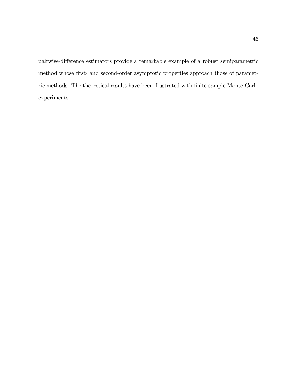pairwise-difference estimators provide a remarkable example of a robust semiparametric method whose first- and second-order asymptotic properties approach those of parametric methods. The theoretical results have been illustrated with Önite-sample Monte-Carlo experiments.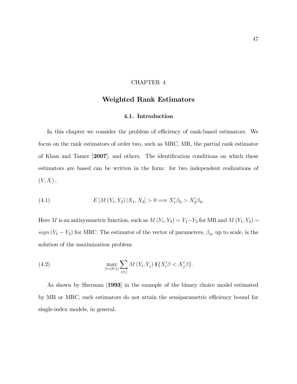## CHAPTER 4

# Weighted Rank Estimators

### 4.1. Introduction

In this chapter we consider the problem of efficiency of rank-based estimators. We focus on the rank estimators of order two, such as MRC, MR, the partial rank estimator of Khan and Tamer [2007], and others. The identification conditions on which these estimators are based can be written in the form: for two independent realizations of  $(Y, X)$ ,

(4.1) 
$$
E\left[M\left(Y_1, Y_2\right) | X_1, X_2\right] > 0 \Longrightarrow X_1'\beta_0 > X_2'\beta_0.
$$

Here M is an antisymmetric function, such as  $M(Y_1, Y_2) = Y_1 - Y_2$  for MR and  $M(Y_1, Y_2) =$  $sign(Y_1 - Y_2)$  for MRC. The estimator of the vector of parameters,  $\beta_0$ , up to scale, is the solution of the maximization problem

(4.2) 
$$
\max_{\beta=(\theta,1)} \sum_{i\neq j} M(Y_i,Y_j) \mathbf{1}\{X'_i\beta < X'_j\beta\}.
$$

As shown by Sherman [1993] in the example of the binary choice model estimated by MR or MRC, such estimators do not attain the semiparametric efficiency bound for single-index models, in general.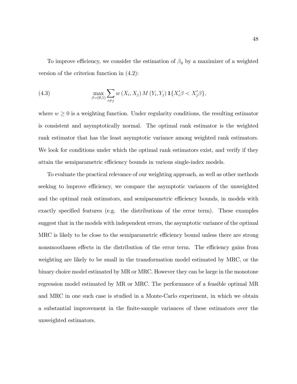To improve efficiency, we consider the estimation of  $\beta_0$  by a maximizer of a weighted version of the criterion function in (4.2):

(4.3) 
$$
\max_{\beta=(\theta,1)} \sum_{i \neq j} w(X_i, X_j) M(Y_i, Y_j) \mathbf{1}\{X'_i \beta < X'_j \beta\},
$$

where  $w \geq 0$  is a weighting function. Under regularity conditions, the resulting estimator is consistent and asymptotically normal. The optimal rank estimator is the weighted rank estimator that has the least asymptotic variance among weighted rank estimators. We look for conditions under which the optimal rank estimators exist, and verify if they attain the semiparametric efficiency bounds in various single-index models.

To evaluate the practical relevance of our weighting approach, as well as other methods seeking to improve efficiency, we compare the asymptotic variances of the unweighted and the optimal rank estimators, and semiparametric efficiency bounds, in models with exactly specified features (e.g. the distributions of the error term). These examples suggest that in the models with independent errors, the asymptotic variance of the optimal MRC is likely to be close to the semiparametric efficiency bound unless there are strong nonsmoothness effects in the distribution of the error term. The efficiency gains from weighting are likely to be small in the transformation model estimated by MRC, or the binary choice model estimated by MR or MRC. However they can be large in the monotone regression model estimated by MR or MRC. The performance of a feasible optimal MR and MRC in one such case is studied in a Monte-Carlo experiment, in which we obtain a substantial improvement in the Önite-sample variances of these estimators over the unweighted estimators.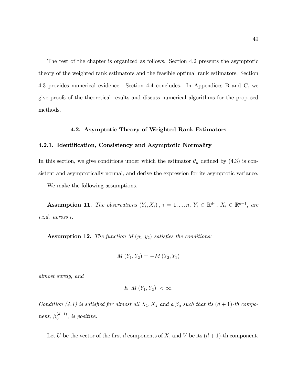The rest of the chapter is organized as follows. Section 4.2 presents the asymptotic theory of the weighted rank estimators and the feasible optimal rank estimators. Section 4.3 provides numerical evidence. Section 4.4 concludes. In Appendices B and C, we give proofs of the theoretical results and discuss numerical algorithms for the proposed methods.

## 4.2. Asymptotic Theory of Weighted Rank Estimators

## 4.2.1. Identification, Consistency and Asymptotic Normality

In this section, we give conditions under which the estimator  $\theta_n$  defined by (4.3) is consistent and asymptotically normal, and derive the expression for its asymptotic variance.

We make the following assumptions.

Assumption 11. The observations  $(Y_i, X_i)$ ,  $i = 1, ..., n$ ,  $Y_i \in \mathbb{R}^{d_Y}$ ,  $X_i \in \mathbb{R}^{d+1}$ , are i.i.d. across i:

**Assumption 12.** The function  $M(y_1, y_2)$  satisfies the conditions:

$$
M(Y_1, Y_2) = -M(Y_2, Y_1)
$$

almost surely, and

$$
E\left|M\left(Y_1,Y_2\right)\right|<\infty.
$$

Condition (4.1) is satisfied for almost all  $X_1, X_2$  and a  $\beta_0$  such that its  $(d+1)$ -th component,  $\beta_0^{(d+1)}$  $\binom{a+1}{0}$ , is positive.

Let U be the vector of the first d components of X, and V be its  $(d+1)$ -th component.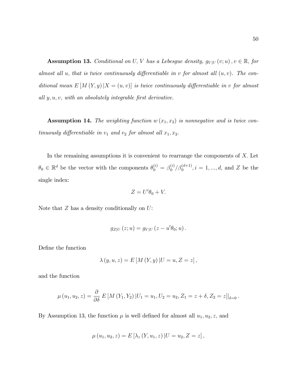**Assumption 13.** Conditional on U, V has a Lebesgue density,  $g_{V|U}(v; u)$ ,  $v \in \mathbb{R}$ , for almost all u, that is twice continuously differentiable in v for almost all  $(u, v)$ . The conditional mean  $E[M(Y, y)|X = (u, v)]$  is twice continuously differentiable in v for almost all  $y, u, v$ , with an absolutely integrable first derivative.

**Assumption 14.** The weighting function  $w(x_1, x_2)$  is nonnegative and is twice continuously differentiable in  $v_1$  and  $v_2$  for almost all  $x_1, x_2$ .

In the remaining assumptions it is convenient to rearrange the components of  $X$ . Let  $\theta_0 \in \mathbb{R}^d$  be the vector with the components  $\theta_0^{(i)} = \beta_0^{(i)}$  $\binom{a}{0}$  / $\beta_0^{(d+1)}$ ,  $i = 1, ..., d$ , and Z be the single index:

$$
Z = U'\theta_0 + V.
$$

Note that  $Z$  has a density conditionally on  $U$ :

$$
g_{Z|U}(z;u)=g_{V|U}(z-u'\theta_0;u).
$$

Define the function

$$
\lambda (y, u, z) = E [M (Y, y) | U = u, Z = z],
$$

and the function

$$
\mu(u_1, u_2, z) = \frac{\partial}{\partial \delta} E\left[M(Y_1, Y_2) | U_1 = u_1, U_2 = u_2, Z_1 = z + \delta, Z_2 = z\right]|_{\delta=0}.
$$

By Assumption 13, the function  $\mu$  is well defined for almost all  $u_1, u_2, z$ , and

$$
\mu(u_1, u_2, z) = E[\lambda_z(Y, u_1, z) | U = u_2, Z = z],
$$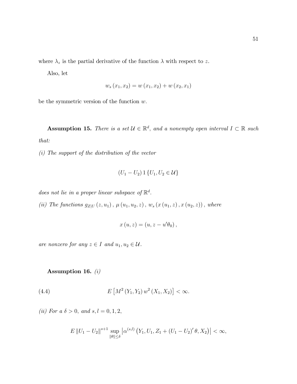where  $\lambda_z$  is the partial derivative of the function  $\lambda$  with respect to z.

Also, let

$$
w_s(x_1, x_2) = w(x_1, x_2) + w(x_2, x_1)
$$

be the symmetric version of the function  $w$ .

**Assumption 15.** There is a set  $\mathcal{U} \in \mathbb{R}^d$ , and a nonempty open interval  $I \subset \mathbb{R}$  such that:

 $(i)$  The support of the distribution of the vector

$$
(U_1-U_2)\mathop{\mathrm{\boldsymbol{1}}}\{U_1,U_2\in\mathcal{U}\}
$$

does not lie in a proper linear subspace of  $\mathbb{R}^d$ .

(ii) The functions  $g_{Z|U}(z, u_1)$ ,  $\mu(u_1, u_2, z)$ ,  $w_s(x(u_1, z), x(u_2, z))$ , where

$$
x(u,z) = (u, z - u'\theta_0),
$$

are nonzero for any  $z \in I$  and  $u_1, u_2 \in \mathcal{U}$ .

Assumption 16. (i)

(4.4) 
$$
E\left[M^2(Y_1,Y_2) w^2(X_1,X_2)\right] < \infty.
$$

(ii) For a  $\delta > 0$ , and  $s, l = 0, 1, 2$ ,

$$
E ||U_1 - U_2||^{s+1} \sup_{\|\theta\| \le \delta} \left| \alpha^{(s,l)} \left( Y_1, U_1, Z_1 + (U_1 - U_2)' \theta, X_2 \right) \right| < \infty,
$$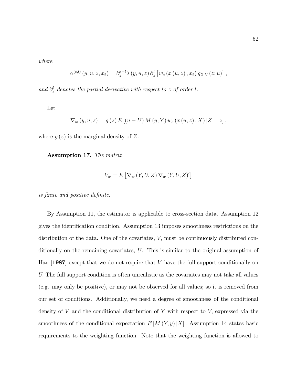where

$$
\alpha^{(s,l)}(y,u,z,x_2) = \partial_z^{s-l} \lambda(y,u,z) \partial_z^{l} [w_s(x(u,z),x_2) g_{Z|U}(z;u)],
$$

and  $\partial_z^l$  denotes the partial derivative with respect to z of order l.

Let

$$
\nabla_{w}(y, u, z) = g(z) E [(u - U) M (y, Y) w_{s} (x (u, z), X) | Z = z],
$$

where  $g(z)$  is the marginal density of Z.

Assumption 17. The matrix

$$
V_w = E\left[\nabla_w(Y, U, Z)\nabla_w(Y, U, Z)'\right]
$$

is finite and positive definite.

By Assumption 11, the estimator is applicable to cross-section data. Assumption 12 gives the identification condition. Assumption 13 imposes smoothness restrictions on the distribution of the data. One of the covariates, V, must be continuously distributed conditionally on the remaining covariates, U. This is similar to the original assumption of Han  $[1987]$  except that we do not require that V have the full support conditionally on U. The full support condition is often unrealistic as the covariates may not take all values (e.g. may only be positive), or may not be observed for all values; so it is removed from our set of conditions. Additionally, we need a degree of smoothness of the conditional density of  $V$  and the conditional distribution of  $Y$  with respect to  $V$ , expressed via the smoothness of the conditional expectation  $E[M(Y, y)|X]$ . Assumption 14 states basic requirements to the weighting function. Note that the weighting function is allowed to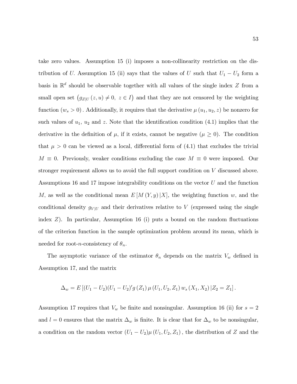take zero values. Assumption 15 (i) imposes a non-collinearity restriction on the distribution of U. Assumption 15 (ii) says that the values of U such that  $U_1 - U_2$  form a basis in  $\mathbb{R}^d$  should be observable together with all values of the single index Z from a small open set  $(g_{Z|U}(z, u) \neq 0, z \in I)$  and that they are not censored by the weighting function  $(w_s > 0)$ . Additionally, it requires that the derivative  $\mu(u_1, u_2, z)$  be nonzero for such values of  $u_1$ ,  $u_2$  and z. Note that the identification condition (4.1) implies that the derivative in the definition of  $\mu$ , if it exists, cannot be negative  $(\mu \geq 0)$ . The condition that  $\mu > 0$  can be viewed as a local, differential form of (4.1) that excludes the trivial  $M \equiv 0$ . Previously, weaker conditions excluding the case  $M \equiv 0$  were imposed. Our stronger requirement allows us to avoid the full support condition on V discussed above. Assumptions 16 and 17 impose integrability conditions on the vector U and the function M, as well as the conditional mean  $E[M(Y, y)|X]$ , the weighting function w, and the conditional density  $g_{V|U}$  and their derivatives relative to V (expressed using the single index  $Z$ ). In particular, Assumption 16 (i) puts a bound on the random fluctuations of the criterion function in the sample optimization problem around its mean, which is needed for root-*n*-consistency of  $\theta_n$ .

The asymptotic variance of the estimator  $\theta_n$  depends on the matrix  $V_w$  defined in Assumption 17, and the matrix

$$
\Delta_w = E [(U_1 - U_2)(U_1 - U_2)' g(Z_1) \mu (U_1, U_2, Z_1) w_s (X_1, X_2) | Z_2 = Z_1].
$$

Assumption 17 requires that  $V_w$  be finite and nonsingular. Assumption 16 (ii) for  $s = 2$ and  $l = 0$  ensures that the matrix  $\Delta_w$  is finite. It is clear that for  $\Delta_w$  to be nonsingular, a condition on the random vector  $(U_1 - U_2) \mu (U_1, U_2, Z_1)$ , the distribution of Z and the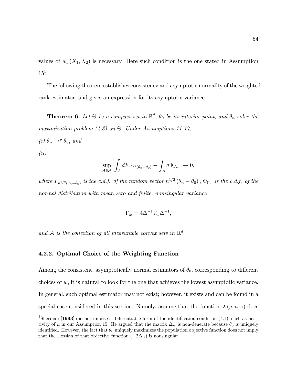values of  $w_s(X_1, X_2)$  is necessary. Here such condition is the one stated in Assumption  $15^1$ .

The following theorem establishes consistency and asymptotic normality of the weighted rank estimator, and gives an expression for its asymptotic variance.

**Theorem 6.** Let  $\Theta$  be a compact set in  $\mathbb{R}^d$ ,  $\theta_0$  be its interior point, and  $\theta_n$  solve the maximization problem  $(4.3)$  on  $\Theta$ . Under Assumptions 11-17,

- (i)  $\theta_n \rightarrow^p \theta_0$ , and
- (ii)

$$
\sup_{A \in \mathcal{A}} \left| \int_A dF_{n^{1/2}(\theta_n - \theta_0)} - \int_A d\Phi_{\Gamma_w} \right| \to 0,
$$

where  $F_{n^{1/2}(\theta_n-\theta_0)}$  is the c.d.f. of the random vector  $n^{1/2}(\theta_n-\theta_0)$ ,  $\Phi_{\Gamma_w}$  is the c.d.f. of the normal distribution with mean zero and finite, nonsingular variance

$$
\Gamma_w = 4\Delta_w^{-1} V_w \Delta_w^{-1},
$$

and  $A$  is the collection of all measurable convex sets in  $\mathbb{R}^d$ .

## 4.2.2. Optimal Choice of the Weighting Function

Among the consistent, asymptotically normal estimators of  $\theta_0$ , corresponding to different choices of  $w$ , it is natural to look for the one that achieves the lowest asymptotic variance. In general, such optimal estimator may not exist; however, it exists and can be found in a special case considered in this section. Namely, assume that the function  $\lambda(y, u, z)$  does

<sup>&</sup>lt;sup>1</sup>Sherman [1993] did not impose a differentiable form of the identification condition  $(4.1)$ , such as positivity of  $\mu$  in our Assumption 15. He argued that the matrix  $\Delta_w$  is non-denerate because  $\theta_0$  is uniquely identified. However, the fact that  $\theta_0$  uniquely maximizes the population objective function does not imply that the Hessian of that objective function  $(-2\Delta_w)$  is nonsingular.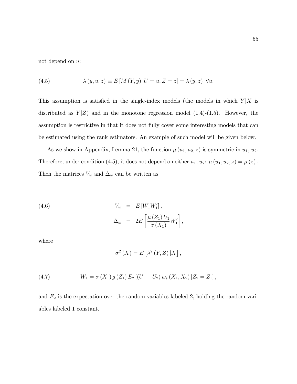not depend on u:

(4.5) 
$$
\lambda(y, u, z) \equiv E\left[M(Y, y)\middle|U = u, Z = z\right] = \lambda(y, z) \quad \forall u.
$$

This assumption is satisfied in the single-index models (the models in which  $Y|X$  is distributed as  $Y|Z$ ) and in the monotone regression model  $(1.4)-(1.5)$ . However, the assumption is restrictive in that it does not fully cover some interesting models that can be estimated using the rank estimators. An example of such model will be given below.

As we show in Appendix, Lemma 21, the function  $\mu(u_1, u_2, z)$  is symmetric in  $u_1, u_2$ . Therefore, under condition (4.5), it does not depend on either  $u_1, u_2$ :  $\mu(u_1, u_2, z) = \mu(z)$ . Then the matrices  $V_w$  and  $\Delta_w$  can be written as

(4.6) 
$$
V_w = E[W_1 W_1'],
$$

$$
\Delta_w = 2E\left[\frac{\mu(Z_1) U_1}{\sigma(X_1)} W_1'\right]
$$

where

$$
\sigma^{2}(X) = E\left[\lambda^{2}(Y,Z)|X\right],
$$

;

(4.7) 
$$
W_1 = \sigma(X_1) g(Z_1) E_2 [(U_1 - U_2) w_s (X_1, X_2) | Z_2 = Z_1],
$$

and  $E_2$  is the expectation over the random variables labeled 2, holding the random variables labeled 1 constant.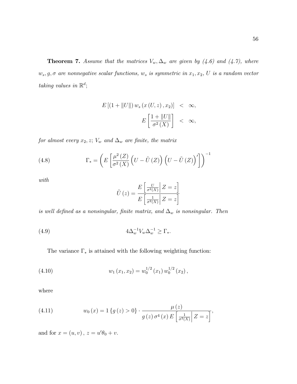**Theorem 7.** Assume that the matrices  $V_w$ ,  $\Delta_w$  are given by (4.6) and (4.7), where  $w_s, g, \sigma$  are nonnegative scalar functions,  $w_s$  is symmetric in  $x_1, x_2, U$  is a random vector taking values in  $\mathbb{R}^d$ ;

$$
E\left[\left(1+\|U\|\right)w_s\left(x\left(U,z\right),x_2\right)\right] < \infty,
$$
\n
$$
E\left[\frac{1+\|U\|}{\sigma^2\left(X\right)}\right] < \infty,
$$

for almost every  $x_2, z$ ;  $V_w$  and  $\Delta_w$  are finite, the matrix

(4.8) 
$$
\Gamma_* = \left( E \left[ \frac{\mu^2(Z)}{\sigma^2(X)} \left( U - \tilde{U}(Z) \right) \left( U - \tilde{U}(Z) \right)' \right] \right)^{-1}
$$

with

$$
\tilde{U}\left(z\right) = \frac{E\left[\frac{U}{\sigma^2(X)}\middle| Z = z\right]}{E\left[\frac{1}{\sigma^2(X)}\middle| Z = z\right]}
$$

is well defined as a nonsingular, finite matrix, and  $\Delta_w$  is nonsingular. Then

$$
(4.9) \qquad \qquad 4\Delta_w^{-1}V_w\Delta_w^{-1} \ge \Gamma_*.
$$

The variance  $\Gamma_*$  is attained with the following weighting function:

(4.10) 
$$
w_1(x_1,x_2) = w_0^{1/2}(x_1) w_0^{1/2}(x_2),
$$

where

(4.11) 
$$
w_0(x) = 1\{g(z) > 0\} \cdot \frac{\mu(z)}{g(z) \sigma^4(x) E\left[\frac{1}{\sigma^2(X)} | Z = z\right]},
$$

and for  $x = (u, v)$ ,  $z = u' \theta_0 + v$ .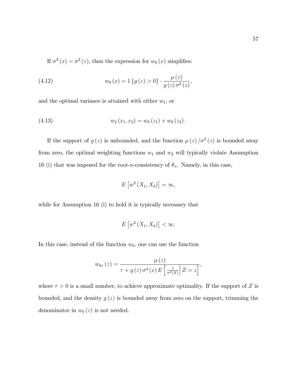If  $\sigma^2(x) = \sigma^2(z)$ , then the expression for  $w_0(x)$  simplifies:

(4.12) 
$$
w_0(x) = 1\{g(z) > 0\} \cdot \frac{\mu(z)}{g(z)\sigma^2(z)},
$$

and the optimal variance is attained with either  $w_1$ , or

(4.13) 
$$
w_2(x_1,x_2) = w_0(z_1) + w_0(z_2).
$$

If the support of  $g(z)$  is unbounded, and the function  $\mu(z)/\sigma^2(z)$  is bounded away from zero, the optimal weighting functions  $w_1$  and  $w_2$  will typically violate Assumption 16 (i) that was imposed for the root-n-consistency of  $\theta_n$ . Namely, in this case,

$$
E\left[w^2\left(X_1,X_2\right)\right]=\infty,
$$

while for Assumption 16 (i) to hold it is typically necessary that

$$
E\left[w^2\left(X_1,X_2\right)\right]<\infty.
$$

In this case, instead of the function  $w_0$ , one can use the function

$$
w_{0\tau}\left(z\right) = \frac{\mu\left(z\right)}{\tau+g\left(z\right)\sigma^4\left(x\right)E\left[\frac{1}{\sigma^2\left(X\right)}\middle| Z=z\right]},
$$

where  $\tau > 0$  is a small number, to achieve approximate optimality. If the support of Z is bounded, and the density  $g(z)$  is bounded away from zero on the support, trimming the denominator in  $w_0(z)$  is not needed.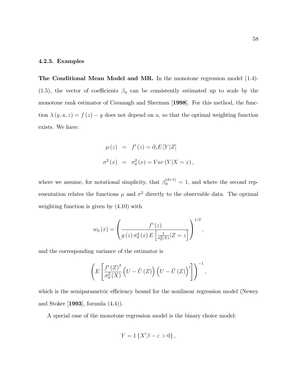### 4.2.3. Examples

The Conditional Mean Model and MR. In the monotone regression model (1.4)- (1.5), the vector of coefficients  $\beta_0$  can be consistently estimated up to scale by the monotone rank estimator of Cavanagh and Sherman [1998]. For this method, the function  $\lambda(y, u, z) = f(z) - y$  does not depend on u, so that the optimal weighting function exists. We have:

$$
\mu(z) = f'(z) = \partial_z E[Y|Z]
$$
  

$$
\sigma^2(x) = \sigma_0^2(x) = Var(Y|X=x),
$$

where we assume, for notational simplicity, that  $\beta_0^{(d+1)} = 1$ , and where the second representation relates the functions  $\mu$  and  $\sigma^2$  directly to the observable data. The optimal weighting function is given by (4.10) with

$$
w_0(x) = \left(\frac{f'(z)}{g(z)\,\sigma_0^4(x)\,E\left[\frac{1}{\sigma_0^2(X)}|Z=z\right]}\right)^{1/2},\,
$$

and the corresponding variance of the estimator is

$$
\left(E\left[\frac{f'(Z)^2}{\sigma_0^2(X)}\left(U-\tilde{U}(Z)\right)\left(U-\tilde{U}(Z)\right)'\right]\right)^{-1},\,
$$

which is the semiparametric efficiency bound for the nonlinear regression model (Newey and Stoker [1993], formula (4.4)).

A special case of the monotone regression model is the binary choice model:

$$
Y=1\left\{ X^{\prime }\beta -\varepsilon >0\right\} ,
$$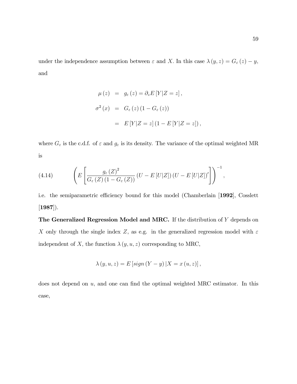under the independence assumption between  $\varepsilon$  and X. In this case  $\lambda(y, z) = G_{\varepsilon}(z) - y$ , and

$$
\mu(z) = g_{\varepsilon}(z) = \partial_z E[Y|Z = z],
$$
  
\n
$$
\sigma^2(x) = G_{\varepsilon}(z)(1 - G_{\varepsilon}(z))
$$
  
\n
$$
= E[Y|Z = z](1 - E[Y|Z = z]),
$$

where  $G_{\varepsilon}$  is the c.d.f. of  $\varepsilon$  and  $g_{\varepsilon}$  is its density. The variance of the optimal weighted MR is

(4.14) 
$$
\left(E\left[\frac{g_{\varepsilon}(Z)^2}{G_{\varepsilon}(Z)(1-G_{\varepsilon}(Z))}(U-E[U|Z])(U-E[U|Z])'\right]\right)^{-1},
$$

i.e. the semiparametric efficiency bound for this model (Chamberlain [1992], Cosslett  $[1987]$ .

The Generalized Regression Model and MRC. If the distribution of Y depends on  $X$  only through the single index  $Z,$  as e.g. in the generalized regression model with  $\varepsilon$ independent of X, the function  $\lambda(y, u, z)$  corresponding to MRC,

$$
\lambda(y, u, z) = E[sign(Y - y) | X = x(u, z)],
$$

does not depend on  $u$ , and one can find the optimal weighted MRC estimator. In this case,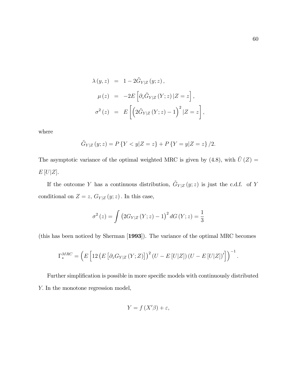$$
\lambda(y, z) = 1 - 2\tilde{G}_{Y|Z}(y; z),
$$
  
\n
$$
\mu(z) = -2E\left[\partial_z \tilde{G}_{Y|Z}(Y; z)|Z = z\right],
$$
  
\n
$$
\sigma^2(z) = E\left[\left(2\tilde{G}_{Y|Z}(Y; z) - 1\right)^2 |Z = z\right],
$$

where

$$
\tilde{G}_{Y|Z}(y;z) = P\{Y < y|Z=z\} + P\{Y=y|Z=z\}/2.
$$

The asymptotic variance of the optimal weighted MRC is given by (4.8), with  $\tilde{U}(Z) =$  $E[U|Z]$ .

If the outcome Y has a continuous distribution,  $\tilde{G}_{Y|Z}(y;z)$  is just the c.d.f. of Y conditional on  $Z=z,\,G_{Y|Z}\left(y;z\right).$  In this case,

$$
\sigma^{2}(z) = \int (2G_{Y|Z}(Y; z) - 1)^{2} dG(Y; z) = \frac{1}{3}
$$

(this has been noticed by Sherman [1993]). The variance of the optimal MRC becomes

$$
\Gamma_*^{MRC} = \left( E \left[ 12 \left( E \left[ \partial_z G_{Y|Z} \left( Y; Z \right) \right] \right)^2 \left( U - E \left[ U|Z \right] \right) \left( U - E \left[ U|Z \right] \right)' \right] \right)^{-1}.
$$

Further simplification is possible in more specific models with continuously distributed Y: In the monotone regression model,

$$
Y = f(X'\beta) + \varepsilon,
$$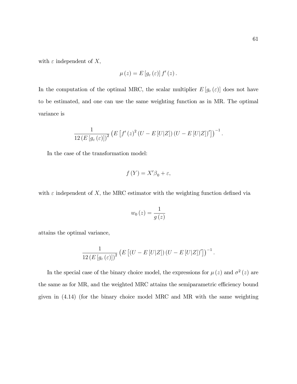with  $\varepsilon$  independent of X,

$$
\mu(z) = E[g_{\varepsilon}(\varepsilon)] f'(z).
$$

In the computation of the optimal MRC, the scalar multiplier  $E[g_{\varepsilon}(\varepsilon)]$  does not have to be estimated, and one can use the same weighting function as in MR. The optimal variance is

$$
\frac{1}{12(E[g_{\varepsilon}(\varepsilon)])^2} \left( E\left[ f'(z)^2 (U - E[U|Z]) (U - E[U|Z])' \right] \right)^{-1}.
$$

In the case of the transformation model:

$$
f(Y) = X'\beta_0 + \varepsilon,
$$

with  $\varepsilon$  independent of X, the MRC estimator with the weighting function defined via

$$
w_0\left(z\right) = \frac{1}{g\left(z\right)}
$$

attains the optimal variance,

$$
\frac{1}{12(E[g_{\varepsilon}(\varepsilon)])^2}\left(E\left[(U-E[U|Z])\left(U-E[U|Z]\right)'\right]\right)^{-1}.
$$

In the special case of the binary choice model, the expressions for  $\mu(z)$  and  $\sigma^2(z)$  are the same as for MR, and the weighted MRC attains the semiparametric efficiency bound given in (4.14) (for the binary choice model MRC and MR with the same weighting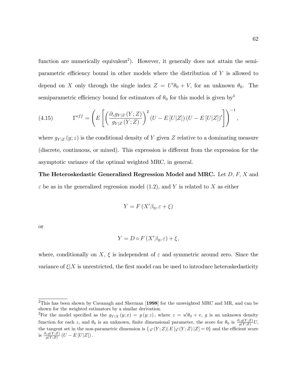function are numerically equivalent<sup>2</sup>). However, it generally does not attain the semiparametric efficiency bound in other models where the distribution of  $Y$  is allowed to depend on X only through the single index  $Z = U'\theta_0 + V$ , for an unknown  $\theta_0$ . The semiparametric efficiency bound for estimators of  $\theta_0$  for this model is given by<sup>3</sup>

(4.15) 
$$
\Gamma^{eff} = \left( E \left[ \left( \frac{\partial_z g_{Y|Z} \left( Y;Z \right)}{g_{Y|Z} \left( Y;Z \right)} \right)^2 \left( U - E \left[ U|Z \right] \right) \left( U - E \left[ U|Z \right] \right)' \right] \right)^{-1},
$$

where  $g_{Y|Z}(y; z)$  is the conditional density of Y given Z relative to a dominating measure (discrete, continuous, or mixed). This expression is different from the expression for the asymptotic variance of the optimal weighted MRC, in general.

The Heteroskedastic Generalized Regression Model and MRC. Let  $D, F, X$  and  $\varepsilon$  be as in the generalized regression model (1.2), and Y is related to X as either

$$
Y = F\left(X'\beta_0, \varepsilon + \xi\right)
$$

or

$$
Y = D \circ F(X'\beta_0, \varepsilon) + \xi,
$$

where, conditionally on X,  $\xi$  is independent of  $\varepsilon$  and symmetric around zero. Since the variance of  $\xi|X$  is unrestricted, the first model can be used to introduce heteroskedasticity

<sup>&</sup>lt;sup>2</sup>This has been shown by Cavanagh and Sherman [1998] for the unweighted MRC and MR, and can be shown for the weighted estimators by a similar derivation.

<sup>&</sup>lt;sup>3</sup>For the model specified as the  $g_{Y|X}(y;x) = g(y;z)$ , where  $z = u'\theta_0 + v$ , g is an unknown density function for each z, and  $\theta_0$  is an unknown, finite dimensional parameter, the score for  $\theta_0$  is  $\frac{\partial_z g(Y;Z)}{g(Y;Z)}U$ , the tangent set in the non-parametric dimension is  $\{\varphi(Y;Z)|E[\varphi(Y;Z)|Z]=0\}$  and the efficient score is  $\frac{\partial_z g(Y;Z)}{g(Y;Z)}(U - E[U|Z]).$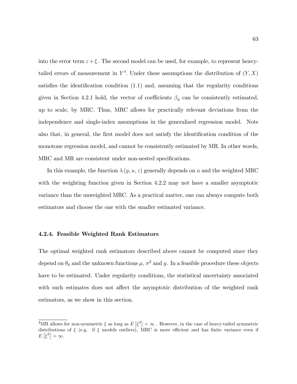into the error term  $\varepsilon + \xi$ . The second model can be used, for example, to represent heavytailed errors of measurement in  $Y^4$ . Under these assumptions the distribution of  $(Y, X)$ satisfies the identification condition  $(1.1)$  and, assuming that the regularity conditions given in Section 4.2.1 hold, the vector of coefficients  $\beta_0$  can be consistently estimated, up to scale, by MRC. Thus, MRC allows for practically relevant deviations from the independence and single-index assumptions in the generalized regression model. Note also that, in general, the first model does not satisfy the identification condition of the monotone regression model, and cannot be consistently estimated by MR. In other words, MRC and MR are consistent under non-nested specifications.

In this example, the function  $\lambda(y, u, z)$  generally depends on u and the weighted MRC with the weighting function given in Section 4.2.2 may not have a smaller asymptotic variance than the unweighted MRC. As a practical matter, one can always compute both estimators and choose the one with the smaller estimated variance.

#### 4.2.4. Feasible Weighted Rank Estimators

The optimal weighted rank estimators described above cannot be computed since they depend on  $\theta_0$  and the unknown functions  $\mu$ ,  $\sigma^2$  and g. In a feasible procedure these objects have to be estimated. Under regularity conditions, the statistical uncertainty associated with such estimates does not affect the asymptotic distribution of the weighted rank estimators, as we show in this section.

<sup>&</sup>lt;sup>4</sup>MR allows for non-symmetric  $\xi$  as long as  $E\left[\xi^2\right] < \infty$ . However, in the case of heavy-tailed symmetric distributions of  $\xi$  (e.g. if  $\xi$  models outliers), MRC is more efficient and has finite variance even if  $E\left[\xi^2\right] = \infty.$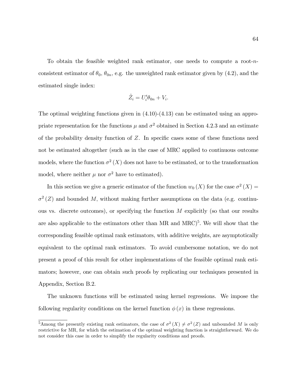To obtain the feasible weighted rank estimator, one needs to compute a root-nconsistent estimator of  $\theta_0$ ,  $\theta_{0n}$ , e.g. the unweighted rank estimator given by (4.2), and the estimated single index:

$$
\hat{Z}_i = U'_i \theta_{0n} + V_i.
$$

The optimal weighting functions given in (4.10)-(4.13) can be estimated using an appropriate representation for the functions  $\mu$  and  $\sigma^2$  obtained in Section 4.2.3 and an estimate of the probability density function of  $Z$ . In specific cases some of these functions need not be estimated altogether (such as in the case of MRC applied to continuous outcome models, where the function  $\sigma^2(X)$  does not have to be estimated, or to the transformation model, where neither  $\mu$  nor  $\sigma^2$  have to estimated).

In this section we give a generic estimator of the function  $w_0(X)$  for the case  $\sigma^2(X)$  =  $\sigma^2(Z)$  and bounded M, without making further assumptions on the data (e.g. continuous vs. discrete outcomes), or specifying the function M explicitly (so that our results are also applicable to the estimators other than  $MR$  and  $MRC$ <sup>5</sup>. We will show that the corresponding feasible optimal rank estimators, with additive weights, are asymptotically equivalent to the optimal rank estimators. To avoid cumbersome notation, we do not present a proof of this result for other implementations of the feasible optimal rank estimators; however, one can obtain such proofs by replicating our techniques presented in Appendix, Section B.2.

The unknown functions will be estimated using kernel regressions. We impose the following regularity conditions on the kernel function  $\phi(x)$  in these regressions.

<sup>&</sup>lt;sup>5</sup>Among the presently existing rank estimators, the case of  $\sigma^2(X) \neq \sigma^2(Z)$  and unbounded M is only restrictive for MR, for which the estimation of the optimal weighting function is straightforward. We do not consider this case in order to simplify the regularity conditions and proofs.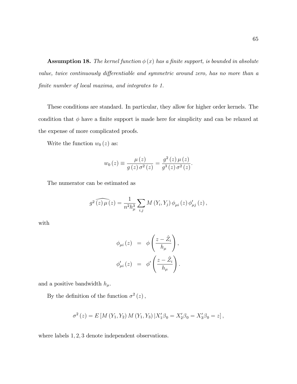**Assumption 18.** The kernel function  $\phi(x)$  has a finite support, is bounded in absolute value, twice continuously differentiable and symmetric around zero, has no more than a finite number of local maxima, and integrates to 1.

These conditions are standard. In particular, they allow for higher order kernels. The condition that  $\phi$  have a finite support is made here for simplicity and can be relaxed at the expense of more complicated proofs.

Write the function  $w_0(z)$  as:

$$
w_0(z) \equiv \frac{\mu(z)}{g(z)\sigma^2(z)} = \frac{g^2(z)\mu(z)}{g^3(z)\sigma^2(z)}.
$$

The numerator can be estimated as

$$
g^{2}\widehat{(z)\mu(z)} = \frac{1}{n^{2}h_{\mu}^{3}} \sum_{i,j} M(Y_{i}, Y_{j}) \phi_{\mu i}(z) \phi'_{\mu j}(z),
$$

with

$$
\phi_{\mu i}(z) = \phi\left(\frac{z - \hat{Z}_i}{h_{\mu}}\right),
$$
  

$$
\phi'_{\mu i}(z) = \phi'\left(\frac{z - \hat{Z}_i}{h_{\mu}}\right).
$$

and a positive bandwidth  $h_\mu.$ 

By the definition of the function  $\sigma^2(z)$ ,

$$
\sigma^{2}(z) = E\left[M(Y_{1}, Y_{2}) M(Y_{1}, Y_{3}) | X'_{1} \beta_{0} = X'_{2} \beta_{0} = X'_{3} \beta_{0} = z\right],
$$

where labels  $1, 2, 3$  denote independent observations.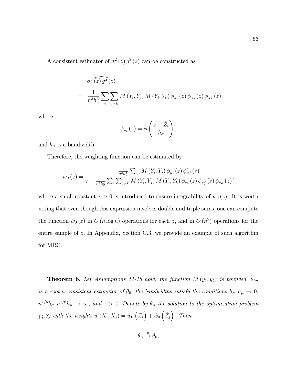A consistent estimator of  $\sigma^2(z) g^3(z)$  can be constructed as

$$
\sigma^{2}\widehat{(z)g^{3}}(z)
$$
  
= 
$$
\frac{1}{n^{3}h_{\sigma}^{3}}\sum_{i}\sum_{j\neq k}M(Y_{i},Y_{j})M(Y_{i},Y_{k})\phi_{\sigma i}(z)\phi_{\sigma j}(z)\phi_{\sigma k}(z),
$$

where

$$
\phi_{\sigma i}(z) = \phi\left(\frac{z - \hat{Z}_i}{h_{\sigma}}\right),\,
$$

and  $h_{\sigma}$  is a bandwidth.

Therefore, the weighting function can be estimated by

$$
\hat{w}_0(z) = \frac{\frac{1}{n^2 h_\mu^3} \sum_{i,j} M(Y_i, Y_j) \phi_{\mu i}(z) \phi'_{\mu j}(z)}{\tau + \frac{1}{n^3 h_\sigma^3} \sum_i \sum_{j \neq k} M(Y_i, Y_j) M(Y_i, Y_k) \phi_{\sigma i}(z) \phi_{\sigma j}(z) \phi_{\sigma k}(z)},
$$

where a small constant  $\tau > 0$  is introduced to ensure integrability of  $w_0(z)$ . It is worth noting that even though this expression involves double and triple sums, one can compute the function  $\hat{w}_0(z)$  in  $O(n \log n)$  operations for each z, and in  $O(n^2)$  operations for the entire sample of  $z$ . In Appendix, Section C.3, we provide an example of such algorithm for MRC.

**Theorem 8.** Let Assumptions 11-18 hold, the function  $M(y_1, y_2)$  is bounded,  $\theta_{0n}$ is a root-n-consistent estimator of  $\theta_0$ , the bandwidths satisfy the conditions  $h_{\sigma}$ ,  $h_{\mu} \to 0$ ,  $n^{1/6}h_{\sigma}$ ,  $n^{1/6}h_{\mu} \to \infty$ , and  $\tau > 0$ . Denote by  $\theta_n$  the solution to the optimization problem  $(4.3)$  with the weights  $\hat{w} (X_i, X_j) = \hat{w}_0 (\hat{Z}_i) + \hat{w}_0 (\hat{Z}_j)$ . Then

 $\theta_n \xrightarrow{p} \theta_0,$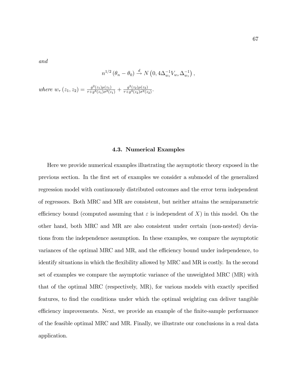and

$$
n^{1/2} \left( \theta_n - \theta_0 \right) \stackrel{d}{\rightarrow} N \left( 0, 4 \Delta_{w_\tau}^{-1} V_{w_\tau} \Delta_{w_\tau}^{-1} \right),
$$

where  $w_{\tau}(z_1, z_2) = \frac{g^2(z_1)\mu(z_1)}{\tau + g^3(z_1)\sigma^2(z_2)}$  $\frac{g^2(z_1)\mu(z_1)}{\tau+g^3(z_1)\sigma^2(z_1)}+\frac{g^2(z_2)\mu(z_2)}{\tau+g^3(z_2)\sigma^2(z_1)}$  $\frac{g^2(z_2)\mu(z_2)}{\tau+g^3(z_2)\sigma^2(z_2)}$ .

#### 4.3. Numerical Examples

Here we provide numerical examples illustrating the asymptotic theory exposed in the previous section. In the Örst set of examples we consider a submodel of the generalized regression model with continuously distributed outcomes and the error term independent of regressors. Both MRC and MR are consistent, but neither attains the semiparametric efficiency bound (computed assuming that  $\varepsilon$  is independent of X) in this model. On the other hand, both MRC and MR are also consistent under certain (non-nested) deviations from the independence assumption. In these examples, we compare the asymptotic variances of the optimal MRC and MR, and the efficiency bound under independence, to identify situations in which the flexibility allowed by MRC and MR is costly. In the second set of examples we compare the asymptotic variance of the unweighted MRC (MR) with that of the optimal MRC (respectively, MR), for various models with exactly specified features, to find the conditions under which the optimal weighting can deliver tangible efficiency improvements. Next, we provide an example of the finite-sample performance of the feasible optimal MRC and MR. Finally, we illustrate our conclusions in a real data application.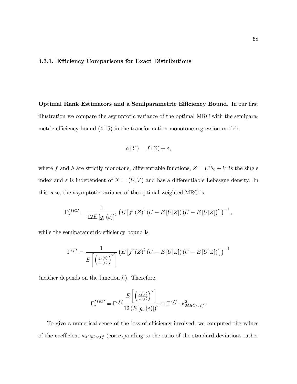## 4.3.1. Efficiency Comparisons for Exact Distributions

Optimal Rank Estimators and a Semiparametric Efficiency Bound. In our first illustration we compare the asymptotic variance of the optimal MRC with the semiparametric efficiency bound  $(4.15)$  in the transformation-monotone regression model:

$$
h(Y) = f(Z) + \varepsilon,
$$

where f and h are strictly monotone, differentiable functions,  $Z = U'\theta_0 + V$  is the single index and  $\varepsilon$  is independent of  $X = (U, V)$  and has a differentiable Lebesgue density. In this case, the asymptotic variance of the optimal weighted MRC is

$$
\Gamma_*^{MRC} = \frac{1}{12E\left[g_\varepsilon(\varepsilon)\right]^2} \left( E\left[f'(Z)^2(U - E[U|Z]) (U - E[U|Z])'\right] \right)^{-1},
$$

while the semiparametric efficiency bound is

$$
\Gamma^{eff} = \frac{1}{E\left[\left(\frac{g_c'(z)}{g_c(z)}\right)^2\right]} \left(E\left[f'(Z)^2(U - E[U|Z])\left(U - E[U|Z]\right)'\right]\right)^{-1}
$$

(neither depends on the function  $h$ ). Therefore,

$$
\Gamma_*^{MRC} = \Gamma^{eff} \frac{E\left[\left(\frac{g_\varepsilon'(\varepsilon)}{g_\varepsilon(\varepsilon)}\right)^2\right]}{12\left(E\left[g_\varepsilon\left(\varepsilon\right)\right]\right)^2} \equiv \Gamma^{eff} \cdot \kappa_{MRC/eff}^2.
$$

To give a numerical sense of the loss of efficiency involved, we computed the values of the coefficient  $\kappa_{MRC/eff}$  (corresponding to the ratio of the standard deviations rather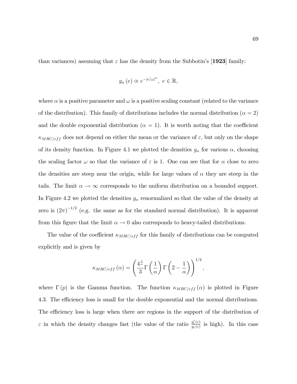than variances) assuming that  $\varepsilon$  has the density from the Subbotin's [1923] family:

$$
g_{\alpha}(e) \propto e^{-|e/\omega|^{\alpha}}, e \in \mathbb{R},
$$

where  $\alpha$  is a positive parameter and  $\omega$  is a positive scaling constant (related to the variance of the distribution). This family of distributions includes the normal distribution ( $\alpha = 2$ ) and the double exponential distribution ( $\alpha = 1$ ). It is worth noting that the coefficient  $\kappa_{MRC/eff}$  does not depend on either the mean or the variance of  $\varepsilon$ , but only on the shape of its density function. In Figure 4.1 we plotted the densities  $g_{\alpha}$  for various  $\alpha$ , choosing the scaling factor  $\omega$  so that the variance of  $\varepsilon$  is 1. One can see that for  $\alpha$  close to zero the densities are steep near the origin, while for large values of  $\alpha$  they are steep in the tails. The limit  $\alpha \to \infty$  corresponds to the uniform distribution on a bounded support. In Figure 4.2 we plotted the densities  $g_{\alpha}$  renormalized so that the value of the density at zero is  $(2\pi)^{-1/2}$  (e.g. the same as for the standard normal distribution). It is apparent from this figure that the limit  $\alpha \to 0$  also corresponds to heavy-tailed distributions.

The value of the coefficient  $\kappa_{MRC/eff}$  for this family of distributions can be computed explicitly and is given by

$$
\kappa_{MRC/eff}(\alpha) = \left(\frac{4^{\frac{1}{\alpha}}}{3}\Gamma\left(\frac{1}{\alpha}\right)\Gamma\left(2-\frac{1}{\alpha}\right)\right)^{1/2},\,
$$

where  $\Gamma(p)$  is the Gamma function. The function  $\kappa_{MRC/eff}(\alpha)$  is plotted in Figure 4.3. The efficiency loss is small for the double exponential and the normal distributions. The efficiency loss is large when there are regions in the support of the distribution of  $\varepsilon$  in which the density changes fast (the value of the ratio  $\frac{g'_\varepsilon(\varepsilon)}{g_\varepsilon(\varepsilon)}$  $\frac{g_{\varepsilon}(\varepsilon)}{g_{\varepsilon}(\varepsilon)}$  is high). In this case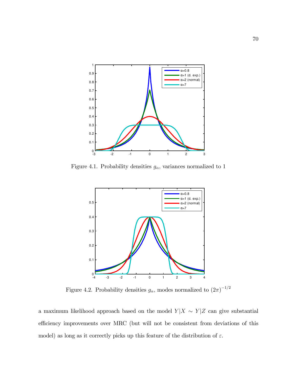

Figure 4.1. Probability densities  $g_{\alpha}$ , variances normalized to 1



Figure 4.2. Probability densities  $g_{\alpha}$ , modes normalized to  $(2\pi)^{-1/2}$ 

a maximum likelihood approach based on the model  $Y|X \sim Y|Z$  can give substantial efficiency improvements over MRC (but will not be consistent from deviations of this model) as long as it correctly picks up this feature of the distribution of  $\varepsilon$ .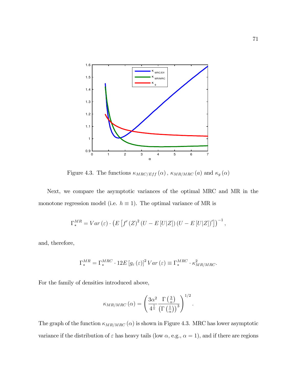

Figure 4.3. The functions  $\kappa_{MRC/Eff} \left( \alpha \right)$  ,  $\kappa_{M R/MRC} \left( a \right)$  and  $\kappa_{g} \left( \alpha \right)$ 

Next, we compare the asymptotic variances of the optimal MRC and MR in the monotone regression model (i.e.  $h \equiv 1$ ). The optimal variance of MR is

$$
\Gamma_*^{MR} = Var\left(\varepsilon\right) \cdot \left(E\left[f'(Z)^2\left(U - E\left[U|Z\right]\right)\left(U - E\left[U|Z\right]\right)'\right]\right)^{-1},
$$

and, therefore,

$$
\Gamma_*^{MR} = \Gamma_*^{MRC} \cdot 12E \left[ g_\varepsilon(\varepsilon) \right]^2 Var \left( \varepsilon \right) \equiv \Gamma_*^{MRC} \cdot \kappa_{MR/MRC}^2.
$$

For the family of densities introduced above,

$$
\kappa_{MR/MRC}(\alpha) = \left(\frac{3\alpha^2}{4^{\frac{1}{\alpha}}}\frac{\Gamma(\frac{3}{\alpha})}{\left(\Gamma(\frac{1}{\alpha})\right)^3}\right)^{1/2}.
$$

The graph of the function  $\kappa_{MR/MRC}(\alpha)$  is shown in Figure 4.3. MRC has lower asymptotic variance if the distribution of  $\varepsilon$  has heavy tails (low  $\alpha$ , e.g.,  $\alpha = 1$ ), and if there are regions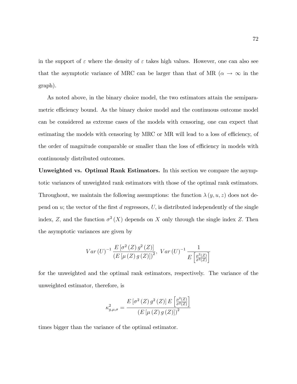in the support of  $\varepsilon$  where the density of  $\varepsilon$  takes high values. However, one can also see that the asymptotic variance of MRC can be larger than that of MR ( $\alpha \to \infty$  in the graph).

As noted above, in the binary choice model, the two estimators attain the semiparametric efficiency bound. As the binary choice model and the continuous outcome model can be considered as extreme cases of the models with censoring, one can expect that estimating the models with censoring by MRC or MR will lead to a loss of efficiency, of the order of magnitude comparable or smaller than the loss of efficiency in models with continuously distributed outcomes.

Unweighted vs. Optimal Rank Estimators. In this section we compare the asymptotic variances of unweighted rank estimators with those of the optimal rank estimators. Throughout, we maintain the following assumptions: the function  $\lambda(y, u, z)$  does not depend on  $u$ ; the vector of the first d regressors, U, is distributed independently of the single index, Z, and the function  $\sigma^2(X)$  depends on X only through the single index Z. Then the asymptotic variances are given by

$$
Var(U)^{-1} \frac{E\left[\sigma^2(Z) g^2(Z)\right]}{\left(E\left[\mu(Z) g(Z)\right]\right)^2}, Var(U)^{-1} \frac{1}{E\left[\frac{\mu^2(Z)}{\sigma^2(Z)}\right]}
$$

for the unweighted and the optimal rank estimators, respectively. The variance of the unweighted estimator, therefore, is

$$
\kappa_{g,\mu,\sigma}^{2} = \frac{E\left[\sigma^{2}\left(Z\right)g^{2}\left(Z\right)\right]E\left[\frac{\mu^{2}\left(Z\right)}{\sigma^{2}\left(Z\right)}\right]}{\left(E\left[\mu\left(Z\right)g\left(Z\right)\right]\right)^{2}}
$$

times bigger than the variance of the optimal estimator.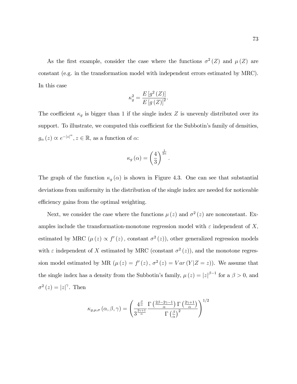As the first example, consider the case where the functions  $\sigma^2(Z)$  and  $\mu(Z)$  are constant (e.g. in the transformation model with independent errors estimated by MRC). In this case

$$
\kappa_g^2 = \frac{E\left[g^2\left(Z\right)\right]}{E\left[g\left(Z\right)\right]^2}.
$$

The coefficient  $\kappa_g$  is bigger than 1 if the single index Z is unevenly distributed over its support. To illustrate, we computed this coefficient for the Subbotin's family of densities,  $g_{\alpha}(z) \propto e^{-|z|^{\alpha}}, z \in \mathbb{R}$ , as a function of  $\alpha$ :

$$
\kappa_g\left(\alpha\right) = \left(\frac{4}{3}\right)^{\frac{1}{2\alpha}}.
$$

The graph of the function  $\kappa_g(\alpha)$  is shown in Figure 4.3. One can see that substantial deviations from uniformity in the distribution of the single index are needed for noticeable efficiency gains from the optimal weighting.

Next, we consider the case where the functions  $\mu(z)$  and  $\sigma^2(z)$  are nonconstant. Examples include the transformation-monotone regression model with  $\varepsilon$  independent of X, estimated by MRC  $(\mu(z) \propto f'(z)$ , constant  $\sigma^2(z)$ , other generalized regression models with  $\varepsilon$  independent of X estimated by MRC (constant  $\sigma^2(z)$ ), and the monotone regression model estimated by MR  $(\mu(z) = f'(z), \sigma^2(z) = Var(Y|Z = z))$ . We assume that the single index has a density from the Subbotin's family,  $\mu(z) = |z|^{\beta - 1}$  for a  $\beta > 0$ , and  $\sigma^2(z) = |z|^\gamma$ . Then

$$
\kappa_{g,\mu,\sigma}\left(\alpha,\beta,\gamma\right) = \left(\frac{4^{\frac{\beta}{\alpha}}}{3^{\frac{2\gamma+1}{\alpha}}}\frac{\Gamma\left(\frac{2\beta-2\gamma-1}{\alpha}\right)\Gamma\left(\frac{2\gamma+1}{\alpha}\right)}{\Gamma\left(\frac{\beta}{\alpha}\right)^2}\right)^{1/2}
$$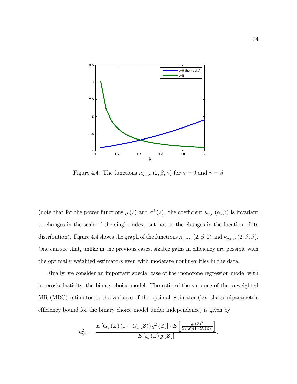

Figure 4.4. The functions  $\kappa_{g,\mu,\sigma}\left(2,\beta,\gamma\right)$  for  $\gamma=0$  and  $\gamma=\beta$ 

(note that for the power functions  $\mu(z)$  and  $\sigma^2(z)$ , the coefficient  $\kappa_{g,\mu}(\alpha,\beta)$  is invariant to changes in the scale of the single index, but not to the changes in the location of its distribution). Figure 4.4 shows the graph of the functions  $\kappa_{g,\mu,\sigma}(2,\beta,0)$  and  $\kappa_{g,\mu,\sigma}(2,\beta,\beta)$ . One can see that, unlike in the previous cases, sizable gains in efficiency are possible with the optimally weighted estimators even with moderate nonlinearities in the data.

Finally, we consider an important special case of the monotone regression model with heteroskedasticity, the binary choice model. The ratio of the variance of the unweighted MR (MRC) estimator to the variance of the optimal estimator (i.e. the semiparametric efficiency bound for the binary choice model under independence) is given by

$$
\kappa_{bin}^{2} = \frac{E\left[G_{\varepsilon}\left(Z\right)\left(1-G_{\varepsilon}\left(Z\right)\right)g^{2}\left(Z\right)\right] \cdot E\left[\frac{g_{\varepsilon}\left(Z\right)^{2}}{G_{\varepsilon}\left(Z\right)\left(1-G_{\varepsilon}\left(Z\right)\right)}\right]}{E\left[g_{\varepsilon}\left(Z\right)g\left(Z\right)\right]}.
$$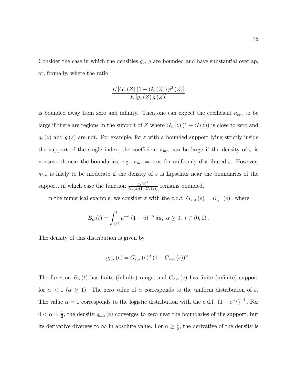Consider the case in which the densities  $g_{\varepsilon}$ , g are bounded and have substantial overlap, or, formally, where the ratio

$$
\frac{E\left[G_{\varepsilon}\left(Z\right)\left(1-G_{\varepsilon}\left(Z\right)\right)g^{2}\left(Z\right)\right]}{E\left[g_{\varepsilon}\left(Z\right)g\left(Z\right)\right]}
$$

is bounded away from zero and infinity. Then one can expect the coefficient  $\kappa_{bin}$  to be large if there are regions in the support of Z where  $G_{\varepsilon}(z)$  (1 –  $G(z)$ ) is close to zero and  $g_{\varepsilon}(z)$  and  $g(z)$  are not. For example, for  $\varepsilon$  with a bounded support lying strictly inside the support of the single index, the coefficient  $\kappa_{bin}$  can be large if the density of  $\varepsilon$  is nonsmooth near the boundaries, e.g.,  $\kappa_{bin} = +\infty$  for uniformly distributed  $\varepsilon$ . However,  $\kappa_{bin}$  is likely to be moderate if the density of  $\varepsilon$  is Lipschitz near the boundaries of the support, in which case the function  $\frac{g_{\varepsilon}(z)^2}{G_{\varepsilon}(z)(1-G_{\varepsilon}(z))}$  remains bounded.

In the numerical example, we consider  $\varepsilon$  with the c.d.f.  $G_{\varepsilon,\alpha}(e) = B_{\alpha}^{-1}(e)$ , where

$$
B_{\alpha}(t) = \int_{1/2}^{t} u^{-\alpha} (1 - u)^{-\alpha} du, \ \alpha \ge 0, \ t \in (0, 1).
$$

The density of this distribution is given by

$$
g_{\varepsilon,\alpha}(e) = G_{\varepsilon,\alpha}(e)^{\alpha} (1 - G_{\varepsilon,\alpha}(e))^{\alpha}.
$$

The function  $B_{\alpha}(t)$  has finite (infinite) range, and  $G_{\varepsilon,\alpha}(e)$  has finite (infinite) support for  $\alpha < 1$  ( $\alpha \geq 1$ ). The zero value of  $\alpha$  corresponds to the uniform distribution of  $\varepsilon$ . The value  $\alpha = 1$  corresponds to the logistic distribution with the c.d.f.  $(1 + e^{-z})^{-1}$ . For  $0 < \alpha < \frac{1}{2}$ , the density  $g_{\varepsilon,\alpha}(e)$  converges to zero near the boundaries of the support, but its derivative diverges to  $\infty$  in absolute value. For  $\alpha \geq \frac{1}{2}$  $\frac{1}{2}$ , the derivative of the density is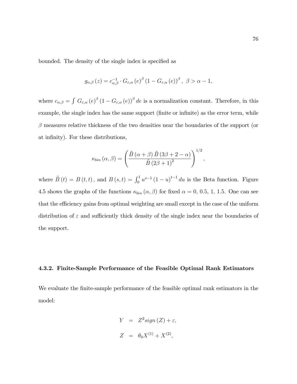bounded. The density of the single index is specified as

$$
g_{\alpha,\beta}\left(z\right) = c_{\alpha,\beta}^{-1} \cdot G_{\varepsilon,\alpha}\left(e\right)^{\beta}\left(1 - G_{\varepsilon,\alpha}\left(e\right)\right)^{\beta}, \ \beta > \alpha - 1,
$$

where  $c_{\alpha,\beta} = \int G_{\varepsilon,\alpha} (e)^{\beta} (1 - G_{\varepsilon,\alpha} (e))^{\beta} de$  is a normalization constant. Therefore, in this example, the single index has the same support (finite or infinite) as the error term, while  $\beta$  measures relative thickness of the two densities near the boundaries of the support (or at infinity). For these distributions,

$$
\kappa_{bin}(\alpha,\beta) = \left(\frac{\tilde{B}(\alpha+\beta) \tilde{B}(3\beta+2-\alpha)}{\tilde{B}(2\beta+1)^2}\right)^{1/2},\,
$$

where  $\tilde{B}(t) = B(t, t)$ , and  $B(s, t) = \int_0^1 u^{s-1} (1-u)^{t-1} du$  is the Beta function. Figure 4.5 shows the graphs of the functions  $\kappa_{bin}(\alpha, \beta)$  for fixed  $\alpha = 0, 0.5, 1, 1.5$ . One can see that the efficiency gains from optimal weighting are small except in the case of the uniform distribution of  $\varepsilon$  and sufficiently thick density of the single index near the boundaries of the support.

#### 4.3.2. Finite-Sample Performance of the Feasible Optimal Rank Estimators

We evaluate the finite-sample performance of the feasible optimal rank estimators in the model:

$$
Y = Z^2 sign(Z) + \varepsilon,
$$
  

$$
Z = \theta_0 X^{(1)} + X^{(2)},
$$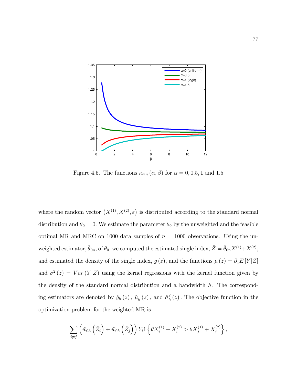

Figure 4.5. The functions  $\kappa_{bin}(\alpha, \beta)$  for  $\alpha = 0, 0.5, 1$  and 1.5

where the random vector  $(X^{(1)}, X^{(2)}, \varepsilon)$  is distributed according to the standard normal distribution and  $\theta_0 = 0$ . We estimate the parameter  $\theta_0$  by the unweighted and the feasible optimal MR and MRC on 1000 data samples of  $n = 1000$  observations. Using the unweighted estimator,  $\hat{\theta}_{0n}$ , of  $\theta_0$ , we computed the estimated single index,  $\hat{Z} = \hat{\theta}_{0n}X^{(1)}+X^{(2)}$ , and estimated the density of the single index,  $g(z)$ , and the functions  $\mu(z) = \partial_z E[Y|Z]$ and  $\sigma^2(z) = Var(Y|Z)$  using the kernel regressions with the kernel function given by the density of the standard normal distribution and a bandwidth  $h$ . The corresponding estimators are denoted by  $\hat{g}_h(z)$ ,  $\hat{\mu}_h(z)$ , and  $\hat{\sigma}_h^2$  $h<sub>h</sub>(z)$ . The objective function in the optimization problem for the weighted MR is

$$
\sum_{i \neq j} \left( \hat{w}_{0h} \left( \hat{Z}_i \right) + \hat{w}_{0h} \left( \hat{Z}_j \right) \right) Y_i 1 \left\{ \theta X_i^{(1)} + X_i^{(2)} > \theta X_j^{(1)} + X_j^{(2)} \right\},\,
$$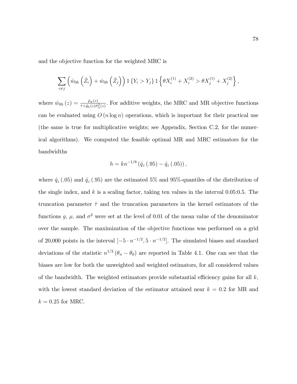and the objective function for the weighted MRC is

$$
\sum_{i \neq j} \left( \hat{w}_{0h} \left( \hat{Z}_i \right) + \hat{w}_{0h} \left( \hat{Z}_j \right) \right) 1 \left\{ Y_i > Y_j \right\} 1 \left\{ \theta X_i^{(1)} + X_i^{(2)} > \theta X_j^{(1)} + X_j^{(2)} \right\},\,
$$

where  $\hat{w}_{0h} (z) = \frac{\hat{\mu}_h(z)}{\hat{\tau} + \hat{g}_h(z)\hat{\sigma}_h^2(z)}$ . For additive weights, the MRC and MR objective functions can be evaluated using  $O(n \log n)$  operations, which is important for their practical use (the same is true for multiplicative weights; see Appendix, Section C.2, for the numerical algorithms). We computed the feasible optimal MR and MRC estimators for the bandwidths

$$
h = kn^{-1/6}(\hat{q}_z(.95) - \hat{q}_z(.05)),
$$

where  $\hat{q}_z$  (.05) and  $\hat{q}_z$  (.95) are the estimated 5% and 95%-quantiles of the distribution of the single index, and k is a scaling factor, taking ten values in the interval  $0.05:0.5$ . The truncation parameter  $\hat{\tau}$  and the truncation parameters in the kernel estimators of the functions g,  $\mu$ , and  $\sigma^2$  were set at the level of 0.01 of the mean value of the denominator over the sample. The maximization of the objective functions was performed on a grid of 20,000 points in the interval  $[-5 \cdot n^{-1/2}, 5 \cdot n^{-1/2}]$ . The simulated biases and standard deviations of the statistic  $n^{1/2}$  ( $\theta_n - \theta_0$ ) are reported in Table 4.1. One can see that the biases are low for both the unweighted and weighted estimators, for all considered values of the bandwidth. The weighted estimators provide substantial efficiency gains for all  $k$ , with the lowest standard deviation of the estimator attained near  $k = 0.2$  for MR and  $k = 0.25$  for MRC.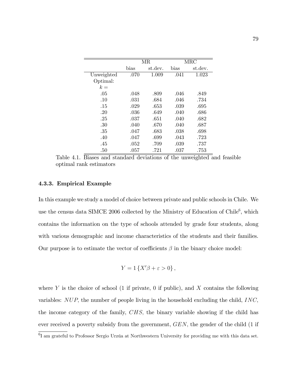|            |      | MR      |      | MRC     |
|------------|------|---------|------|---------|
|            | bias | st.dev. | bias | st.dev. |
| Unweighted | .070 | 1.009   | .041 | 1.023   |
| Optimal:   |      |         |      |         |
| $k =$      |      |         |      |         |
| .05        | .048 | .809    | .046 | .849    |
| .10        | .031 | .684    | .046 | .734    |
| .15        | .029 | .653    | .039 | .695    |
| .20        | .036 | .649    | .040 | .686    |
| .25        | .037 | .651    | .040 | .682    |
| .30        | .040 | .670    | .040 | .687    |
| .35        | .047 | .683    | .038 | .698    |
| .40        | .047 | .699    | .043 | .723    |
| .45        | .052 | .709    | .039 | .737    |
| .50        | .057 | .721    | .037 | .753    |

Table 4.1. Biases and standard deviations of the unweighted and feasible optimal rank estimators

## 4.3.3. Empirical Example

In this example we study a model of choice between private and public schools in Chile. We use the census data SIMCE 2006 collected by the Ministry of Education of Chile<sup>6</sup>, which contains the information on the type of schools attended by grade four students, along with various demographic and income characteristics of the students and their families. Our purpose is to estimate the vector of coefficients  $\beta$  in the binary choice model:

$$
Y = 1\left\{X'\beta + \varepsilon > 0\right\},\,
$$

where Y is the choice of school  $(1 \text{ if private}, 0 \text{ if public}),$  and X contains the following variables:  $NUP$ , the number of people living in the household excluding the child,  $INC$ , the income category of the family, CHS; the binary variable showing if the child has ever received a poverty subsidy from the government,  $GEN$ , the gender of the child  $(1 \text{ if } )$ 

 ${}^{6}I$  am grateful to Professor Sergio Urzúa at Northwestern University for providing me with this data set.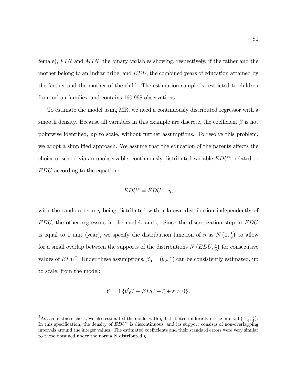female),  $FIN$  and  $MIN$ , the binary variables showing, respectively, if the father and the mother belong to an Indian tribe, and  $EDU$ , the combined years of education attained by the farther and the mother of the child. The estimation sample is restricted to children from urban families, and contains 160,998 observations.

To estimate the model using MR, we need a continuously distributed regressor with a smooth density. Because all variables in this example are discrete, the coefficient  $\beta$  is not pointwise identified, up to scale, without further assumptions. To resolve this problem, we adopt a simplified approach. We assume that the education of the parents affects the choice of school via an unobservable, continuously distributed variable  $EDU^*$ , related to EDU according to the equation:

$$
EDU^* = EDU + \eta,
$$

with the random term  $\eta$  being distributed with a known distribution independently of EDU; the other regressors in the model, and  $\varepsilon$ . Since the discretization step in EDU is equal to 1 unit (year), we specify the distribution function of  $\eta$  as  $N(0, \frac{1}{9})$  $(\frac{1}{9})$  to allow for a small overlap between the supports of the distributions  $N(EDU, \frac{1}{9})$  for consecutive values of  $EDU^7$ . Under these assumptions,  $\beta_0 = (\theta_0, 1)$  can be consistently estimated, up to scale, from the model:

$$
Y = 1\left\{\theta'_0 U + EDU + \xi + \varepsilon > 0\right\},\,
$$

<sup>&</sup>lt;sup>7</sup>As a robustness check, we also estimated the model with  $\eta$  distributed uniformly in the interval  $\left(-\frac{1}{4}, \frac{1}{4}\right)$ . In this specification, the density of  $EDU^*$  is discontinuous, and its support consists of non-overlapping intervals around the integer values. The estimated coefficients and their standard errors were very similar to those obtained under the normally distributed  $\eta$ .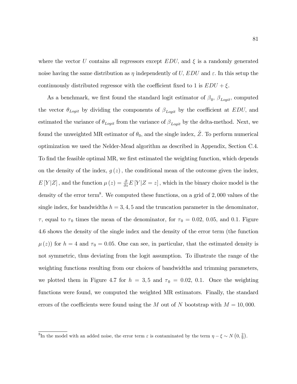where the vector U contains all regressors except  $EDU$ , and  $\xi$  is a randomly generated noise having the same distribution as  $\eta$  independently of U; EDU and  $\varepsilon$ . In this setup the continuously distributed regressor with the coefficient fixed to 1 is  $EDU + \xi$ .

As a benchmark, we first found the standard logit estimator of  $\beta_0$ ,  $\beta_{Logit}$ , computed the vector  $\theta_{Logit}$  by dividing the components of  $\beta_{Logit}$  by the coefficient at EDU, and estimated the variance of  $\theta_{Logit}$  from the variance of  $\beta_{Logit}$  by the delta-method. Next, we found the unweighted MR estimator of  $\theta_0$ , and the single index,  $\hat{Z}$ . To perform numerical optimization we used the Nelder-Mead algorithm as described in Appendix, Section C.4. To find the feasible optimal MR, we first estimated the weighting function, which depends on the density of the index,  $q(z)$ , the conditional mean of the outcome given the index,  $E[Y|Z]$ , and the function  $\mu(z) = \frac{\partial}{\partial z} E[Y|Z=z]$ , which in the binary choice model is the density of the error term<sup>8</sup>. We computed these functions, on a grid of 2,000 values of the single index, for bandwidths  $h = 3, 4, 5$  and the truncation parameter in the denominator,  $\tau$ , equal to  $\tau_0$  times the mean of the denominator, for  $\tau_0 = 0.02, 0.05$ , and 0.1. Figure 4.6 shows the density of the single index and the density of the error term (the function  $\mu(z)$  for  $h = 4$  and  $\tau_0 = 0.05$ . One can see, in particular, that the estimated density is not symmetric, thus deviating from the logit assumption. To illustrate the range of the weighting functions resulting from our choices of bandwidths and trimming parameters, we plotted them in Figure 4.7 for  $h = 3, 5$  and  $\tau_0 = 0.02, 0.1$ . Once the weighting functions were found, we computed the weighted MR estimators. Finally, the standard errors of the coefficients were found using the M out of N bootstrap with  $M = 10,000$ .

<sup>&</sup>lt;sup>8</sup>In the model with an added noise, the error term  $\varepsilon$  is contaminated by the term  $\eta - \xi \sim N(0, \frac{2}{9})$ .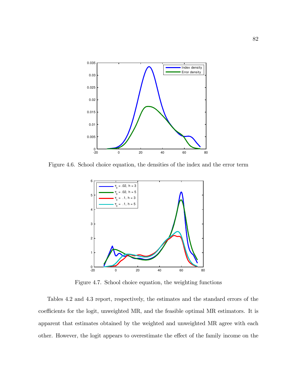

Figure 4.6. School choice equation, the densities of the index and the error term



Figure 4.7. School choice equation, the weighting functions

Tables 4.2 and 4.3 report, respectively, the estimates and the standard errors of the coefficients for the logit, unweighted MR, and the feasible optimal MR estimators. It is apparent that estimates obtained by the weighted and unweighted MR agree with each other. However, the logit appears to overestimate the effect of the family income on the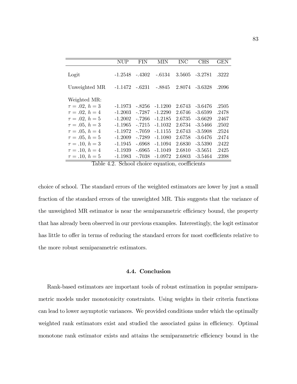|                     | <b>NUP</b> | FIN      | MIN       | <b>INC</b> | <b>CHS</b> | GEN   |
|---------------------|------------|----------|-----------|------------|------------|-------|
| Logit               | -1.2548    | $-.4302$ | -.6134    | 3.5605     | $-3.2781$  | .3222 |
| Unweighted MR       | -1.1472    | -.6231   | -.8845    | 2.8074     | $-3.6328$  | .2096 |
| Weighted MR:        |            |          |           |            |            |       |
| $\tau = .02, h = 3$ | -1.1973    | -.8256   | $-1.1200$ | 2.6743     | $-3.6476$  | .2505 |
| $\tau = .02, h = 4$ | $-1.2003$  | $-.7287$ | $-1.2290$ | 2.6746     | $-3.6599$  | .2478 |
| $\tau = .02, h = 5$ | $-1.2002$  | $-.7266$ | $-1.2185$ | 2.6735     | $-3.6629$  | .2467 |
| $\tau = .05, h = 3$ | $-1.1965$  | $-.7215$ | $-1.1032$ | 2.6734     | $-3.5466$  | .2502 |
| $\tau = .05, h = 4$ | $-1.1972$  | $-.7059$ | $-1.1155$ | 2.6743     | $-3.5908$  | .2524 |
| $\tau = .05, h = 5$ | $-1.2009$  | $-.7289$ | $-1.1080$ | 2.6758     | $-3.6476$  | .2474 |
| $\tau = .10, h = 3$ | $-1.1945$  | $-.6968$ | $-1.1094$ | 2.6830     | $-3.5390$  | .2422 |
| $\tau = .10, h = 4$ | $-1.1939$  | -.6965   | $-1.1049$ | 2.6810     | $-3.5651$  | .2425 |
| $\tau = .10, h = 5$ | $-1.1983$  | $-.7038$ | $-1.0972$ | 2.6803     | $-3.5464$  | .2398 |

Table 4.2. School choice equation, coefficients

choice of school. The standard errors of the weighted estimators are lower by just a small fraction of the standard errors of the unweighted MR. This suggests that the variance of the unweighted MR estimator is near the semiparametric efficiency bound, the property that has already been observed in our previous examples. Interestingly, the logit estimator has little to offer in terms of reducing the standard errors for most coefficients relative to the more robust semiparametric estimators.

#### 4.4. Conclusion

Rank-based estimators are important tools of robust estimation in popular semiparametric models under monotonicity constraints. Using weights in their criteria functions can lead to lower asymptotic variances. We provided conditions under which the optimally weighted rank estimators exist and studied the associated gains in efficiency. Optimal monotone rank estimator exists and attains the semiparametric efficiency bound in the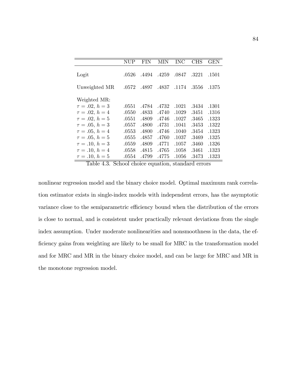|                     | NUP   | FIN   | MIN   | $_{\mathrm{INC}}$ | CHS   | <b>GEN</b> |
|---------------------|-------|-------|-------|-------------------|-------|------------|
| Logit               | .0526 | .4494 | .4259 | .0847             | .3221 | .1501      |
| Unweighted MR       | .0572 | .4897 | .4837 | .1174             | .3556 | .1375      |
| Weighted MR:        |       |       |       |                   |       |            |
| $\tau = .02, h = 3$ | .0551 | .4784 | .4732 | .1021             | .3434 | .1301      |
| $\tau = .02, h = 4$ | .0550 | .4833 | .4740 | .1029             | .3451 | .1316      |
| $\tau = .02, h = 5$ | .0551 | .4809 | .4746 | .1027             | .3465 | .1323      |
| $\tau = .05, h = 3$ | .0557 | .4800 | .4731 | .1041             | .3453 | .1322      |
| $\tau = .05, h = 4$ | .0553 | .4800 | .4746 | .1040             | .3454 | .1323      |
| $\tau = .05, h = 5$ | .0555 | .4857 | .4760 | .1037             | .3469 | .1325      |
| $\tau = .10, h = 3$ | .0559 | .4809 | .4771 | .1057             | .3460 | .1326      |
| $\tau = .10, h = 4$ | .0558 | .4815 | .4765 | .1058             | .3461 | .1323      |
| $\tau = .10, h = 5$ | .0554 | .4799 | .4775 | .1056             | .3473 | .1323      |

Table 4.3. School choice equation, standard errors

nonlinear regression model and the binary choice model. Optimal maximum rank correlation estimator exists in single-index models with independent errors, has the asymptotic variance close to the semiparametric efficiency bound when the distribution of the errors is close to normal, and is consistent under practically relevant deviations from the single index assumption. Under moderate nonlinearities and nonsmoothness in the data, the efficiency gains from weighting are likely to be small for MRC in the transformation model and for MRC and MR in the binary choice model, and can be large for MRC and MR in the monotone regression model.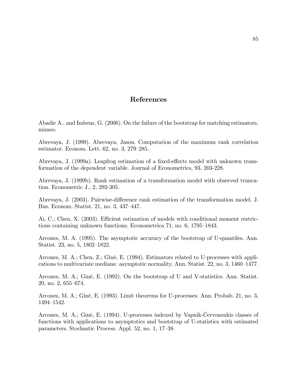# References

Abadie A., and Imbens, G. (2006). On the failure of the bootstrap for matching estimators, mimeo.

Abrevaya, J. (1999). Abrevaya, Jason. Computation of the maximum rank correlation estimator. Econom. Lett.  $62$ , no.  $3, 279-285$ .

Abrevaya, J. (1999a). Leapfrog estimation of a fixed-effects model with unknown transformation of the dependent variable. Journal of Econometrics, 93, 203-228.

Abrevaya, J. (1999b). Rank estimation of a transformation model with observed truncation. Econometric J., 2, 292-305.

Abrevaya, J. (2003). Pairwise-difference rank estimation of the transformation model. J. Bus. Econom. Statist. 21, no. 3, 437–447.

Ai, C.; Chen, X.  $(2003)$ . Efficient estimation of models with conditional moment restrictions containing unknown functions. Econometrica 71, no. 6, 1795–1843.

Arcones, M. A. (1995). The asymptotic accuracy of the bootstrap of U-quantiles. Ann. Statist. 23, no. 5, 1802–1822.

Arcones, M. A.; Chen, Z.; Giné, E. (1994). Estimators related to U-processes with applications to multivariate medians: asymptotic normality. Ann. Statist.  $22$ , no.  $3$ ,  $1460-1477$ .

Arcones, M. A.; Giné, E. (1992). On the bootstrap of U and V-statistics. Ann. Statist. 20, no. 2, 655–674.

Arcones, M. A.; Giné, E. (1993). Limit theorems for U-processes. Ann. Probab. 21, no. 3, 1494–1542.

Arcones, M. A.; Giné, E. (1994). U-processes indexed by Vapnik-Cervonenkis classes of functions with applications to asymptotics and bootstrap of U-statistics with estimated parameters. Stochastic Process. Appl. 52, no. 1, 17–38.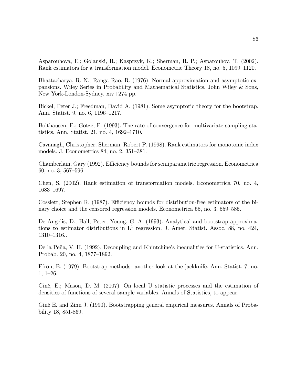Asparouhova, E.; Golanski, R.; Kasprzyk, K.; Sherman, R. P.; Asparouhov, T. (2002). Rank estimators for a transformation model. Econometric Theory 18, no. 5, 1099–1120.

Bhattacharya, R. N.; Ranga Rao, R. (1976). Normal approximation and asymptotic expansions. Wiley Series in Probability and Mathematical Statistics. John Wiley & Sons, New York-London-Sydney. xiv+274 pp.

Bickel, Peter J.; Freedman, David A. (1981). Some asymptotic theory for the bootstrap. Ann. Statist. 9, no. 6, 1196–1217.

Bolthausen, E.; Götze, F. (1993). The rate of convergence for multivariate sampling statistics. Ann. Statist. 21, no. 4,  $1692-1710$ .

Cavanagh, Christopher; Sherman, Robert P. (1998). Rank estimators for monotonic index models. J. Econometrics 84, no.  $2, 351-381$ .

Chamberlain, Gary (1992). Efficiency bounds for semiparametric regression. Econometrica 60, no. 3, 567-596.

Chen, S. (2002). Rank estimation of transformation models. Econometrica 70, no. 4, 1683–1697.

Cosslett, Stephen R.  $(1987)$ . Efficiency bounds for distribution-free estimators of the binary choice and the censored regression models. Econometrica 55, no. 3, 559–585.

De Angelis, D.; Hall, Peter; Young, G. A. (1993). Analytical and bootstrap approximations to estimator distributions in  $L^1$  regression. J. Amer. Statist. Assoc. 88, no. 424, 1310-1316..

De la Peña, V. H. (1992). Decoupling and Khintchine's inequalities for U-statistics. Ann. Probab. 20, no. 4, 1877–1892.

Efron, B. (1979). Bootstrap methods: another look at the jackknife. Ann. Statist. 7, no.  $1, 1-26.$ 

Giné, E.; Mason, D. M.  $(2007)$ . On local U-statistic processes and the estimation of densities of functions of several sample variables. Annals of Statistics, to appear.

GinÈ E. and Zinn J. (1990). Bootstrapping general empirical measures. Annals of Probability 18, 851-869.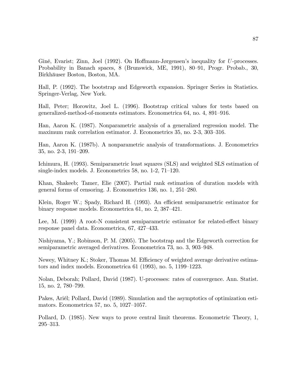Giné, Evarist; Zinn, Joel (1992). On Hoffmann-Jørgensen's inequality for U-processes. Probability in Banach spaces, 8 (Brunswick, ME, 1991), 80–91, Progr. Probab., 30, Birkhäuser Boston, Boston, MA.

Hall, P. (1992). The bootstrap and Edgeworth expansion. Springer Series in Statistics. Springer-Verlag, New York.

Hall, Peter; Horowitz, Joel L. (1996). Bootstrap critical values for tests based on generalized-method-of-moments estimators. Econometrica 64, no. 4, 891–916.

Han, Aaron K. (1987). Nonparametric analysis of a generalized regression model. The maximum rank correlation estimator. J. Econometrics 35, no. 2-3, 303-316.

Han, Aaron K. (1987b). A nonparametric analysis of transformations. J. Econometrics 35, no. 2-3, 191–209.

Ichimura, H. (1993). Semiparametric least squares (SLS) and weighted SLS estimation of single-index models. J. Econometrics  $58$ , no. 1-2,  $71-120$ .

Khan, Shakeeb; Tamer, Elie (2007). Partial rank estimation of duration models with general forms of censoring. J. Econometrics  $136$ , no.  $1, 251-280$ .

Klein, Roger W.; Spady, Richard H. (1993). An efficient semiparametric estimator for binary response models. Econometrica 61, no.  $2, 387-421$ .

Lee, M. (1999) A root-N consistent semiparametric estimator for related-effect binary response panel data. Econometrica, 67, 427–433.

Nishiyama, Y.; Robinson, P. M. (2005). The bootstrap and the Edgeworth correction for semiparametric averaged derivatives. Econometrica 73, no. 3, 903–948.

Newey, Whitney K.; Stoker, Thomas M. Efficiency of weighted average derivative estimators and index models. Econometrica  $61$  (1993), no. 5, 1199–1223.

Nolan, Deborah; Pollard, David (1987). U-processes: rates of convergence. Ann. Statist. 15, no. 2, 780–799.

Pakes, Ariél; Pollard, David (1989). Simulation and the asymptotics of optimization estimators. Econometrica 57, no. 5,  $1027-1057$ .

Pollard, D. (1985). New ways to prove central limit theorems. Econometric Theory, 1,  $295 - 313.$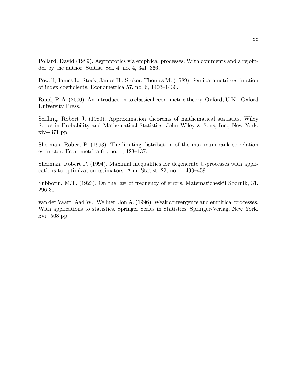Pollard, David (1989). Asymptotics via empirical processes. With comments and a rejoinder by the author. Statist. Sci. 4, no. 4,  $341-366$ .

Powell, James L.; Stock, James H.; Stoker, Thomas M. (1989). Semiparametric estimation of index coefficients. Econometrica 57, no.  $6, 1403-1430$ .

Ruud, P. A. (2000). An introduction to classical econometric theory. Oxford, U.K.: Oxford University Press.

Serfling, Robert J. (1980). Approximation theorems of mathematical statistics. Wiley Series in Probability and Mathematical Statistics. John Wiley & Sons, Inc., New York. xiv+371 pp.

Sherman, Robert P. (1993). The limiting distribution of the maximum rank correlation estimator. Econometrica 61, no.  $1, 123-137$ .

Sherman, Robert P. (1994). Maximal inequalities for degenerate U-processes with applications to optimization estimators. Ann. Statist. 22, no. 1, 439–459.

Subbotin, M.T. (1923). On the law of frequency of errors. Matematicheskii Sbornik, 31, 296-301.

van der Vaart, Aad W.; Wellner, Jon A. (1996). Weak convergence and empirical processes. With applications to statistics. Springer Series in Statistics. Springer-Verlag, New York.  $xvi+508$  pp.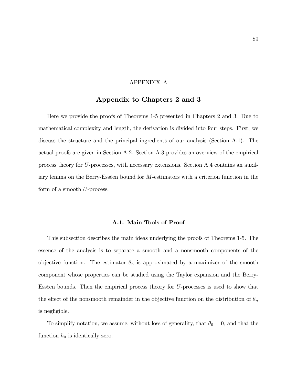# APPENDIX A

# Appendix to Chapters 2 and 3

Here we provide the proofs of Theorems 1-5 presented in Chapters 2 and 3. Due to mathematical complexity and length, the derivation is divided into four steps. First, we discuss the structure and the principal ingredients of our analysis (Section A.1). The actual proofs are given in Section A.2. Section A.3 provides an overview of the empirical process theory for U-processes, with necessary extensions. Section A.4 contains an auxiliary lemma on the Berry-Esséen bound for  $M$ -estimators with a criterion function in the form of a smooth U-process.

#### A.1. Main Tools of Proof

This subsection describes the main ideas underlying the proofs of Theorems 1-5. The essence of the analysis is to separate a smooth and a nonsmooth components of the objective function. The estimator  $\theta_n$  is approximated by a maximizer of the smooth component whose properties can be studied using the Taylor expansion and the Berry-Esséen bounds. Then the empirical process theory for  $U$ -processes is used to show that the effect of the nonsmooth remainder in the objective function on the distribution of  $\theta_n$ is negligible.

To simplify notation, we assume, without loss of generality, that  $\theta_0 = 0$ , and that the function  $h_0$  is identically zero.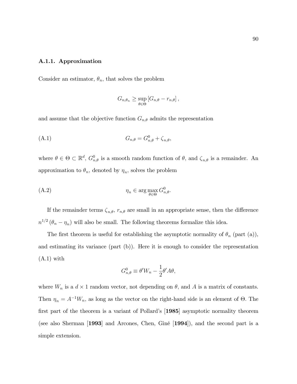#### A.1.1. Approximation

Consider an estimator,  $\theta_n$ , that solves the problem

$$
G_{n,\theta_n} \geq \sup_{\theta \in \Theta} \left[ G_{n,\theta} - r_{n,\theta} \right],
$$

and assume that the objective function  $G_{n,\theta}$  admits the representation

$$
(A.1) \t G_{n,\theta} = G_{n,\theta}^0 + \zeta_{n,\theta},
$$

where  $\theta \in \Theta \subset \mathbb{R}^d$ ,  $G_{n,\theta}^0$  is a smooth random function of  $\theta$ , and  $\zeta_{n,\theta}$  is a remainder. An approximation to  $\theta_n$ , denoted by  $\eta_n$ , solves the problem

$$
(A.2) \t\t \eta_n \in \arg\max_{\theta \in \Theta} G_{n,\theta}^0.
$$

If the remainder terms  $\zeta_{n,\theta}$ ,  $r_{n,\theta}$  are small in an appropriate sense, then the difference  $n^{1/2}$  ( $\theta_n - \eta_n$ ) will also be small. The following theorems formalize this idea.

The first theorem is useful for establishing the asymptotic normality of  $\theta_n$  (part (a)), and estimating its variance (part (b)). Here it is enough to consider the representation  $(A.1)$  with

$$
G_{n,\theta}^0 \equiv \theta' W_n - \frac{1}{2} \theta' A \theta,
$$

where  $W_n$  is a  $d \times 1$  random vector, not depending on  $\theta$ , and A is a matrix of constants. Then  $\eta_n = A^{-1}W_n$ , as long as the vector on the right-hand side is an element of  $\Theta$ . The first part of the theorem is a variant of Pollard's  $[1985]$  asymptotic normality theorem (see also Sherman [1993] and Arcones, Chen, Giné [1994]), and the second part is a simple extension.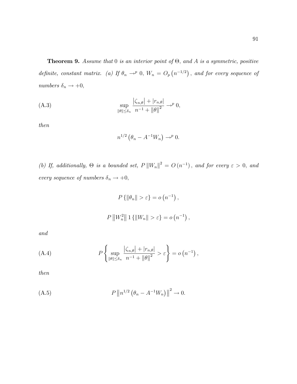**Theorem 9.** Assume that 0 is an interior point of  $\Theta$ , and A is a symmetric, positive definite, constant matrix. (a) If  $\theta_n \to^p 0$ ,  $W_n = O_p(n^{-1/2})$ , and for every sequence of numbers  $\delta_n \to +0$ ,

(A.3) 
$$
\sup_{\|\theta\| \le \delta_n} \frac{|\zeta_{n,\theta}| + |r_{n,\theta}|}{n^{-1} + \|\theta\|^2} \to^p 0,
$$

then

$$
n^{1/2} \left( \theta_n - A^{-1} W_n \right) \to^p 0.
$$

(b) If, additionally,  $\Theta$  is a bounded set,  $P ||W_n||^2 = O(n^{-1})$ , and for every  $\varepsilon > 0$ , and every sequence of numbers  $\delta_n \rightarrow +0,$ 

$$
P\{\|\theta_n\| > \varepsilon\} = o(n^{-1}),
$$
  

$$
P\|W_n^2\|1\{\|W_n\| > \varepsilon\} = o(n^{-1}),
$$

and

(A.4) 
$$
P\left\{\sup_{\|\theta\|\leq\delta_n}\frac{|\zeta_{n,\theta}|+|r_{n,\theta}|}{n^{-1}+\|\theta\|^2}>\varepsilon\right\}=o\left(n^{-1}\right),
$$

then

(A.5) 
$$
P \|n^{1/2} (\theta_n - A^{-1} W_n) \|^{2} \to 0.
$$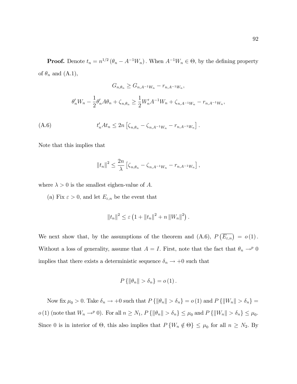**Proof.** Denote  $t_n = n^{1/2} (\theta_n - A^{-1}W_n)$ . When  $A^{-1}W_n \in \Theta$ , by the defining property of  $\theta_n$  and  $(A.1)$ ,

$$
G_{n,\theta_n} \ge G_{n,A^{-1}W_n} - r_{n,A^{-1}W_n},
$$
  

$$
\theta'_n W_n - \frac{1}{2} \theta'_n A \theta_n + \zeta_{n,\theta_n} \ge \frac{1}{2} W'_n A^{-1} W_n + \zeta_{n,A^{-1}W_n} - r_{n,A^{-1}W_n},
$$

(A.6) 
$$
t'_{n}At_{n} \leq 2n \left[ \zeta_{n,\theta_{n}} - \zeta_{n,A^{-1}W_{n}} - r_{n,A^{-1}W_{n}} \right].
$$

Note that this implies that

$$
||t_n||^2 \leq \frac{2n}{\lambda} \left[ \zeta_{n,\theta_n} - \zeta_{n,A^{-1}W_n} - r_{n,A^{-1}W_n} \right],
$$

where  $\lambda > 0$  is the smallest eighen-value of A.

(a) Fix  $\varepsilon > 0,$  and let  $E_{\varepsilon,n}$  be the event that

$$
||t_n||^2 \leq \varepsilon \left(1 + ||t_n||^2 + n ||W_n||^2\right).
$$

We next show that, by the assumptions of the theorem and  $(A.6)$ ,  $P(E_{\varepsilon,n}) = o(1)$ . Without a loss of generality, assume that  $A = I$ . First, note that the fact that  $\theta_n \to^p 0$ implies that there exists a deterministic sequence  $\delta_n \to +0$  such that

$$
P\left\{\left\|\theta_n\right\|>\delta_n\right\}=o\left(1\right).
$$

Now fix  $\mu_0 > 0$ . Take  $\delta_n \to +0$  such that  $P\{\|\theta_n\| > \delta_n\} = o(1)$  and  $P\{\|W_n\| > \delta_n\} = o(1)$  $o(1)$  (note that  $W_n \to^p 0$ ). For all  $n \ge N_1$ ,  $P\{\|\theta_n\| > \delta_n\} \le \mu_0$  and  $P\{\|W_n\| > \delta_n\} \le \mu_0$ . Since 0 is in interior of  $\Theta$ , this also implies that  $P\{W_n \notin \Theta\} \leq \mu_0$  for all  $n \geq N_2$ . By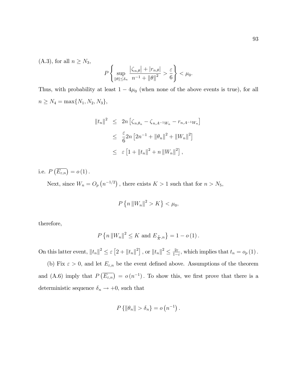(A.3), for all  $n \geq N_3$ ,

$$
P\left\{\sup_{\|\theta\|\leq\delta_n}\frac{|\zeta_{n,\theta}|+|r_{n,\theta}|}{n^{-1}+\|\theta\|^2}>\frac{\varepsilon}{6}\right\}<\mu_0.
$$

Thus, with probability at least  $1 - 4\mu_0$  (when none of the above events is true), for all  $n \geq N_4 = \max\{N_1, N_2, N_3\},\$ 

$$
||t_n||^2 \le 2n \left[ \zeta_{n,\theta_n} - \zeta_{n,A^{-1}W_n} - r_{n,A^{-1}W_n} \right]
$$
  

$$
\le \frac{\varepsilon}{6} 2n \left[ 2n^{-1} + ||\theta_n||^2 + ||W_n||^2 \right]
$$
  

$$
\le \varepsilon \left[ 1 + ||t_n||^2 + n ||W_n||^2 \right],
$$

i.e.  $P\left(\overline{E_{\varepsilon,n}}\right) = o(1)$ .

Next, since  $W_n = O_p(n^{-1/2})$ , there exists  $K > 1$  such that for  $n > N_5$ ,

$$
P\left\{n\left\|W_n\right\|^2 > K\right\} < \mu_0,
$$

therefore,

$$
P\left\{n\left\|W_n\right\|^2\leq K \text{ and } E_{\overline{K},n}^{\varepsilon}\right\}=1-o\left(1\right).
$$

On this latter event,  $||t_n||^2 \leq \varepsilon [2 + ||t_n||^2]$ , or  $||t_n||^2 \leq \frac{2\varepsilon}{1-\varepsilon}$  $\frac{2\varepsilon}{1-\varepsilon}$ , which implies that  $t_n = o_p(1)$ .

(b) Fix  $\varepsilon > 0$ , and let  $E_{\varepsilon,n}$  be the event defined above. Assumptions of the theorem and (A.6) imply that  $P(\overline{E_{\varepsilon,n}}) = o(n^{-1})$ . To show this, we first prove that there is a deterministic sequence  $\delta_n \to +0,$  such that

$$
P\left\{\left\|\theta_n\right\|>\delta_n\right\}=o\left(n^{-1}\right).
$$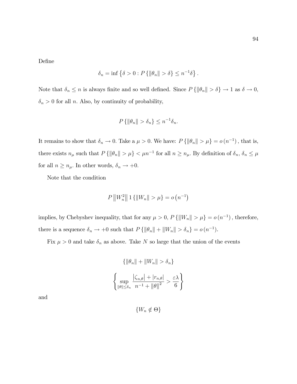DeÖne

$$
\delta_n = \inf \left\{ \delta > 0 : P \left\{ \|\theta_n\| > \delta \right\} \le n^{-1} \delta \right\}.
$$

Note that  $\delta_n \le n$  is always finite and so well defined. Since  $P\{\|\theta_n\| > \delta\} \to 1$  as  $\delta \to 0$ ,  $\delta_n > 0$  for all n. Also, by continuity of probability,

$$
P\{\|\theta_n\| > \delta_n\} \le n^{-1}\delta_n.
$$

It remains to show that  $\delta_n \to 0$ . Take a  $\mu > 0$ . We have:  $P\{\|\theta_n\| > \mu\} = o(n^{-1})$ , that is, there exists  $n_{\mu}$  such that  $P\{\|\theta_n\| > \mu\} < \mu n^{-1}$  for all  $n \ge n_{\mu}$ . By definition of  $\delta_n$ ,  $\delta_n \le \mu$ for all  $n \geq n_{\mu}.$  In other words,  $\delta_n \rightarrow +0.$ 

Note that the condition

$$
P\left\|W_n^2\right\|1\left\{\|W_n\|>\mu\right\}=o\left(n^{-1}\right)
$$

implies, by Chebyshev inequality, that for any  $\mu > 0$ ,  $P\{\|W_n\| > \mu\} = o(n^{-1})$ , therefore, there is a sequence  $\delta_n \to +0$  such that  $P\{\|\theta_n\| + \|W_n\| > \delta_n\} = o(n^{-1}).$ 

Fix  $\mu > 0$  and take  $\delta_n$  as above. Take N so large that the union of the events

$$
\left\{ \left\|\theta_n\right\| + \left\|W_n\right\| > \delta_n \right\}
$$

$$
\left\{ \sup_{\|\theta\| \le \delta_n} \frac{\left|\zeta_{n,\theta}\right| + \left|r_{n,\theta}\right|}{n^{-1} + \|\theta\|^2} > \frac{\varepsilon \lambda}{6} \right\}
$$

and

 $\{W_n \notin \Theta\}$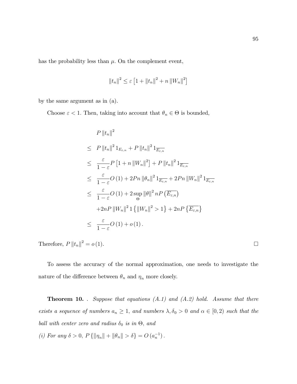has the probability less than  $\mu$ . On the complement event,

$$
||t_n||^2 \le \varepsilon \left[1 + ||t_n||^2 + n ||W_n||^2\right]
$$

by the same argument as in (a).

Choose  $\varepsilon < 1$ . Then, taking into account that  $\theta_n \in \Theta$  is bounded,

$$
P ||t_n||^2
$$
  
\n
$$
\leq P ||t_n||^2 1_{E_{\varepsilon,n}} + P ||t_n||^2 1_{\overline{E_{\varepsilon,n}}}
$$
  
\n
$$
\leq \frac{\varepsilon}{1-\varepsilon} P [1+n ||W_n||^2] + P ||t_n||^2 1_{\overline{E_{\varepsilon,n}}}
$$
  
\n
$$
\leq \frac{\varepsilon}{1-\varepsilon} O (1) + 2Pn ||\theta_n||^2 1_{\overline{E_{\varepsilon,n}}} + 2Pn ||W_n||^2 1_{\overline{E_{\varepsilon,n}}}
$$
  
\n
$$
\leq \frac{\varepsilon}{1-\varepsilon} O (1) + 2 \sup_{\Theta} ||\theta||^2 n P (\overline{E_{\varepsilon,n}})
$$
  
\n
$$
+ 2nP ||W_n||^2 1 {||W_n||^2 > 1} + 2nP {\overline{E_{\varepsilon,n}}}
$$
  
\n
$$
\leq \frac{\varepsilon}{1-\varepsilon} O (1) + o (1).
$$

Therefore,  $P ||t_n||^2 = o(1)$ .

To assess the accuracy of the normal approximation, one needs to investigate the nature of the difference between  $\theta_n$  and  $\eta_n$  more closely.

**Theorem 10.** . Suppose that equations  $(A.1)$  and  $(A.2)$  hold. Assume that there exists a sequence of numbers  $a_n \geq 1$ , and numbers  $\lambda, \delta_0 > 0$  and  $\alpha \in [0, 2)$  such that the ball with center zero and radius  $\delta_0$  is in  $\Theta$ , and

(*i*) For any  $\delta > 0$ ,  $P\{\|\eta_n\| + \|\theta_n\| > \delta\} = O(a_n^{-1})$ .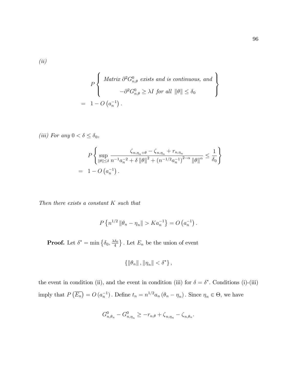(ii)

$$
P\left\{\begin{array}{c}\text{Matrix }\partial^2 G_{n,\theta}^0 \text{ exists and is continuous, and} \\ \qquad -\partial^2 G_{n,\theta}^0 \ge \lambda I \text{ for all } \|\theta\| \le \delta_0 \\ = 1 - O\left(a_n^{-1}\right). \end{array}\right\}
$$

$$
(iii) \text{ For any } 0 < \delta \le \delta_0,
$$
\n
$$
P\left\{\sup_{\|\theta\| \le \delta} \frac{\zeta_{n,\eta_n + \theta} - \zeta_{n,\eta_n} + r_{n,\eta_n}}{\|h\|_{\infty}^2 + \delta \|h\|^2 + (n^{-1/2} a_n^{-1})^{2-\alpha} \|h\|^{\alpha}} \le \frac{1}{\delta_0}\right\}
$$
\n
$$
= 1 - O\left(a_n^{-1}\right).
$$

Then there exists a constant K such that

$$
P\left\{n^{1/2} \left\|\theta_n - \eta_n\right\| > Ka_n^{-1}\right\} = O\left(a_n^{-1}\right).
$$

**Proof.** Let  $\delta^* = \min \left\{ \delta_0, \frac{\lambda \delta_0}{4} \right\}$  $\left\{\frac{\delta_0}{4}\right\}$ . Let  $E_n$  be the union of event

$$
\left\{\left\|\theta_n\right\|,\left\|\eta_n\right\|<\delta^*\right\},
$$

the event in condition (ii), and the event in condition (iii) for  $\delta = \delta^*$ . Conditions (i)-(iii) imply that  $P\left(\overline{E_n}\right) = O\left(a_n^{-1}\right)$ . Define  $t_n = n^{1/2}a_n \left(\theta_n - \eta_n\right)$ . Since  $\eta_n \in \Theta$ , we have

$$
G_{n,\theta_n}^0 - G_{n,\eta_n}^0 \ge -r_{n,\theta} + \zeta_{n,\eta_n} - \zeta_{n,\theta_n}.
$$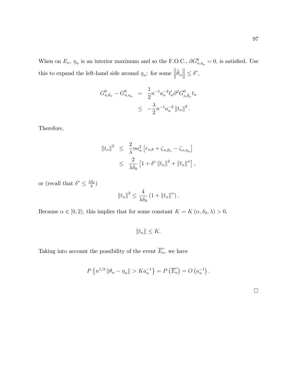When on  $E_n$ ,  $\eta_n$  is an interior maximum and so the F.O.C.,  $\partial G_{n,\eta_n}^0 = 0$ , is satisfied. Use this to expand the left-hand side around  $\eta_n$ : for some  $\left\|\tilde{\theta}_n\right\| \leq \delta^*$ ,

$$
G_{n,\theta_n}^0 - G_{n,\eta_n}^0 = \frac{1}{2} n^{-1} a_n^{-2} t'_n \partial^2 G_{n,\tilde{\theta}_n}^0 t_n
$$
  

$$
\leq -\frac{\lambda}{2} n^{-1} a_n^{-2} ||t_n||^2.
$$

Therefore,

$$
||t_n||^2 \leq \frac{2}{\lambda} n a_n^2 \left[ r_{n,\theta} + \zeta_{n,\theta_n} - \zeta_{n,\eta_n} \right]
$$
  

$$
\leq \frac{2}{\lambda \delta_0} \left[ 1 + \delta^* ||t_n||^2 + ||t_n||^{\alpha} \right],
$$

or (recall that  $\delta^* \leq \frac{\lambda \delta_0}{4}$  $\frac{\delta_0}{4})$ 

$$
||t_n||^2 \le \frac{4}{\lambda \delta_0} \left(1 + ||t_n||^{\alpha}\right).
$$

Because  $\alpha \in [0, 2)$ , this implies that for some constant  $K = K(\alpha, \delta_0, \lambda) > 0$ ,

 $||t_n|| \leq K.$ 

Taking into account the possibility of the event  $\overline{E_n}$ , we have

$$
P\left\{n^{1/2} \left\|\theta_n - \eta_n\right\| > Ka_n^{-1}\right\} = P\left(\overline{E_n}\right) = O\left(a_n^{-1}\right).
$$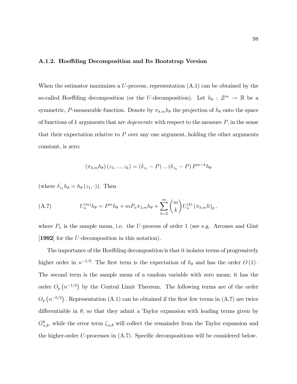### A.1.2. Hoeffding Decomposition and Its Bootstrap Version

When the estimator maximizes a  $U$ -process, representation  $(A.1)$  can be obtained by the so-called Hoeffding decomposition (or the U-decomposition). Let  $h_{\theta} : \mathcal{Z}^m \to \mathbb{R}$  be a symmetric, P-measurable function. Denote by  $\pi_{k,m} h_{\theta}$  the projection of  $h_{\theta}$  onto the space of functions of k arguments that are *degenerate* with respect to the measure  $P$ , in the sense that their expectation relative to  $P$  over any one argument, holding the other arguments constant, is zero:

$$
(\pi_{k,m}h_{\theta}) (z_1,...,z_k) = (\delta_{z_1} - P) ... (\delta_{z_k} - P) P^{m-k} h_{\theta}
$$

(where  $\delta_{z_1} h_{\theta} = h_{\theta} (z_1, \cdot)$ ). Then

(A.7) 
$$
U_n^{(m)}h_{\theta} = P^m h_{\theta} + m P_n \pi_{1,m} h_{\theta} + \sum_{k=2}^m {m \choose k} U_n^{(k)} (\pi_{k,m} h)_{\theta},
$$

where  $P_n$  is the sample mean, i.e. the U-process of order 1 (see e.g. Arcones and Giné [1992] for the U-decomposition in this notation).

The importance of the Hoeffding decomposition is that it isolates terms of progressively higher order in  $n^{-1/2}$ . The first term is the expectation of  $h_{\theta}$  and has the order  $O(1)$ . The second term is the sample mean of a random variable with zero mean; it has the order  $O_p(n^{-1/2})$  by the Central Limit Theorem. The following terms are of the order  $O_p(n^{-k/2})$ . Representation (A.1) can be obtained if the first few terms in (A.7) are twice differentiable in  $\theta$ , so that they admit a Taylor expansion with leading terms given by  $G_{n,\theta}^0$ , while the error term  $\zeta_{n,\theta}$  will collect the remainder from the Taylor expansion and the higher-order  $U$ -processes in  $(A.7)$ . Specific decompositions will be considered below.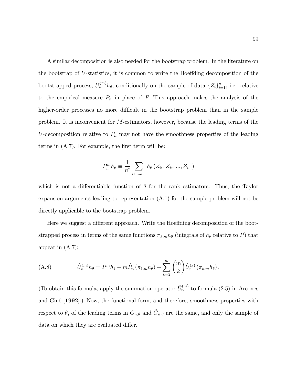A similar decomposition is also needed for the bootstrap problem. In the literature on the bootstrap of  $U$ -statistics, it is common to write the Hoeffding decomposition of the bootstrapped process,  $\hat{U}_n^{(m)} h_{\theta}$ , conditionally on the sample of data  ${Z_i}_{i=1}^n$ , i.e. relative to the empirical measure  $P_n$  in place of P. This approach makes the analysis of the higher-order processes no more difficult in the bootstrap problem than in the sample problem. It is inconvenient for M-estimators, however, because the leading terms of the U-decomposition relative to  $P_n$  may not have the smoothness properties of the leading terms in  $(A.7)$ . For example, the first term will be:

$$
P_n^m h_{\theta} \equiv \frac{1}{n^2} \sum_{i_1, ..., i_m} h_{\theta} (Z_{i_1}, Z_{i_2}, ..., Z_{i_m})
$$

which is not a differentiable function of  $\theta$  for the rank estimators. Thus, the Taylor expansion arguments leading to representation (A.1) for the sample problem will not be directly applicable to the bootstrap problem.

Here we suggest a different approach. Write the Hoeffding decomposition of the bootstrapped process in terms of the same functions  $\pi_{k,m} h_{\theta}$  (integrals of  $h_{\theta}$  relative to P) that appear in (A.7):

(A.8) 
$$
\hat{U}_n^{(m)} h_{\theta} = P^m h_{\theta} + m \hat{P}_n (\pi_{1,m} h_{\theta}) + \sum_{k=2}^m {m \choose k} \hat{U}_n^{(k)} (\pi_{k,m} h_{\theta}).
$$

(To obtain this formula, apply the summation operator  $\hat{U}_n^{(m)}$  to formula (2.5) in Arcones and GinÈ [1992].) Now, the functional form, and therefore, smoothness properties with respect to  $\theta$ , of the leading terms in  $G_{n,\theta}$  and  $\hat{G}_{n,\theta}$  are the same, and only the sample of data on which they are evaluated differ.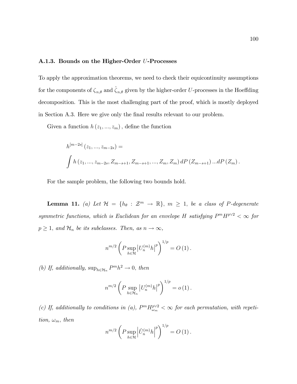#### A.1.3. Bounds on the Higher-Order U-Processes

To apply the approximation theorems, we need to check their equicontinuity assumptions for the components of  $\zeta_{n,\theta}$  and  $\hat{\zeta}_{n,\theta}$  given by the higher-order U-processes in the Hoeffding decomposition. This is the most challenging part of the proof, which is mostly deployed in Section A.3. Here we give only the final results relevant to our problem.

Given a function  $h(z_1, ..., z_m)$ , define the function

$$
h^{[m-2s]}(z_1, ..., z_{m-2s}) =
$$
  

$$
\int h(z_1, ..., z_{m-2s}, Z_{m-s+1}, Z_{m-s+1}, ..., Z_m, Z_m) dP(Z_{m-s+1}) ... dP(Z_m).
$$

For the sample problem, the following two bounds hold.

**Lemma 11.** (a) Let  $\mathcal{H} = \{h_{\theta} : \mathcal{Z}^m \to \mathbb{R}\}, m \geq 1$ , be a class of P-degenerate symmetric functions, which is Euclidean for an envelope H satisfying  $P^m H^{p \vee 2} < \infty$  for  $p \geq 1$ , and  $\mathcal{H}_n$  be its subclasses. Then, as  $n \to \infty$ ,

$$
n^{m/2} \left( P \sup_{h \in \mathcal{H}} \left| U_n^{(m)} h \right|^p \right)^{1/p} = O(1).
$$

(b) If, additionally,  $\sup_{h \in \mathcal{H}_n} P^m h^2 \to 0$ , then

$$
n^{m/2} \left( P \sup_{h \in \mathcal{H}_n} \left| U_n^{(m)} h \right|^p \right)^{1/p} = o(1) \, .
$$

(c) If, additionally to conditions in (a),  $P^m H_{\omega_m}^{p \vee 2} < \infty$  for each permutation, with repetition,  $\omega_m$ , then

$$
n^{m/2} \left( P \sup_{h \in \mathcal{H}} \left| \hat{U}_n^{(m)} h \right|^p \right)^{1/p} = O\left(1\right).
$$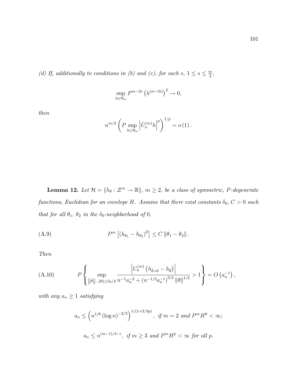(d) If, additionally to conditions in (b) and (c), for each s,  $1 \leq s \leq \frac{m}{2}$  $\frac{n}{2}$ 

$$
\sup_{h \in \mathcal{H}_n} P^{m-2s} \left( h^{[m-2s]} \right)^2 \to 0,
$$

then

$$
n^{m/2} \left( P \sup_{h \in \mathcal{H}_n} \left| \hat{U}_n^{(m)} h \right|^p \right)^{1/p} = o(1).
$$

**Lemma 12.** Let  $\mathcal{H} = \{h_{\theta} : \mathcal{Z}^m \to \mathbb{R}\}, m \geq 2$ , be a class of symmetric, P-degenerate functions, Euclidean for an envelope H. Assume that there exist constants  $\delta_0$ ,  $C > 0$  such that for all  $\theta_1,$   $\theta_2$  in the  $\delta_0\mbox{-}neighborhood$  of 0,

(A.9) 
$$
P^{m} [(h_{\theta_{1}} - h_{\theta_{2}})^{2}] \leq C ||\theta_{1} - \theta_{2}||.
$$

Then

(A.10) 
$$
P\left\{\sup_{\|\tilde{\theta}\|,\ \|\theta\| \le \delta_0/2} \frac{\left|U_n^{(m)}\left(h_{\tilde{\theta}+\theta}-h_{\tilde{\theta}}\right)\right|}{n^{-1}a_n^{-2}+\left(n^{-1/2}a_n^{-1}\right)^{3/2}\|\theta\|^{1/2}} > 1\right\} = O\left(a_n^{-1}\right),
$$

with any  $a_n \geq 1$  satisfying

$$
a_n \le \left(n^{1/6} \left(\log n\right)^{-2/3}\right)^{1/(1+2/3p)}, \text{ if } m = 2 \text{ and } P^m H^6 < \infty;
$$
  

$$
a_n \le n^{(m-1)/4-\varepsilon}, \text{ if } m \ge 3 \text{ and } P^m H^p < \infty \text{ for all } p.
$$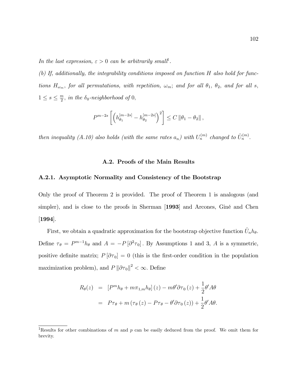In the last expression,  $\varepsilon > 0$  can be arbitrarily small<sup>1</sup>.

(b) If, additionally, the integrability conditions imposed on function H also hold for functions  $H_{\omega_m}$ , for all permutations, with repetition,  $\omega_m$ ; and for all  $\theta_1$ ,  $\theta_2$ , and for all s,  $1 \leq s \leq \frac{m}{2}$  $\frac{n}{2}$ , in the  $\delta_0$ -neighborhood of 0,

$$
P^{m-2s} \left[ \left( h_{\theta_1}^{[m-2s]} - h_{\theta_2}^{[m-2s]} \right)^2 \right] \leq C \left\| \theta_1 - \theta_2 \right\|,
$$

then inequality (A.10) also holds (with the same rates  $a_n$ ) with  $U_n^{(m)}$  changed to  $\hat{U}_n^{(m)}$ .

#### A.2. Proofs of the Main Results

#### A.2.1. Asymptotic Normality and Consistency of the Bootstrap

Only the proof of Theorem 2 is provided. The proof of Theorem 1 is analogous (and simpler), and is close to the proofs in Sherman [1993] and Arcones, Giné and Chen [1994].

First, we obtain a quadratic approximation for the bootstrap objective function  $\hat{U}_n h_\theta$ . Define  $\tau_{\theta} = P^{m-1}h_{\theta}$  and  $A = -P[\partial^2 \tau_0]$ . By Assumptions 1 and 3, A is a symmetric, positive definite matrix;  $P[\partial \tau_0] = 0$  (this is the first-order condition in the population maximization problem), and  $P \|\partial \tau_0\|^2 < \infty$ . Define

$$
R_{\theta}(z) = [P^{m}h_{\theta} + m\pi_{1,m}h_{\theta}](z) - m\theta'\partial\tau_{0}(z) + \frac{1}{2}\theta' A\theta
$$

$$
= P\tau_{\theta} + m(\tau_{\theta}(z) - P\tau_{\theta} - \theta'\partial\tau_{0}(z)) + \frac{1}{2}\theta' A\theta.
$$

<sup>&</sup>lt;sup>1</sup>Results for other combinations of m and p can be easily deduced from the proof. We omit them for brevity.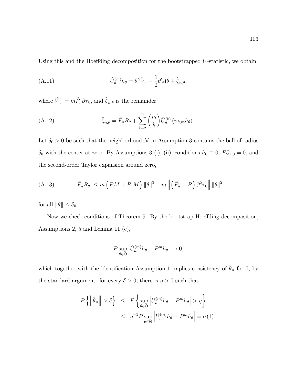Using this and the Hoeffding decomposition for the bootstrapped  $U$ -statistic, we obtain

(A.11) 
$$
\hat{U}_n^{(m)} h_{\theta} = \theta' \hat{W}_n - \frac{1}{2} \theta' A \theta + \hat{\zeta}_{n,\theta},
$$

where  $\hat{W}_n = m\hat{P}_n \partial \tau_0$ , and  $\hat{\zeta}_{n,\theta}$  is the remainder:

(A.12) 
$$
\hat{\zeta}_{n,\theta} = \hat{P}_n R_\theta + \sum_{k=2}^m \binom{m}{k} \hat{U}_n^{(k)} \left(\pi_{k,m} h_\theta\right).
$$

Let  $\delta_0 > 0$  be such that the neighborhood  $\mathcal N$  in Assumption 3 contains the ball of radius  $\delta_0$  with the center at zero. By Assumptions 3 (i), (ii), conditions  $h_0 \equiv 0$ ,  $P\partial\tau_0 = 0$ , and the second-order Taylor expansion around zero,

(A.13) 
$$
\left| \hat{P}_n R_\theta \right| \leq m \left( PM + \hat{P}_n M \right) \|\theta\|^3 + m \left\| \left( \hat{P}_n - P \right) \partial^2 \tau_0 \right\| \|\theta\|^2
$$

for all  $\|\theta\| \leq \delta_0$ .

Now we check conditions of Theorem 9. By the bootstrap Hoeffding decomposition, Assumptions 2, 5 and Lemma 11 (c),

$$
P \sup_{\theta \in \Theta} \left| \hat{U}_n^{(m)} h_{\theta} - P^m h_{\theta} \right| \to 0,
$$

which together with the identification Assumption 1 implies consistency of  $\hat{\theta}_n$  for 0, by the standard argument: for every  $\delta > 0$ , there is  $\eta > 0$  such that

$$
P\left\{ \left\| \hat{\theta}_n \right\| > \delta \right\} \le P\left\{ \sup_{\theta \in \Theta} \left| \hat{U}_n^{(m)} h_{\theta} - P^m h_{\theta} \right| > \eta \right\}
$$
  

$$
\le \eta^{-1} P \sup_{\theta \in \Theta} \left| \hat{U}_n^{(m)} h_{\theta} - P^m h_{\theta} \right| = o(1).
$$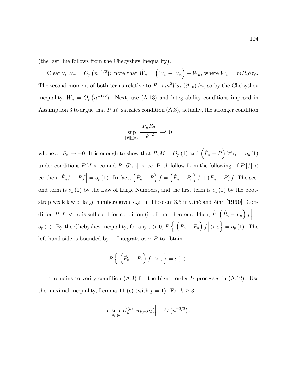(the last line follows from the Chebyshev Inequality).

Clearly,  $\hat{W}_n = O_p(n^{-1/2})$ : note that  $\hat{W}_n = (\hat{W}_n - W_n) + W_n$ , where  $W_n = mP_n\partial\tau_0$ . The second moment of both terms relative to P is  $m^2Var(\partial \tau_0)/n$ , so by the Chebyshev inequality,  $\hat{W}_n = O_p(n^{-1/2})$ . Next, use (A.13) and integrability conditions imposed in Assumption 3 to argue that  $\hat{P}_n R_\theta$  satisfies condition (A.3), actually, the stronger condition

$$
\sup_{\|\theta\| \le \delta_n} \frac{\left|\hat{P}_n R_\theta\right|}{\left\|\theta\right\|^2} \to^p 0
$$

whenever  $\delta_n \to +0$ . It is enough to show that  $\hat{P}_n M = O_p (1)$  and  $(\hat{P}_n - P) \partial^2 \tau_0 = o_p (1)$ under conditions  $PM < \infty$  and  $P \|\partial^2 \tau_0\| < \infty$ . Both follow from the following: if  $P |f| <$  $\infty$  then  $\left| \hat{P}_n f - Pf \right| = o_p(1)$ . In fact,  $(\hat{P}_n - P) f = (\hat{P}_n - P_n) f + (P_n - P) f$ . The second term is  $o_p(1)$  by the Law of Large Numbers, and the first term is  $o_p(1)$  by the bootstrap weak law of large numbers given e.g. in Theorem 3.5 in Giné and Zinn [1990]. Condition  $P |f| < \infty$  is sufficient for condition (i) of that theorem. Then,  $\hat{P}$ <sup> $\vert$ </sup>  $\left.\left( \hat{P}_{n}-P_{n}\right)f\right| =$  $o_p(1)$ . By the Chebyshev inequality, for any  $\varepsilon > 0$ ,  $\hat{P} \left\{ \right\}$  $\left(\hat{P}_n - P_n\right) f \geq \varepsilon$  =  $o_p(1)$ . The left-hand side is bounded by 1. Integrate over  $P$  to obtain

$$
P\left\{ \left| \left( \hat{P}_n - P_n \right) f \right| > \varepsilon \right\} = o\left(1\right).
$$

It remains to verify condition  $(A.3)$  for the higher-order U-processes in  $(A.12)$ . Use the maximal inequality, Lemma 11 (c) (with  $p = 1$ ). For  $k \geq 3$ ,

$$
P \sup_{\theta \in \Theta} \left| \hat{U}_n^{(k)} \left( \pi_{k,m} h_{\theta} \right) \right| = O \left( n^{-3/2} \right).
$$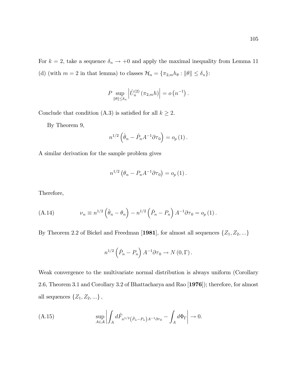For  $k = 2$ , take a sequence  $\delta_n \to +0$  and apply the maximal inequality from Lemma 11 (d) (with  $m = 2$  in that lemma) to classes  $\mathcal{H}_n = {\lbrace \pi_{2,m} h_\theta : ||\theta|| \leq \delta_n \rbrace}$ :

$$
P \sup_{\|\theta\| \le \delta_n} \left| \hat{U}_n^{(2)} \left( \pi_{2,m} h \right) \right| = o \left( n^{-1} \right).
$$

Conclude that condition (A.3) is satisfied for all  $k \ge 2$ .

By Theorem 9,

$$
n^{1/2} \left( \hat{\theta}_n - \hat{P}_n A^{-1} \partial \tau_0 \right) = o_p(1).
$$

A similar derivation for the sample problem gives

$$
n^{1/2} \left( \theta_n - P_n A^{-1} \partial \tau_0 \right) = o_p(1).
$$

Therefore,

(A.14) 
$$
\nu_n \equiv n^{1/2} \left( \hat{\theta}_n - \theta_n \right) - n^{1/2} \left( \hat{P}_n - P_n \right) A^{-1} \partial \tau_0 = o_p(1).
$$

By Theorem 2.2 of Bickel and Freedman [1981], for almost all sequences  $\{Z_1, Z_2, \ldots\}$ 

$$
n^{1/2} \left(\hat{P}_n - P_n\right) A^{-1} \partial \tau_0 \to N(0, \Gamma).
$$

Weak convergence to the multivariate normal distribution is always uniform (Corollary 2.6, Theorem 3.1 and Corollary 3.2 of Bhattacharya and Rao [1976]); therefore, for almost all sequences  $\{Z_1, Z_2, ...\}$ ,

(A.15) 
$$
\sup_{A \in \mathcal{A}} \left| \int_A d\hat{F}_{n^{1/2}}(\hat{P}_{n} - P_{n}) A^{-1} \partial \tau_0 - \int_A d\Phi_{\Gamma} \right| \to 0.
$$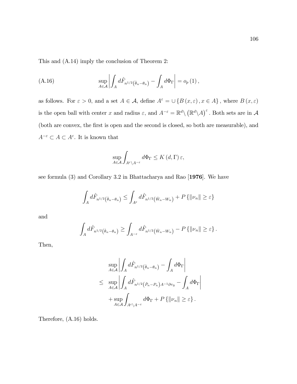This and (A.14) imply the conclusion of Theorem 2:

(A.16) 
$$
\sup_{A \in \mathcal{A}} \left| \int_A d\hat{F}_{n^{1/2}}(\hat{\theta}_n - \theta_n) - \int_A d\Phi_{\Gamma} \right| = o_p(1),
$$

as follows. For  $\varepsilon > 0$ , and a set  $A \in \mathcal{A}$ , define  $A^{\varepsilon} = \cup \{B (x, \varepsilon), x \in A\}$ , where  $B (x, \varepsilon)$ is the open ball with center x and radius  $\varepsilon$ , and  $A^{-\varepsilon} = \mathbb{R}^d \setminus (\mathbb{R}^d \setminus A)^{\varepsilon}$ . Both sets are in  $\mathcal A$ (both are convex, the first is open and the second is closed, so both are measurable), and  $A^{-\varepsilon} \subset A \subset A^{\varepsilon}$ . It is known that

$$
\sup_{A\in\mathcal{A}}\int_{A^{\varepsilon}\setminus A^{-\varepsilon}}d\Phi_{\Gamma}\leq K\left(d,\Gamma\right)\varepsilon,
$$

see formula (3) and Corollary 3.2 in Bhattacharya and Rao [1976]. We have

$$
\int_A d\hat{F}_{n^{1/2}}(\hat{\theta}_n - \theta_n) \le \int_{A^\varepsilon} d\hat{F}_{n^{1/2}}(\hat{w}_n - w_n) + P\{\|v_n\| \ge \varepsilon\}
$$

and

$$
\int_A d\hat{F}_{n^{1/2}}(\hat{\theta}_n - \theta_n) \ge \int_{A^{-\varepsilon}} d\hat{F}_{n^{1/2}}(\hat{w}_n - w_n) - P\left\{ ||\nu_n|| \ge \varepsilon \right\}.
$$

Then,

$$
\sup_{A \in \mathcal{A}} \left| \int_A d\hat{F}_{n^{1/2}(\hat{\theta}_n - \theta_n)} - \int_A d\Phi_{\Gamma} \right|
$$
  
\n
$$
\leq \sup_{A \in \mathcal{A}} \left| \int_A d\hat{F}_{n^{1/2}(\hat{P}_n - P_n)A^{-1}\partial\tau_0} - \int_A d\Phi_{\Gamma} \right|
$$
  
\n
$$
+ \sup_{A \in \mathcal{A}} \int_{A^{\varepsilon} \setminus A^{-\varepsilon}} d\Phi_{\Gamma} + P \{ ||\nu_n|| \geq \varepsilon \} .
$$

Therefore, (A.16) holds.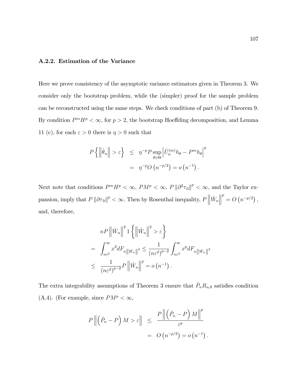# A.2.2. Estimation of the Variance

Here we prove consistency of the asymptotic variance estimators given in Theorem 3. We consider only the bootstrap problem, while the (simpler) proof for the sample problem can be reconstructed using the same steps. We check conditions of part (b) of Theorem 9. By condition  $P^m H^p < \infty$ , for  $p > 2$ , the bootstrap Hoeffding decomposition, and Lemma 11 (c), for each  $\varepsilon > 0$  there is  $\eta > 0$  such that

$$
P\left\{ \left\| \hat{\theta}_n \right\| > \varepsilon \right\} \leq \eta^{-p} P \sup_{\theta \in \Theta} \left| \hat{U}_n^{(m)} h_{\theta} - P^m h_{\theta} \right|^p
$$
  
= 
$$
\eta^{-p} O\left(n^{-p/2}\right) = o\left(n^{-1}\right).
$$

Next note that conditions  $P^m H^p < \infty$ ,  $P M^p < \infty$ ,  $P ||\partial^2 \tau_0||^p < \infty$ , and the Taylor expansion, imply that  $P \|\partial \tau_0\|^p < \infty$ . Then by Rosenthal inequality,  $P \|\hat{W}_n\|$  $\begin{array}{c} \vspace{0.1cm} \rule{0.2cm}{0.1cm} \vspace{0.1cm} \end{array}$  $p^{p} = O(n^{-p/2}),$ and, therefore,

$$
nP \left\| \hat{W}_n \right\|^2 1 \left\{ \left\| \hat{W}_n \right\|^2 > \varepsilon \right\}
$$
  
= 
$$
\int_{n\varepsilon^2}^{\infty} x^2 dF_{n \left\| \hat{W}_n \right\|^2} \leq \frac{1}{(n\varepsilon^2)^{p-2}} \int_{n\varepsilon^2}^{\infty} x^p dF_{n \left\| \hat{W}_n \right\|^2}
$$
  

$$
\leq \frac{1}{(n\varepsilon^2)^{p-2}} P \left\| \hat{W}_n \right\|^p = o(n^{-1}).
$$

The extra integrability assumptions of Theorem 3 ensure that  $\hat{P}_n R_{n,\theta}$  satisfies condition (A.4). (For example, since  $PM^p < \infty$ ,

$$
P\left\|\left(\hat{P}_n - P\right)M > \varepsilon\right\| \leq \frac{P\left\|\left(\hat{P}_n - P\right)M\right\|^p}{\varepsilon^p} \\ = O\left(n^{-p/2}\right) = o\left(n^{-1}\right).
$$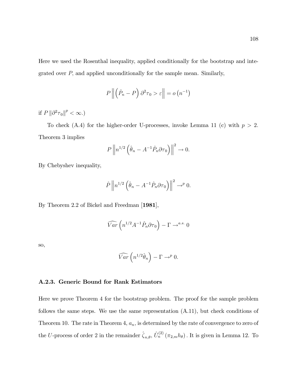Here we used the Rosenthal inequality, applied conditionally for the bootstrap and integrated over  $P$ , and applied unconditionally for the sample mean. Similarly,

$$
P\left\|\left(\hat{P}_n-P\right)\partial^2\tau_0>\varepsilon\right\|=o\left(n^{-1}\right)
$$

if  $P \left\| \partial^2 \tau_0 \right\|^p < \infty.$ )

To check (A.4) for the higher-order U-processes, invoke Lemma 11 (c) with  $p > 2$ . Theorem 3 implies

$$
P\left\|n^{1/2}\left(\hat{\theta}_n - A^{-1}\hat{P}_n\partial\tau_0\right)\right\|^2 \to 0.
$$

By Chebyshev inequality,

$$
\hat{P}\left\|n^{1/2}\left(\hat{\theta}_n - A^{-1}\hat{P}_n\partial\tau_0\right)\right\|^2 \to^p 0.
$$

By Theorem 2.2 of Bickel and Freedman [1981],

$$
\widehat{Var}\left(n^{1/2}A^{-1}\hat{P}_n\partial\tau_0\right)-\Gamma\to^{a.s.}0
$$

so,

$$
\widehat{Var}\left(n^{1/2}\hat{\theta}_n\right) - \Gamma \to^p 0.
$$

## A.2.3. Generic Bound for Rank Estimators

Here we prove Theorem 4 for the bootstrap problem. The proof for the sample problem follows the same steps. We use the same representation  $(A.11)$ , but check conditions of Theorem 10. The rate in Theorem 4,  $a_n$ , is determined by the rate of convergence to zero of the U-process of order 2 in the remainder  $\hat{\zeta}_{n,\theta}$ ,  $\hat{U}_n^{(2)}(\pi_{2,m}h_{\theta})$ . It is given in Lemma 12. To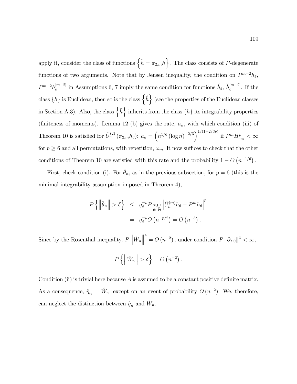apply it, consider the class of functions  $\{ \check{h} = \pi_{2,m} h \}$ . The class consists of P-degenerate functions of two arguments. Note that by Jensen inequality, the condition on  $P^{m-2}h_{\theta}$ ,  $P^{m-2}h_{\theta}^{[m-2]}$  $\tilde{h}_{\theta}^{[m-2]}$  in Assumptions 6, 7 imply the same condition for functions  $\check{h}_{\theta}$ ,  $\check{h}_{\theta}^{[m-2]}$  $\int_{\theta}^{\lfloor m-2\rfloor}$ . If the class  $\{h\}$  is Euclidean, then so is the class  $\{ \breve{h} \}$  (see the properties of the Euclidean classes in Section A.3). Also, the class  $\{ \check{h} \}$  inherits from the class  $\{ h \}$  its integrability properties (finiteness of moments). Lemma 12 (b) gives the rate,  $a_n$ , with which condition (iii) of Theorem 10 is satisfied for  $\hat{U}_n^{(2)}(\pi_{2,m}h_\theta)$ :  $a_n = \left(n^{1/6} (\log n)^{-2/3}\right)^{1/(1+2/3p)}$  if  $P^m H_{\omega_m}^p < \infty$ for  $p \geq 6$  and all permutations, with repetition,  $\omega_m$ . It now suffices to check that the other conditions of Theorem 10 are satisfied with this rate and the probability  $1 - O(n^{-1/6})$ .

First, check condition (i). For  $\hat{\theta}_n$ , as in the previous subsection, for  $p = 6$  (this is the minimal integrability assumption imposed in Theorem 4),

$$
P\left\{ \left\| \hat{\theta}_n \right\| > \delta \right\} \leq \eta_{\delta}^{-p} P \sup_{\theta \in \Theta} \left| \hat{U}_n^{(m)} h_{\theta} - P^m h_{\theta} \right|^p
$$

$$
= \eta_{\delta}^{-p} O\left(n^{-p/2}\right) = O\left(n^{-3}\right).
$$

Since by the Rosenthal inequality,  $P\left\|\hat{W}_n\right\|$  $\biggl\| \biggr.$  $4^4 = O(n^{-2})$ , under condition  $P \left\| \partial \tau_0 \right\|^4 < \infty$ ,

$$
P\left\{ \left\| \hat{W}_n \right\| > \delta \right\} = O\left(n^{-2}\right).
$$

Condition (ii) is trivial here because  $A$  is assumed to be a constant positive definite matrix. As a consequence,  $\hat{\eta}_n = \hat{W}_n$ , except on an event of probability  $O(n^{-2})$ . We, therefore, can neglect the distinction between  $\hat{\eta}_n$  and  $\hat{W}_n$ .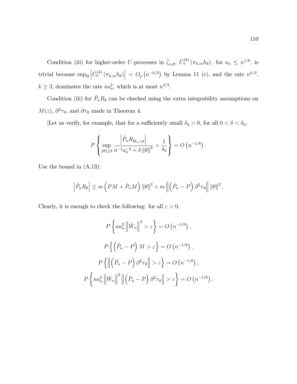Condition (iii) for higher-order U-processes in  $\hat{\zeta}_{n,\theta}$ ,  $\hat{U}_n^{(k)}(\pi_{k,m}h_{\theta})$ , for  $a_n \leq n^{1/6}$ , is trivial because  $\sup_{\Theta}$  $\left|\hat{U}_n^{(k)}\left(\pi_{k,m}h_\theta\right)\right| = O_p\left(n^{-k/2}\right)$  by Lemma 11 (c), and the rate  $n^{k/2}$ ,  $k \geq 3$ , dominates the rate  $na_n^2$ , which is at most  $n^{4/3}$ .

Condition (iii) for  $\hat{P}_n R_\theta$  can be checked using the extra integrability assumptions on  $M(z)$ ,  $\partial^2 \tau_0$ , and  $\partial \tau_0$  made in Theorem 4.

[Let us verify, for example, that for a sufficiently small  $\delta_0 > 0,$  for all  $0 < \delta < \delta_0,$ 

$$
P\left\{\sup_{\|\theta\|\leq\delta}\frac{\left|\hat{P}_nR_{\hat{W}_n+\theta}\right|}{n^{-1}a_n^{-2}+\delta\left\|\theta\right\|^2}>\frac{1}{\delta_0}\right\}=O\left(n^{-1/6}\right).
$$

Use the bound in (A.13):

$$
\left|\hat{P}_n R_\theta\right| \le m\left(PM + \hat{P}_n M\right) \|\theta\|^3 + m\left\|\left(\hat{P}_n - P\right)\partial^2 \tau_0\right\| \|\theta\|^2.
$$

Clearly, it is enough to check the following: for all  $\varepsilon > 0,$ 

$$
P\left\{na_n^2 \left\|\hat{W}_n\right\|^3 > \varepsilon\right\} = O\left(n^{-1/6}\right),
$$

$$
P\left\{\left(\hat{P}_n - P\right)M > \varepsilon\right\} = O\left(n^{-1/6}\right),
$$

$$
P\left\{\left\|\left(\hat{P}_n - P\right)\partial^2\tau_0\right\| > \varepsilon\right\} = O\left(n^{-1/6}\right),
$$

$$
P\left\{na_n^2 \left\|\hat{W}_n\right\|^2 \left\|\left(\hat{P}_n - P\right)\partial^2\tau_0\right\| > \varepsilon\right\} = O\left(n^{-1/6}\right).
$$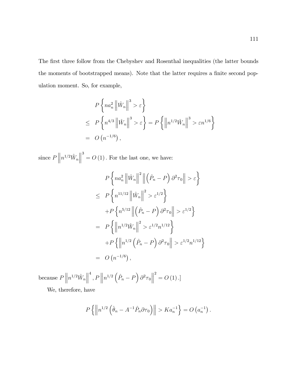The first three follow from the Chebyshev and Rosenthal inequalities (the latter bounds the moments of bootstrapped means). Note that the latter requires a finite second population moment. So, for example,

$$
P\left\{na_n^2 \left\|\hat{W}_n\right\|^3 > \varepsilon\right\}
$$
  
\n
$$
\leq P\left\{n^{4/3} \left\|\hat{W}_n\right\|^3 > \varepsilon\right\} = P\left\{\left\|n^{1/2}\hat{W}_n\right\|^3 > \varepsilon n^{1/6}\right\}
$$
  
\n
$$
= O\left(n^{-1/6}\right),
$$

since  $P\|n^{1/2}\hat{W}_n$  $\begin{array}{c} \vspace{0.1cm} \rule{0.2cm}{0.1cm} \vspace{0.1cm} \rule{0.1cm}{0.1cm} \vspace{0.1cm} \vspace{0.1cm} \end{array}$  $3^3 = O(1)$ . For the last one, we have:

$$
P\left\{na_n^2 \left\|\hat{W}_n\right\|^2 \left\|\left(\hat{P}_n - P\right)\partial^2 \tau_0\right\| > \varepsilon\right\}
$$
  
\n
$$
\leq P\left\{n^{11/12} \left\|\hat{W}_n\right\|^2 > \varepsilon^{1/2}\right\}
$$
  
\n
$$
+ P\left\{n^{5/12} \left\|\left(\hat{P}_n - P\right)\partial^2 \tau_0\right\| > \varepsilon^{1/2}\right\}
$$
  
\n
$$
= P\left\{\left\|n^{1/2} \hat{W}_n\right\|^2 > \varepsilon^{1/2} n^{1/12}\right\}
$$
  
\n
$$
+ P\left\{\left\|n^{1/2} \left(\hat{P}_n - P\right)\partial^2 \tau_0\right\| > \varepsilon^{1/2} n^{1/12}\right\}
$$
  
\n
$$
= O\left(n^{-1/6}\right),
$$

because  $P\|n^{1/2}\hat{W}_n\|$  $\begin{array}{c} \vspace{0.1cm} \vspace{0.1cm} \vspace{0.1cm} \vspace{0.1cm} \vspace{0.1cm} \vspace{0.1cm} \vspace{0.1cm} \vspace{0.1cm} \vspace{0.1cm} \vspace{0.1cm} \vspace{0.1cm} \vspace{0.1cm} \vspace{0.1cm} \vspace{0.1cm} \vspace{0.1cm} \vspace{0.1cm} \vspace{0.1cm} \vspace{0.1cm} \vspace{0.1cm} \vspace{0.1cm} \vspace{0.1cm} \vspace{0.1cm} \vspace{0.1cm} \vspace{0.$  $\int^4$ ,  $P\left\|n^{1/2}\left(\hat{P}_n-P\right)\partial^2\tau_0\right\|$  $2^{2} = O(1).$ 

We, therefore, have

$$
P\left\{\left\|n^{1/2}\left(\hat{\theta}_n - A^{-1}\hat{P}_n\partial\tau_0\right)\right\| > Ka_n^{-1}\right\} = O\left(a_n^{-1}\right).
$$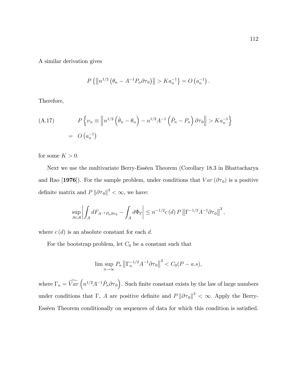A similar derivation gives

$$
P\{\left\|n^{1/2} \left(\theta_n - A^{-1} P_n \partial \tau_0\right)\right\| > Ka_n^{-1}\} = O\left(a_n^{-1}\right).
$$

Therefore,

(A.17) 
$$
P\left\{\nu_n \equiv \left\|n^{1/2}\left(\hat{\theta}_n - \theta_n\right) - n^{1/2}A^{-1}\left(\hat{P}_n - P_n\right)\partial\tau_0\right\| > Ka_n^{-1}\right\}
$$

$$
= O\left(a_n^{-1}\right)
$$

for some  $K>0.$ 

Next we use the multivariate Berry-Esséen Theorem (Corollary 18.3 in Bhattacharya and Rao [1976]). For the sample problem, under conditions that  $Var(\partial \tau_0)$  is a positive definite matrix and  $P \|\partial \tau_0\|^3 < \infty$ , we have:

$$
\sup_{A\in\mathcal{A}}\left|\int_A dF_{A^{-1}P_n\partial\tau_0}-\int_A d\Phi_{\Gamma}\right|\leq n^{-1/2}c\left(d\right)P\left\|\Gamma^{-1/2}A^{-1}\partial\tau_0\right\|^3,
$$

where  $c(d)$  is an absolute constant for each d.

For the bootstrap problem, let  $\mathcal{C}_0$  be a constant such that

$$
\limsup_{n\to\infty} P_n \left\|\Gamma_n^{-1/2} A^{-1} \partial \tau_0\right\|^3 < C_0 (P-a.s),
$$

where  $\Gamma_n = \widehat{Var}\left(n^{1/2}A^{-1}\hat{P}_n\partial\tau_0\right)$ . Such finite constant exists by the law of large numbers under conditions that  $\Gamma$ , A are positive definite and  $P ||\partial \tau_0||^3 < \infty$ . Apply the Berry-Esséen Theorem conditionally on sequences of data for which this condition is satisfied.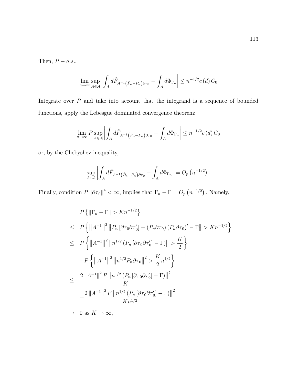Then,  $P - a.s.,$ 

$$
\lim_{n \to \infty} \sup_{A \in \mathcal{A}} \left| \int_A d\hat{F}_{A^{-1}(\hat{P}_n - P_n) \partial \tau_0} - \int_A d\Phi_{\Gamma_n} \right| \leq n^{-1/2} c(d) C_0
$$

Integrate over  $P$  and take into account that the integrand is a sequence of bounded functions, apply the Lebesgue dominated convergence theorem:

$$
\lim_{n \to \infty} P \sup_{A \in \mathcal{A}} \left| \int_A d\hat{F}_{A^{-1}(\hat{P}_n - P_n) \partial \tau_0} - \int_A d\Phi_{\Gamma_n} \right| \leq n^{-1/2} c(d) C_0
$$

or, by the Chebyshev inequality,

$$
\sup_{A\in\mathcal{A}}\left|\int_A d\hat{F}_{A^{-1}(\hat{P}_n-P_n)\partial\tau_0}-\int_A d\Phi_{\Gamma_n}\right|=O_p\left(n^{-1/2}\right).
$$

Finally, condition  $P \|\partial \tau_0\|^4 < \infty$ , implies that  $\Gamma_n - \Gamma = O_p(n^{-1/2})$ . Namely,

$$
P\left\{\left\|\Gamma_{n}-\Gamma\right\|>Kn^{-1/2}\right\}
$$
  
\n
$$
\leq P\left\{\left\|A^{-1}\right\|^{2}\left\|P_{n}\left[\partial\tau_{0}\partial\tau_{0}'\right]-\left(P_{n}\partial\tau_{0}\right)\left(P_{n}\partial\tau_{0}\right)'-\Gamma\right\|>Kn^{-1/2}\right\}
$$
  
\n
$$
\leq P\left\{\left\|A^{-1}\right\|^{2}\left\|n^{1/2}\left(P_{n}\left[\partial\tau_{0}\partial\tau_{0}'\right]-\Gamma\right)\right\|>\frac{K}{2}\right\}
$$
  
\n
$$
+P\left\{\left\|A^{-1}\right\|^{2}\left\|n^{1/2}P_{n}\partial\tau_{0}\right\|^{2}>\frac{K}{2}n^{1/2}\right\}
$$
  
\n
$$
\leq \frac{2\left\|A^{-1}\right\|^{2}P\left\|n^{1/2}\left(P_{n}\left[\partial\tau_{0}\partial\tau_{0}'\right]-\Gamma\right)\right\|^{2}}{K}
$$
  
\n
$$
+\frac{2\left\|A^{-1}\right\|^{2}P\left\|n^{1/2}\left(P_{n}\left[\partial\tau_{0}\partial\tau_{0}'\right]-\Gamma\right)\right\|^{2}}{Kn^{1/2}}
$$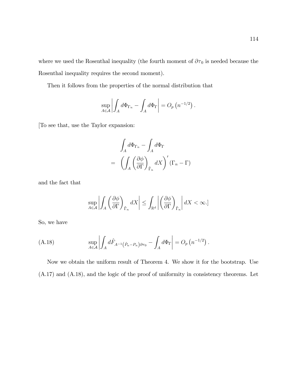where we used the Rosenthal inequality (the fourth moment of  $\partial \tau_0$  is needed because the Rosenthal inequality requires the second moment).

Then it follows from the properties of the normal distribution that

$$
\sup_{A\in\mathcal{A}}\left|\int_A d\Phi_{\Gamma_n}-\int_A d\Phi_{\Gamma}\right|=O_p\left(n^{-1/2}\right).
$$

[To see that, use the Taylor expansion:

$$
\int_{A} d\Phi_{\Gamma_n} - \int_{A} d\Phi_{\Gamma}
$$
\n
$$
= \left( \int_{A} \left( \frac{\partial \phi}{\partial \Gamma} \right)_{\tilde{\Gamma}_n} dX \right)' (\Gamma_n - \Gamma)
$$

and the fact that

$$
\sup_{A\in\mathcal{A}}\left|\int_A \left(\frac{\partial \phi}{\partial \Gamma}\right)_{\tilde{\Gamma}_n} dX\right| \le \int_{\mathbb{R}^d} \left|\left(\frac{\partial \phi}{\partial \Gamma}\right)_{\tilde{\Gamma}_n}\right| dX < \infty.
$$

So, we have

(A.18) 
$$
\sup_{A \in \mathcal{A}} \left| \int_A d\hat{F}_{A^{-1}(\hat{P}_n - P_n) \partial \tau_0} - \int_A d\Phi_{\Gamma} \right| = O_p(n^{-1/2}).
$$

Now we obtain the uniform result of Theorem 4. We show it for the bootstrap. Use (A.17) and (A.18), and the logic of the proof of uniformity in consistency theorems. Let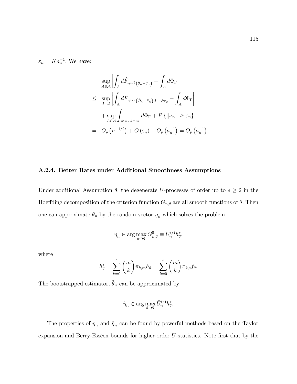$\varepsilon_n = Ka_n^{-1}$ . We have:

$$
\sup_{A \in \mathcal{A}} \left| \int_A d\hat{F}_{n^{1/2}(\hat{\theta}_n - \theta_n)} - \int_A d\Phi_{\Gamma} \right|
$$
\n
$$
\leq \sup_{A \in \mathcal{A}} \left| \int_A d\hat{F}_{n^{1/2}(\hat{P}_n - P_n)A^{-1}\partial\tau_0} - \int_A d\Phi_{\Gamma} \right|
$$
\n
$$
+ \sup_{A \in \mathcal{A}} \int_{A^{\varepsilon_n} \setminus A^{-\varepsilon_n}} d\Phi_{\Gamma} + P \{ ||\nu_n|| \geq \varepsilon_n \}
$$
\n
$$
= O_p(n^{-1/2}) + O(\varepsilon_n) + O_p(a_n^{-1}) = O_p(a_n^{-1})
$$

## A.2.4. Better Rates under Additional Smoothness Assumptions

Under additional Assumption 8, the degenerate U-processes of order up to  $s \geq 2$  in the Hoeffding decomposition of the criterion function  $G_{n,\theta}$  are all smooth functions of  $\theta$ . Then one can approximate  $\theta_n$  by the random vector  $\eta_n$  which solves the problem

$$
\eta_n \in \arg\max_{\theta \in \Theta} G_{n,\theta}^0 \equiv U_n^{(s)} h_\theta^*,
$$

where

$$
h_{\theta}^* = \sum_{k=0}^s {m \choose k} \pi_{k,m} h_{\theta} = \sum_{k=0}^s {m \choose k} \pi_{k,s} f_{\theta}.
$$

The bootstrapped estimator,  $\hat{\theta}_n$  can be approximated by

$$
\hat{\eta}_n \in \arg\max_{\theta \in \Theta} \hat{U}_n^{(s)} h_\theta^*.
$$

The properties of  $\eta_n$  and  $\hat{\eta}_n$  can be found by powerful methods based on the Taylor expansion and Berry-Esséen bounds for higher-order  $U$ -statistics. Note first that by the

: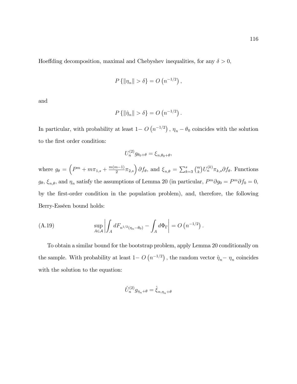Hoeffding decomposition, maximal and Chebyshev inequalities, for any  $\delta > 0$ ,

$$
P\left\{\|\eta_n\| > \delta\right\} = O\left(n^{-1/2}\right),\,
$$

and

$$
P\left\{\|\hat{\eta}_n\| > \delta\right\} = O\left(n^{-1/2}\right).
$$

In particular, with probability at least  $1-O(n^{-1/2})$ ,  $\eta_n - \theta_0$  coincides with the solution to the first order condition:

$$
U_n^{(2)}g_{\theta_0+\theta} = \xi_{n,\theta_0+\theta},
$$

where  $g_{\theta} = \left( P^m + m \pi_{1,s} + \frac{m(m-1)}{2} \right)$  $\left(\frac{n-1}{2}\pi_{2,s}\right)\partial f_{\theta}$ , and  $\xi_{n,\theta} = \sum_{k=3}^s \binom{m}{k} U_n^{(k)} \pi_{k,s} \partial f_{\theta}$ . Functions  $g_{\theta}$ ,  $\xi_{n,\theta}$ , and  $\eta_n$  satisfy the assumptions of Lemma 20 (in particular,  $P^m \partial g_0 = P^m \partial f_0 = 0$ , by the first-order condition in the population problem), and, therefore, the following Berry-Esséen bound holds:

(A.19) 
$$
\sup_{A \in \mathcal{A}} \left| \int_{A} dF_{n^{1/2}(\eta_n - \theta_0)} - \int_{A} d\Phi_{\Gamma} \right| = O(n^{-1/2}).
$$

To obtain a similar bound for the bootstrap problem, apply Lemma 20 conditionally on the sample. With probability at least  $1-O(n^{-1/2})$ , the random vector  $\hat{\eta}_n - \eta_n$  coincides with the solution to the equation:

$$
\hat{U}^{(2)}_n g_{\eta_n+\theta} = \hat{\xi}_{n,\eta_n+\theta}
$$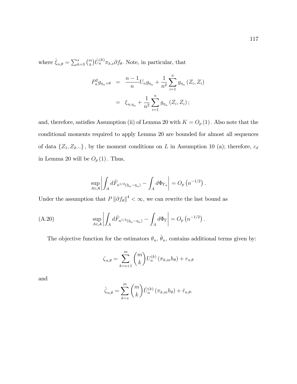where  $\hat{\xi}_{n,\theta} = \sum_{k=3}^{s} \binom{m}{k} \hat{U}_n^{(k)} \pi_{k,s} \partial f_{\theta}$ . Note, in particular, that

$$
P_n^2 g_{\eta_n + \theta} = \frac{n-1}{n} U_n g_{\eta_n} + \frac{1}{n^2} \sum_{i=1}^n g_{\eta_n} (Z_i, Z_i)
$$
  
=  $\xi_{n, \eta_n} + \frac{1}{n^2} \sum_{i=1}^n g_{\eta_n} (Z_i, Z_i);$ 

and, therefore, satisfies Assumption (ii) of Lemma 20 with  $K = O_p(1)$ . Also note that the conditional moments required to apply Lemma 20 are bounded for almost all sequences of data  $\{Z_1, Z_2...\}$ , by the moment conditions on L in Assumption 10 (a); therefore,  $c_d$ in Lemma 20 will be  $O_p(1)$ . Thus,

$$
\sup_{A\in\mathcal{A}}\left|\int_A d\hat{F}_{n^{1/2}(\hat{\eta}_n-\eta_n)}-\int_A d\Phi_{\Gamma_n}\right|=O_p\left(n^{-1/2}\right).
$$

Under the assumption that  $P || \partial f_{\theta} ||^4 < \infty$ , we can rewrite the last bound as

(A.20) 
$$
\sup_{A \in \mathcal{A}} \left| \int_A d\hat{F}_{n^{1/2}(\hat{\eta}_n - \eta_n)} - \int_A d\Phi_{\Gamma} \right| = O_p(n^{-1/2}).
$$

The objective function for the estimators  $\theta_n$ ,  $\hat{\theta}_n$ , contains additional terms given by:

$$
\zeta_{n,\theta} = \sum_{k=s+1}^{m} {m \choose k} U_n^{(k)} \left( \pi_{k,m} h_{\theta} \right) + r_{n,\theta}
$$

and

$$
\hat{\zeta}_{n,\theta} = \sum_{k=s}^{m} {m \choose k} \hat{U}_n^{(k)} (\pi_{k,m} h_{\theta}) + \hat{r}_{n,\theta}.
$$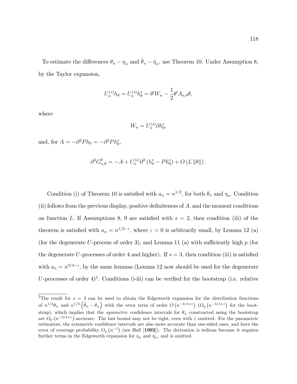To estimate the differences  $\theta_n - \eta_n$  and  $\hat{\theta}_n - \hat{\eta}_n$ , use Theorem 10. Under Assumption 8, by the Taylor expansion,

$$
U_n^{(s)}h_{\theta} = U_n^{(s)}h_{\theta}^* = \theta'W_n - \frac{1}{2}\theta' A_{n,\theta}\theta,
$$

where

$$
W_n = U_n^{(s)} \partial h_0^*,
$$

and, for  $A = -\partial^2 P h_0 = -\partial^2 P h_0^*$ ,

$$
\partial^2 G^0_{n,\theta} = -A + U_n^{(s)} \partial^2 (h_0^* - P h_0^*) + O (L ||\theta||).
$$

Condition (i) of Theorem 10 is satisfied with  $a_n = n^{1/2}$ , for both  $\theta_n$  and  $\eta_n$ . Condition  $(i)$  follows from the previous display, positive definiteness of  $A$ , and the moment conditions on function L. If Assumptions 8, 9 are satisfied with  $s = 2$ , then condition (iii) of the theorem is satisfied with  $a_n = n^{1/2-\epsilon}$ , where  $\epsilon > 0$  is arbitrarily small, by Lemma 12 (a) (for the degenerate U-process of order 3), and Lemma 11 (a) with sufficiently high  $p$  (for the degenerate U-processes of order 4 and higher). If  $s = 3$ , then condition (iii) is satisfied with  $a_n = n^{3/4-\epsilon}$ , by the same lemmas (Lemma 12 now should be used for the degenerate U-processes of order  $4)^2$ . Conditions (i-iii) can be verified for the bootstrap (i.e. relative

<sup>&</sup>lt;sup>2</sup>The result for  $s = 3$  can be used to obtain the Edgeworth expansion for the distribution functions of  $n^{1/2}\theta_n$  and  $n^{1/2}(\hat{\theta}_n-\theta_n)$  with the error term of order  $O(n^{-3/4+\epsilon})$   $(O_p(n^{-3/4+\epsilon})$  for the bootstrap), which implies that the *symmetric* confidence intervals for  $\theta_n$  constructed using the bootstrap are  $O_p(n^{-3/4+\epsilon})$ -accurate. The last bound may not be tight, even with  $\varepsilon$  omitted. For the parametric estimators, the symmetric confidence intervals are also more accurate than one-sided ones, and have the error of coverage probability  $O_p(n^{-1})$  (see Hall [1992]). The derivation is tedious because it requires further terms in the Edgeworth expansion for  $\eta_n$  and  $\hat{\eta}_n$ , and is omitted.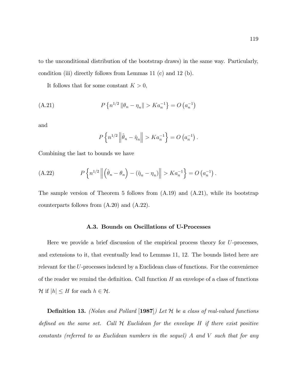to the unconditional distribution of the bootstrap draws) in the same way. Particularly, condition (iii) directly follows from Lemmas 11 (c) and 12 (b).

It follows that for some constant  $K > 0$ ,

(A.21) 
$$
P\left\{n^{1/2} \left\|\theta_n - \eta_n\right\| > Ka_n^{-1}\right\} = O\left(a_n^{-1}\right)
$$

and

$$
P\left\{n^{1/2} \left\|\hat{\theta}_n - \hat{\eta}_n\right\| > Ka_n^{-1}\right\} = O\left(a_n^{-1}\right).
$$

Combining the last to bounds we have

(A.22) 
$$
P\left\{n^{1/2} \left\| \left(\hat{\theta}_n - \theta_n\right) - (\hat{\eta}_n - \eta_n) \right\| > Ka_n^{-1}\right\} = O\left(a_n^{-1}\right).
$$

The sample version of Theorem 5 follows from  $(A.19)$  and  $(A.21)$ , while its bootstrap counterparts follows from (A.20) and (A.22).

## A.3. Bounds on Oscillations of U-Processes

Here we provide a brief discussion of the empirical process theory for U-processes, and extensions to it, that eventually lead to Lemmas 11, 12. The bounds listed here are relevant for the U-processes indexed by a Euclidean class of functions. For the convenience of the reader we remind the definition. Call function  $H$  an envelope of a class of functions  $\mathcal{H}$  if  $|h| \leq H$  for each  $h \in \mathcal{H}$ .

**Definition 13.** (Nolan and Pollard [1987]) Let  $H$  be a class of real-valued functions defined on the same set. Call  $H$  Euclidean for the envelope  $H$  if there exist positive constants (referred to as Euclidean numbers in the sequel) A and V such that for any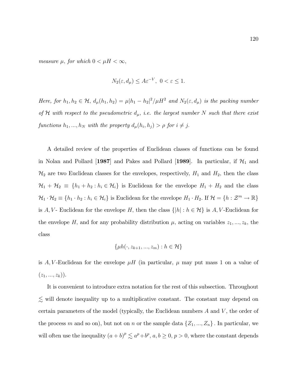measure  $\mu$ , for which  $0 < \mu H < \infty$ ,

$$
N_2(\varepsilon, d_\mu) \le A\varepsilon^{-V}, \ 0 < \varepsilon \le 1.
$$

Here, for  $h_1, h_2 \in \mathcal{H}$ ,  $d_{\mu}(h_1, h_2) = \mu |h_1 - h_2|^2 / \mu H^2$  and  $N_2(\varepsilon, d_{\mu})$  is the packing number of H with respect to the pseudometric  $d_{\mu}$ , i.e. the largest number N such that there exist functions  $h_1, ..., h_N$  with the property  $d_\mu(h_i, h_j) > \rho$  for  $i \neq j$ .

A detailed review of the properties of Euclidean classes of functions can be found in Nolan and Pollard [1987] and Pakes and Pollard [1989]. In particular, if  $\mathcal{H}_1$  and  $\mathcal{H}_2$  are two Euclidean classes for the envelopes, respectively,  $H_1$  and  $H_2$ , then the class  $\mathcal{H}_1 + \mathcal{H}_2 \equiv \{h_1 + h_2 : h_i \in \mathcal{H}_i\}$  is Euclidean for the envelope  $H_1 + H_2$  and the class  $\mathcal{H}_1 \cdot \mathcal{H}_2 \equiv \{h_1 \cdot h_2 : h_i \in \mathcal{H}_i\}$  is Euclidean for the envelope  $H_1 \cdot H_2$ . If  $\mathcal{H} = \{h : \mathcal{Z}^m \to \mathbb{R}\}\$ is A, V - Euclidean for the envelope H, then the class  $\{|h|: h \in \mathcal{H}\}\$ is A, V - Euclidean for the envelope H, and for any probability distribution  $\mu$ , acting on variables  $z_1, ..., z_k$ , the class

$$
\{\mu h(\cdot, z_{k+1}, ..., z_m) : h \in \mathcal{H}\}
$$

is A, V-Euclidean for the envelope  $\mu$ H (in particular,  $\mu$  may put mass 1 on a value of  $(z_1, ..., z_k)).$ 

It is convenient to introduce extra notation for the rest of this subsection. Throughout  $\lesssim$  will denote inequality up to a multiplicative constant. The constant may depend on certain parameters of the model (typically, the Euclidean numbers A and V , the order of the process m and so on), but not on n or the sample data  $\{Z_1, ..., Z_n\}$ . In particular, we will often use the inequality  $(a + b)^p \lesssim a^p + b^p$ ,  $a, b \ge 0$ ,  $p > 0$ , where the constant depends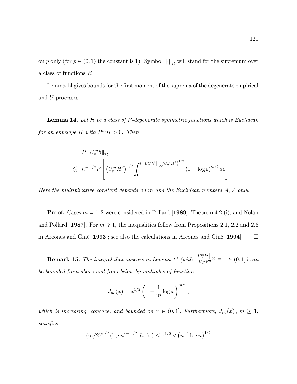on p only (for  $p \in (0, 1)$  the constant is 1). Symbol  $\left\| \cdot \right\|_{\mathcal{H}}$  will stand for the supremum over a class of functions  $H$ .

Lemma 14 gives bounds for the first moment of the suprema of the degenerate empirical and U-processes.

**Lemma 14.** Let  $H$  be a class of P-degenerate symmetric functions which is Euclidean for an envelope H with  $P^m H > 0$ . Then

$$
P\left\|U_{n}^{m}h\right\|_{\mathcal{H}}
$$
  
\$\lesssim n^{-m/2}P\left[\left(U\_{n}^{m}H^{2}\right)^{1/2}\int\_{0}^{\left(\left\|U\_{n}^{m}h^{2}\right\|\_{\mathcal{H}}/U\_{n}^{m}H^{2}\right)^{1/2}}(1-\log\varepsilon)^{m/2}d\varepsilon\right]\$

Here the multiplicative constant depends on  $m$  and the Euclidean numbers  $A, V$  only.

**Proof.** Cases  $m = 1, 2$  were considered in Pollard [1989], Theorem 4.2 (i), and Nolan and Pollard  $\vert 1987 \vert$ . For  $m \geq 1$ , the inequalities follow from Propositions 2.1, 2.2 and 2.6 in Arcones and Giné [1993]; see also the calculations in Arcones and Giné [1994].  $\Box$ 

**Remark 15.** The integral that appears in Lemma 14 (with  $\frac{||U_m^m h^2||_H}{U_m^m H^2} \equiv x \in (0,1]$ ) can be bounded from above and from below by multiples of function

$$
J_m(x) = x^{1/2} \left( 1 - \frac{1}{m} \log x \right)^{m/2},
$$

which is increasing, concave, and bounded on  $x \in (0, 1]$ . Furthermore,  $J_m(x)$ ,  $m \ge 1$ , satisfies

$$
(m/2)^{m/2} (\log n)^{-m/2} J_m(x) \le x^{1/2} \vee (n^{-1} \log n)^{1/2}
$$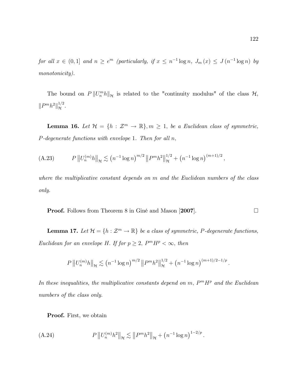for all  $x \in (0,1]$  and  $n \geq e^m$  (particularly, if  $x \leq n^{-1} \log n$ ,  $J_m(x) \leq J(n^{-1} \log n)$  by monotonicity).

The bound on  $P\|U_n^m h\|_{\mathcal{H}}$  is related to the "continuity modulus" of the class  $\mathcal{H}$ ,  $\|P^m h^2\|_{\mathcal{H}}^{1/2}.$ 

**Lemma 16.** Let  $\mathcal{H} = \{h : \mathcal{Z}^m \to \mathbb{R}\}, m \geq 1$ , be a Euclidean class of symmetric,  $P$ -degenerate functions with envelope 1. Then for all  $n$ ,

(A.23) 
$$
P\left\|U_n^{(m)}h\right\|_{\mathcal{H}} \lesssim \left(n^{-1}\log n\right)^{m/2}\left\|P^m h^2\right\|_{\mathcal{H}}^{1/2} + \left(n^{-1}\log n\right)^{(m+1)/2},
$$

where the multiplicative constant depends on m and the Euclidean numbers of the class only.

**Proof.** Follows from Theorem 8 in Giné and Mason [2007]. □

**Lemma 17.** Let  $\mathcal{H} = \{h : \mathcal{Z}^m \to \mathbb{R}\}\$  be a class of symmetric, P-degenerate functions, Euclidean for an envelope H. If for  $p \geq 2$ ,  $P^m H^p < \infty$ , then

$$
P\left\|U_n^{(m)}h\right\|_{\mathcal{H}} \lesssim \left(n^{-1}\log n\right)^{m/2}\left\|P^{m}h^2\right\|_{\mathcal{H}}^{1/2} + \left(n^{-1}\log n\right)^{(m+1)/2-1/p}
$$

In these inequalities, the multiplicative constants depend on  $m$ ,  $P^mH^p$  and the Euclidean numbers of the class only.

Proof. First, we obtain

(A.24) 
$$
P\left\|U_n^{(m)}h^2\right\|_{\mathcal{H}} \lesssim \left\|P^m h^2\right\|_{\mathcal{H}} + \left(n^{-1}\log n\right)^{1-2/p}.
$$

: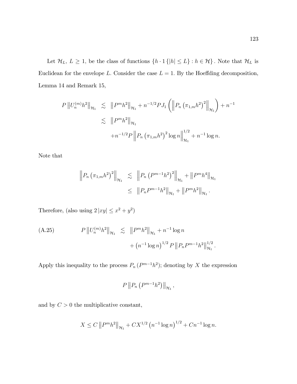Let  $\mathcal{H}_L$ ,  $L \geq 1$ , be the class of functions  $\{h \cdot 1\{|h| \leq L\} : h \in \mathcal{H}\}\)$ . Note that  $\mathcal{H}_L$  is Euclidean for the envelope L. Consider the case  $L = 1$ . By the Hoeffding decomposition, Lemma 14 and Remark 15,

$$
P ||U_n^{(m)}h^2||_{\mathcal{H}_1} \leq ||P^m h^2||_{\mathcal{H}_1} + n^{-1/2} P J_1 \left( ||P_n (\pi_{1,m} h^2) ||_{\mathcal{H}_1} \right) + n^{-1}
$$
  

$$
\leq ||P^m h^2||_{\mathcal{H}_1}
$$
  

$$
+ n^{-1/2} P ||P_n (\pi_{1,m} h^2) ||_{\mathcal{H}_1}^{1/2} + n^{-1} \log n.
$$

Note that

$$
\|P_n (\pi_{1,m} h^2)^2\|_{\mathcal{H}_1} \leq \|P_n (P^{m-1} h^2)^2\|_{\mathcal{H}_1} + \|P^m h^4\|_{\mathcal{H}_1}
$$
  

$$
\leq \|P_n P^{m-1} h^2\|_{\mathcal{H}_1} + \|P^m h^2\|_{\mathcal{H}_1}.
$$

Therefore, (also using  $2 |xy| \leq x^2 + y^2$ )

(A.25) 
$$
P\left\|U_n^{(m)}h^2\right\|_{\mathcal{H}_1} \lesssim \|P^m h^2\|_{\mathcal{H}_1} + n^{-1}\log n + (n^{-1}\log n)^{1/2} P\left\|P_n P^{m-1} h^2\right\|_{\mathcal{H}_1}^{1/2}.
$$

Apply this inequality to the process  $P_n(P^{m-1}h^2)$ ; denoting by X the expression

$$
P\left\|P_n\left(P^{m-1}h^2\right)\right\|_{\mathcal{H}_1},\,
$$

and by  $C > 0$  the multiplicative constant,

$$
X \le C \left\| P^m h^2 \right\|_{\mathcal{H}_1} + C X^{1/2} \left( n^{-1} \log n \right)^{1/2} + C n^{-1} \log n.
$$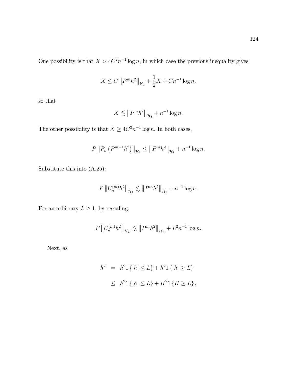One possibility is that  $X > 4C^2n^{-1}\log n$ , in which case the previous inequality gives

$$
X \le C ||P^m h^2||_{\mathcal{H}_1} + \frac{1}{2}X + Cn^{-1} \log n,
$$

so that

$$
X \lesssim ||P^m h^2||_{\mathcal{H}_1} + n^{-1} \log n.
$$

The other possibility is that  $X \geq 4C^2 n^{-1} \log n$ . In both cases,

$$
P\left\|P_n\left(P^{m-1}h^2\right)\right\|_{\mathcal{H}_1} \le \left\|P^m h^2\right\|_{\mathcal{H}_1} + n^{-1}\log n.
$$

Substitute this into (A.25):

$$
P\left\|U_n^{(m)}h^2\right\|_{\mathcal{H}_1} \lesssim \left\|P^m h^2\right\|_{\mathcal{H}_1} + n^{-1}\log n.
$$

For an arbitrary  $L\geq 1,$  by rescaling,

$$
P\left\|U_n^{(m)}h^2\right\|_{\mathcal{H}_L}\lesssim \left\|P^m h^2\right\|_{\mathcal{H}_L}+L^2n^{-1}\log n.
$$

Next, as

$$
h^{2} = h^{2}1 \{ |h| \le L \} + h^{2}1 \{ |h| \ge L \}
$$
  
 
$$
\le h^{2}1 \{ |h| \le L \} + H^{2}1 \{ H \ge L \},
$$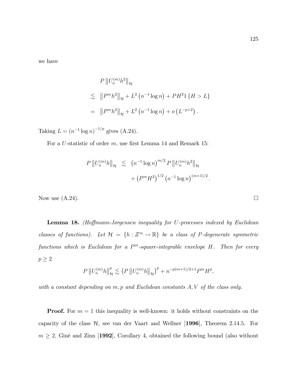we have

$$
P ||U_n^{(m)}h^2||_{\mathcal{H}}
$$
  
\n
$$
\lesssim ||P^m h^2||_{\mathcal{H}} + L^2 (n^{-1} \log n) + PH^2 1 \{H > L\}
$$
  
\n
$$
= ||P^m h^2||_{\mathcal{H}} + L^2 (n^{-1} \log n) + o (L^{-p+2}).
$$

Taking  $L = (n^{-1} \log n)^{-1/p}$  gives (A.24).

For a U-statistic of order  $m$ , use first Lemma 14 and Remark 15:

$$
P\left\|U_n^{(m)}h\right\|_{\mathcal{H}} \leq (n^{-1}\log n)^{m/2} P\left\|U_n^{(m)}h^2\right\|_{\mathcal{H}} + (P^m H^2)^{1/2} (n^{-1}\log n)^{(m+1)/2}.
$$

Now use  $(A.24)$ .

**Lemma 18.** (Hoffmann-Jørgensen inequality for U-processes indexed by Euclidean classes of functions). Let  $\mathcal{H} = \{h : \mathcal{Z}^m \to \mathbb{R}\}\$  be a class of P-degenerate symmetric functions which is Euclidean for a  $P<sup>m</sup>$ -square-integrable envelope H. Then for every  $p\geq 2$ 

$$
P\left\|U_n^{(m)}h\right\|_{\mathcal{H}}^p \lesssim \left(P\left\|U_n^{(m)}h\right\|_{\mathcal{H}}\right)^p + n^{-p(m+1)/2+1}P^mH^p,
$$

with a constant depending on  $m, p$  and Euclidean constants  $A, V$  of the class only.

**Proof.** For  $m = 1$  this inequality is well-known: it holds without constraints on the capacity of the class  $H$ , see van der Vaart and Wellner [1996], Theorem 2.14.5. For  $m \geq 2$ , Giné and Zinn [1992], Corollary 4, obtained the following bound (also without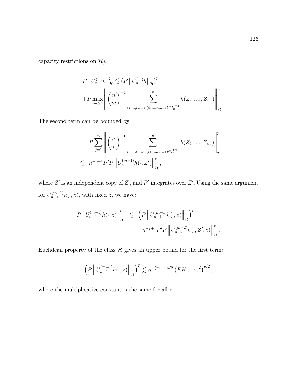capacity restrictions on  $\mathcal{H}$ ):

$$
P || U_n^{(m)} h ||_{\mathcal{H}}^p \lesssim (P || U_n^{(m)} h ||_{\mathcal{H}})^p
$$
  
+
$$
P \max_{i_m \leq n} \left\| \binom{n}{m}^{-1} \sum_{i_1, \dots, i_{m-1} : (i_1, \dots, i_{m-1}) \in I_n^{(m)}}^{n} h(Z_{i_1}, \dots, Z_{i_m}) \right\|_{\mathcal{H}}^p
$$

The second term can be bounded by

$$
P\sum_{j=1}^{n} \left\| {n \choose m}^{-1} \sum_{i_1, \dots, i_{m-1} : (i_1, \dots, i_{m-1}) \in I_n^{(m)}} h(Z_{i_1}, \dots, Z_{i_m}) \right\|_{\mathcal{H}}^p
$$
  

$$
\lesssim n^{-p+1} P' P \left\| U_{n-1}^{(m-1)} h(\cdot, Z') \right\|_{\mathcal{H}}^p,
$$

where  $Z'$  is an independent copy of  $Z_i$ , and  $P'$  integrates over  $Z'$ . Using the same argument for  $U_{n-1}^{(m-1)}h(\cdot,z)$ , with fixed z, we have:

$$
P\left\|U_{n-1}^{(m-1)}h(\cdot,z)\right\|_{\mathcal{H}}^{p} \leq \left(P\left\|U_{n-1}^{(m-1)}h(\cdot,z)\right\|_{\mathcal{H}}\right)^{p} + n^{-p+1}P'P\left\|U_{n-2}^{(m-2)}h(\cdot,Z',z)\right\|_{\mathcal{H}}^{p}.
$$

Euclidean property of the class  $\mathcal H$  gives an upper bound for the first term:

$$
\left(P\left\|U_{n-1}^{(m-1)}h(\cdot,z)\right\|_{\mathcal{H}}\right)^{p} \lesssim n^{-(m-1)p/2} \left(PH\left(\cdot,z\right)^{2}\right)^{p/2},
$$

where the multiplicative constant is the same for all  $z$ .

: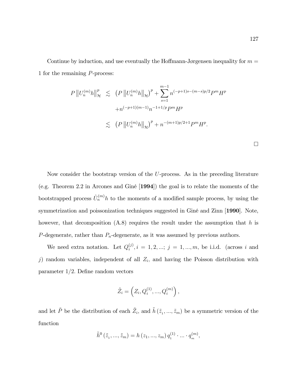Continue by induction, and use eventually the Hoffmann-Jørgensen inequality for  $m =$ 1 for the remaining P-process:

$$
P || U_n^{(m)} h ||_{\mathcal{H}}^p \leq (P || U_n^{(m)} h ||_{\mathcal{H}})^p + \sum_{s=1}^{m-1} n^{(-p+1)s - (m-s)p/2} P^m H^p
$$
  
+
$$
+ n^{(-p+1)(m-1)} n^{-1+1/p} P^m H^p
$$
  

$$
\leq (P || U_n^{(m)} h ||_{\mathcal{H}})^p + n^{-(m+1)p/2+1} P^m H^p.
$$

Now consider the bootstrap version of the U-process. As in the preceding literature (e.g. Theorem 2.2 in Arcones and GinÈ [1994]) the goal is to relate the moments of the bootstrapped process  $\hat{U}_n^{(m)} h$  to the moments of a modified sample process, by using the symmetrization and poissonization techniques suggested in Giné and Zinn [1990]. Note, however, that decomposition  $(A.8)$  requires the result under the assumption that h is  $P$ -degenerate, rather than  $P_n$ -degenerate, as it was assumed by previous authors.

We need extra notation. Let  $Q_i^{(j)}$  $i^{(j)}$ ,  $i = 1, 2, ...; j = 1, ..., m$ , be i.i.d. (across i and j) random variables, independent of all  $Z_i$ , and having the Poisson distribution with parameter  $1/2$ . Define random vectors

$$
\tilde{Z}_i = \left(Z_i, Q_i^{(1)}, ..., Q_i^{(m)}\right),
$$

and let  $\tilde{P}$  be the distribution of each  $\tilde{Z}_i$ , and  $\tilde{h}(\tilde{z}_1, ..., \tilde{z}_m)$  be a symmetric version of the function

$$
\tilde{h}^{0}(\tilde{z}_{1},...,\tilde{z}_{m}) = h(z_{1},...,z_{m}) q_{1}^{(1)} \cdot ... \cdot q_{m}^{(m)},
$$

 $\Box$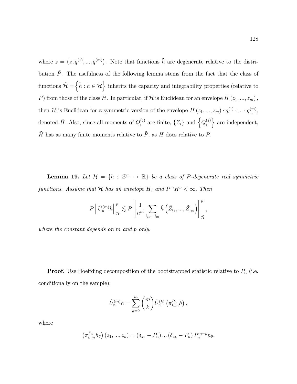where  $\tilde{z} = (z, q^{(1)}, ..., q^{(m)})$ . Note that functions  $\tilde{h}$  are degenerate relative to the distribution  $\tilde{P}$ . The usefulness of the following lemma stems from the fact that the class of functions  $\mathcal{H} = \{ \tilde{h} : h \in \mathcal{H} \}$  inherits the capacity and integrability properties (relative to  $\tilde{P}$ ) from those of the class  $\mathcal{H}$ . In particular, if  $\mathcal{H}$  is Euclidean for an envelope  $H(z_1, ..., z_m)$ , then  $\mathcal{\tilde{H}}$  is Euclidean for a symmetric version of the envelope  $H(z_1, ..., z_m) \cdot q_1^{(1)} \cdot ... \cdot q_m^{(m)}$ , denoted  $\tilde{H}$ . Also, since all moments of  $Q_i^{(j)}$  $i^{(j)}$  are finite,  $\{Z_i\}$  and  $\left\{Q_i^{(j)}\right\}$ i  $\}$  are independent,  $\tilde{H}$  has as many finite moments relative to  $\tilde{P},$  as  $H$  does relative to  $P.$ 

**Lemma 19.** Let  $\mathcal{H} = \{h : \mathcal{Z}^m \to \mathbb{R}\}\$  be a class of P-degenerate real symmetric functions. Assume that  $\mathcal H$  has an envelope H, and  $P^mH^p < \infty$ . Then

$$
P\left\|\hat{U}_n^{(m)}h\right\|_{\mathcal{H}}^p \lesssim P\left\|\frac{1}{n^m}\sum_{i_1,\dots,i_m}\tilde{h}\left(\tilde{Z}_{i_1},\dots,\tilde{Z}_{i_m}\right)\right\|_{\tilde{\mathcal{H}}}^p,
$$

where the constant depends on m and p only.

**Proof.** Use Hoeffding decomposition of the bootstrapped statistic relative to  $P_n$  (i.e. conditionally on the sample):

$$
\hat{U}_n^{(m)}h = \sum_{k=0}^m \binom{m}{k} \hat{U}_n^{(k)} \left(\pi_{k,m}^{P_n}h\right),\,
$$

where

$$
(\pi_{k,m}^{P_n} h_{\theta}) (z_1, ..., z_k) = (\delta_{z_1} - P_n) ... (\delta_{z_k} - P_n) P_n^{m-k} h_{\theta}.
$$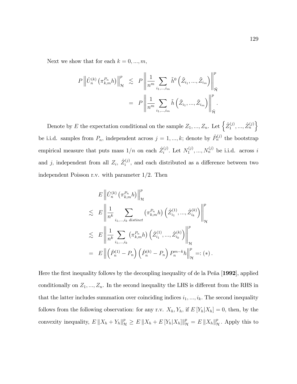Next we show that for each  $k = 0, ..., m$ ,

$$
P\left\|\hat{U}_n^{(k)}\left(\pi_{k,m}^{P_n}h\right)\right\|_{\mathcal{H}}^p \leq P\left\|\frac{1}{n^m}\sum_{i_1,\dots,i_m}\tilde{h}^0\left(\tilde{Z}_{i_1},\dots,\tilde{Z}_{i_m}\right)\right\|_{\tilde{\mathcal{H}}}^p
$$

$$
= P\left\|\frac{1}{n^m}\sum_{i_1,\dots,i_m}\tilde{h}\left(\tilde{Z}_{i_1},\dots,\tilde{Z}_{i_m}\right)\right\|_{\tilde{\mathcal{H}}}^p.
$$

Denote by E the expectation conditional on the sample  $Z_1, ..., Z_n$ . Let  $\left\{\hat{Z}_1^{(j)}\right\}$  $\left\{\begin{matrix} (j) \ 1 \end{matrix}, ..., \hat{Z}^{(j)}_{n} \right\}$ be i.i.d. samples from  $P_n$ , independent across  $j = 1, ..., k$ ; denote by  $\hat{P}^{(j)}_n$  the bootstrap empirical measure that puts mass  $1/n$  on each  $\hat{Z}_i^{(j)}$  $N_1^{(j)}$ . Let  $N_1^{(j)}$  $x_1^{(j)},...,x_n^{(j)}$  be i.i.d. across i and j, independent from all  $Z_i$ ,  $\hat{Z}^{(j)}_i$  $i^{(j)}$ , and each distributed as a difference between two independent Poisson r.v. with parameter 1/2. Then

$$
E \left\| \hat{U}_{n}^{(k)} \left( \pi_{k,m}^{P_n} h \right) \right\|_{\mathcal{H}}^p
$$
  
\n
$$
\lesssim E \left\| \frac{1}{n^k} \sum_{i_1, \dots, i_k \text{ distinct}} \left( \pi_{k,m}^{P_n} h \right) \left( \hat{Z}_{i_1}^{(1)}, \dots, \hat{Z}_{i_k}^{(k)} \right) \right\|_{\mathcal{H}}^p
$$
  
\n
$$
\lesssim E \left\| \frac{1}{n^k} \sum_{i_1, \dots, i_k} \left( \pi_{k,m}^{P_n} h \right) \left( \hat{Z}_{i_1}^{(1)}, \dots, \hat{Z}_{i_k}^{(k)} \right) \right\|_{\mathcal{H}}^p
$$
  
\n
$$
= E \left\| \left( \hat{P}_n^{(1)} - P_n \right) \left( \hat{P}_n^{(k)} - P_n \right) P_n^{m-k} h \right\|_{\mathcal{H}}^p =: (*) .
$$

Here the first inequality follows by the decoupling inequality of de la Peña [1992], applied conditionally on  $Z_1, ..., Z_n$ . In the second inequality the LHS is different from the RHS in that the latter includes summation over coinciding indices  $i_1, ..., i_k$ . The second inequality follows from the following observation: for any r.v.  $X_h$ ,  $Y_h$ , if  $E[Y_h|X_h] = 0$ , then, by the convexity inequality,  $E\|X_h + Y_h\|_{\mathcal{H}}^p \ge E\|X_h + E[Y_h|X_h]\|_{\mathcal{H}}^p = E\|X_h\|_{\mathcal{H}}^p$ . Apply this to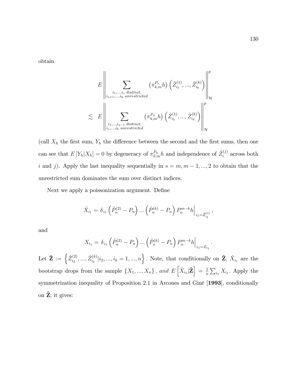obtain

$$
\lesssim E \left\| \sum_{\substack{i_1, \dots, i_s \text{ distinct}, \\ i_{s+1}, \dots, i_k \text{ unrestricted}}}\left(\pi_{k,m}^{P_n}h\right) \left(\hat{Z}_{i_1}^{(1)}, \dots, \hat{Z}_{i_k}^{(k)}\right) \right\|_{\mathcal{H}}^p
$$
  

$$
\lesssim E \left\| \sum_{\substack{i_1, \dots, i_{s-1} \text{ distinct}, \\ i_s, \dots, i_k \text{ unrestricted}}}\left(\pi_{k,m}^{P_n}h\right) \left(\hat{Z}_{i_1}^{(1)}, \dots, \hat{Z}_{i_k}^{(k)}\right) \right\|_{\mathcal{H}}^p
$$

(call  $X_h$  the first sum,  $Y_h$  the difference between the second and the first sums, then one can see that  $E[Y_h|X_h] = 0$  by degeneracy of  $\pi_{k,m}^{P_n} h$  and independence of  $\hat{Z}_i^{(j)}$  $i^{(j)}$  across both i and j). Apply the last inequality sequentially in  $s = m, m - 1, ..., 2$  to obtain that the unrestricted sum dominates the sum over distinct indices.

Next we apply a poissonization argument. Define

$$
\hat{X}_{i_1} = \delta_{z_1} \left( \hat{P}_n^{(2)} - P_n \right) \dots \left( \hat{P}_n^{(k)} - P_n \right) P_n^{m-k} h \Big|_{z_1 = \hat{Z}_{i_1}^{(1)}},
$$

and

$$
X_{i_1} = \delta_{z_1} \left( \hat{P}_n^{(2)} - P_n \right) \dots \left( \hat{P}_n^{(k)} - P_n \right) P_n^{m-k} h \Big|_{z_1 = Z_{i_1}}.
$$

Let  $\mathbf{\hat{Z}} := \left\{ \hat{Z}_{i_2}^{(2)} \right\}$  $\hat{Z}^{(2)}_{i_2},...,\hat{Z}^{(k)}_{i_k}$  $\hat{\mathbf{z}}_{i_k}^{(k)}|i_2,...,i_k=1,...,n\bigg\}$ . Note, that conditionally on  $\hat{\mathbf{Z}},\ \hat{X}_{i_1}$  are the bootstrap drops from the sample  $\{X_1, ..., X_n\}$ , and  $E\left[\hat{X}_{i_1}|\hat{\mathbf{Z}}\right] = \frac{1}{n}$  $\frac{1}{n} \sum_{i_1} X_{i_1}$ . Apply the symmetrization inequality of Proposition 2.1 in Arcones and Giné [1993], conditionally on  $\hat{Z}$ ; it gives: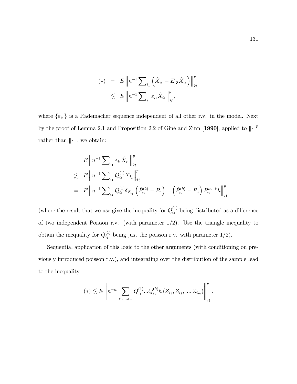$$
(*) = E \left\| n^{-1} \sum_{i_1} \left( \hat{X}_{i_1} - E_{|\hat{\mathbf{Z}}} \hat{X}_{i_1} \right) \right\|_{\mathcal{H}}^p
$$
  

$$
\lesssim E \left\| n^{-1} \sum_{i_1} \varepsilon_{i_1} \hat{X}_{i_1} \right\|_{\mathcal{H}}^p,
$$

where  $\{\varepsilon_{i_1}\}$  is a Rademacher sequence independent of all other r.v. in the model. Next by the proof of Lemma 2.1 and Proposition 2.2 of Giné and Zinn [1990], applied to  $\lVert \cdot \rVert^p$ rather than  $\lVert \cdot \rVert$ , we obtain:

$$
E \| n^{-1} \sum_{i_1} \varepsilon_{i_1} \hat{X}_{i_1} \|_{\mathcal{H}}^p
$$
  
\n
$$
\lesssim E \| n^{-1} \sum_{i_1} Q_{i_1}^{(1)} X_{i_1} \|_{\mathcal{H}}^p
$$
  
\n
$$
= E \| n^{-1} \sum_{i_1} Q_{i_1}^{(1)} \delta_{Z_{i_1}} (\hat{P}_n^{(2)} - P_n) \dots (\hat{P}_n^{(k)} - P_n) P_n^{m-k} h \|_{\mathcal{H}}^p
$$

(where the result that we use give the inequality for  $Q_{i_1}^{(1)}$  $i_1^{(1)}$  being distributed as a difference of two independent Poisson r.v. (with parameter  $1/2$ ). Use the triangle inequality to obtain the inequality for  $Q_{i_1}^{(1)}$  $\sum_{i_1}^{(1)}$  being just the poisson r.v. with parameter  $1/2$ .

Sequential application of this logic to the other arguments (with conditioning on previously introduced poisson r.v.), and integrating over the distribution of the sample lead to the inequality

$$
(*) \lesssim E \left\| n^{-m} \sum_{i_1, \dots, i_m} Q_{i_1}^{(1)} ... Q_{i_k}^{(k)} h(Z_{i_1}, Z_{i_2}, ..., Z_{i_m}) \right\|_{\mathcal{H}}^p.
$$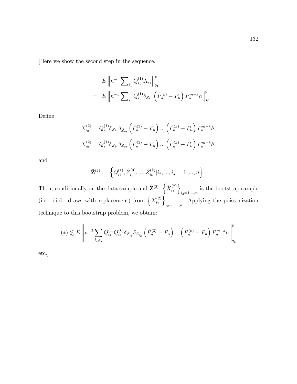[Here we show the second step in the sequence.

$$
E \| n^{-1} \sum_{i_1} Q_{i_1}^{(1)} X_{i_1} \|_{\mathcal{H}}^p
$$
  
= 
$$
E \| n^{-1} \sum_{i_1} Q_{i_1}^{(1)} \delta_{Z_{i_1}} (\hat{P}_n^{(k)} - P_n) P_n^{m-k} h \|_{\mathcal{H}}^p
$$

DeÖne

$$
\hat{X}_{i_2}^{(2)} = Q_{i_1}^{(1)} \delta_{Z_{i_1}} \delta_{\hat{Z}_{i_2}} \left( \hat{P}_n^{(3)} - P_n \right) \dots \left( \hat{P}_n^{(k)} - P_n \right) P_n^{m-k} h,
$$
\n
$$
X_{i_2}^{(2)} = Q_{i_1}^{(1)} \delta_{Z_{i_1}} \delta_{Z_{i_2}} \left( \hat{P}_n^{(3)} - P_n \right) \dots \left( \hat{P}_n^{(k)} - P_n \right) P_n^{m-k} h,
$$

and

$$
\hat{\mathbf{Z}}^{(2)} := \left\{ Q^{(1)}_{i_1}, \hat{Z}^{(3)}_{i_k}, ..., \hat{Z}^{(k)}_{i_k} | i_2, ..., i_k = 1, ..., n \right\}.
$$

Then, conditionally on the data sample and  $\hat{\mathbf{Z}}^{(2)}$ ,  $\left\{ \hat{X}_{i_2}^{(2)} \right\}$  $\scriptstyle i_2$  $\mathcal{L}$ is the bootstrap sample  $i_2=1,\ldots,n$ (i.e. i.i.d. draws with replacement) from  $\left\{X_i^{(2)}\right\}$  $\dot{i}_2$  $\mathcal{L}$  $i_{2}=1,...,n}$ . Applying the poissonization technique to this bootstrap problem, we obtain:

$$
(*) \lesssim E \left\| n^{-2} \sum_{i_1,i_2} Q^{(1)}_{i_1} Q^{(k)}_{i_2} \delta_{Z_{i_1}} \delta_{Z_{i_2}} \left( \hat{P}^{(3)}_n - P_n \right) \ldots \left( \hat{P}^{(k)}_n - P_n \right) P^{m-k}_n h \right\|_{\mathcal{H}}^p
$$

etc.]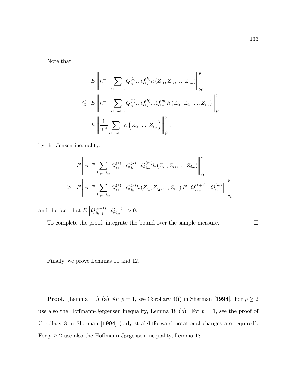Note that

$$
E\left\|n^{-m}\sum_{i_1,\dots,i_m}Q_{i_1}^{(1)}...Q_{i_k}^{(k)}h(Z_{i_1},Z_{i_2},...,Z_{i_m})\right\|_{\mathcal{H}}^p
$$
  

$$
\lesssim E\left\|n^{-m}\sum_{i_1,\dots,i_m}Q_{i_1}^{(1)}...Q_{i_k}^{(k)}...Q_{i_m}^{(m)}h(Z_{i_1},Z_{i_2},...,Z_{i_m})\right\|_{\mathcal{H}}^p
$$
  

$$
= E\left\|\frac{1}{n^m}\sum_{i_1,\dots,i_m}\tilde{h}\left(\tilde{Z}_{i_1},\dots,\tilde{Z}_{i_m}\right)\right\|_{\tilde{\mathcal{H}}}^p.
$$

by the Jensen inequality:

$$
E\left\|n^{-m}\sum_{i_1,\dots,i_m}Q_{i_1}^{(1)}...Q_{i_k}^{(k)}...Q_{i_m}^{(m)}h(Z_{i_1},Z_{i_2},...,Z_{i_m})\right\|_{\mathcal{H}}^p
$$
  

$$
\geq E\left\|n^{-m}\sum_{i_1,\dots,i_m}Q_{i_1}^{(1)}...Q_{i_k}^{(k)}h(Z_{i_1},Z_{i_2},...,Z_{i_m})E\left[Q_{i_{k+1}}^{(k+1)}...Q_{i_m}^{(m)}\right]\right\|_{\mathcal{H}}^p,
$$

and the fact that  $E\left[Q_{i_{k+1}}^{(k+1)}\right]$  $\genfrac{(}{)}{0pt}{}{(k+1)}{i_{k+1}}...Q_{i_{m}}^{(m)}$  $\Big] > 0.$ 

To complete the proof, integrate the bound over the sample measure.

Finally, we prove Lemmas 11 and 12.

**Proof.** (Lemma 11.) (a) For  $p = 1$ , see Corollary 4(i) in Sherman [1994]. For  $p \ge 2$ use also the Hoffmann-Jørgensen inequality, Lemma 18 (b). For  $p = 1$ , see the proof of Corollary 8 in Sherman [1994] (only straightforward notational changes are required). For  $p \geq 2$  use also the Hoffmann-Jørgensen inequality, Lemma 18.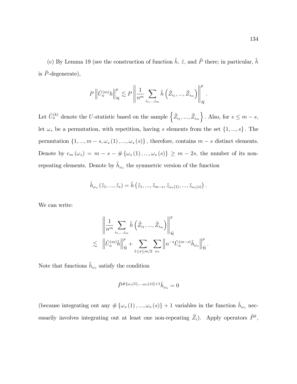(c) By Lemma 19 (see the construction of function  $\tilde{h}$ ,  $\tilde{z}$ , and  $\tilde{P}$  there; in particular,  $\tilde{h}$ is  $\tilde{P}$ -degenerate),

$$
P\left\|\hat{U}_n^{(m)}h\right\|_{\mathcal{H}}^p \lesssim P\left\|\frac{1}{n^m}\sum_{i_1,\dots,i_m}\tilde{h}\left(\tilde{Z}_{i_1},\dots,\tilde{Z}_{i_m}\right)\right\|_{\tilde{\mathcal{H}}}^p.
$$

Let  $\tilde{U}_n^{(k)}$  denote the U-statistic based on the sample  $\left\{ \tilde{Z}_{i_1},...,\tilde{Z}_{i_m} \right\}$ }. Also, for  $s \leq m - s$ , let  $\omega_s$  be a permutation, with repetition, having s elements from the set  $\{1, ..., s\}$ . The permutation  $\{1, ..., m - s, \omega_s (1), ..., \omega_s (s)\}\$ , therefore, contains  $m - s$  distinct elements. Denote by  $e_m(\omega_s) = m - s - \# \{\omega_s(1), ..., \omega_s(s)\} \ge m - 2s$ , the number of its nonrepeating elements. Denote by  $\tilde{h}_{\omega_s}$  the symmetric version of the function

$$
\tilde{h}_{\omega_s}\left(\tilde{z}_1,...,\tilde{z}_s\right)=\tilde{h}\left(\tilde{z}_1,...,\tilde{z}_{m-s},\tilde{z}_{\omega_s(1)},...,\tilde{z}_{\omega_s(s)}\right).
$$

We can write:

$$
\left\|\frac{1}{n^m}\sum_{i_1,\dots,i_m}\tilde{h}\left(\tilde{Z}_{i_1},\dots,\tilde{Z}_{i_m}\right)\right\|_{\tilde{\mathcal{H}}}^p
$$
  

$$
\lesssim \left\|\tilde{U}_n^{(m)}\tilde{h}\right\|_{\tilde{\mathcal{H}}}^p + \sum_{1\leq s\leq m/2}\sum_{\omega_s}\left\|n^{-s}\tilde{U}_n^{(m-s)}\tilde{h}_{\omega_s}\right\|_{\tilde{\mathcal{H}}}^p.
$$

Note that functions  $\tilde{h}_{\omega_s}$  satisfy the condition

$$
\tilde{P}^{\#\{\omega_s(1),\dots,\omega_s(s)\}+1}\tilde{h}_{\omega_s}=0
$$

(because integrating out any  $\#\{\omega_s(1), ..., \omega_s(s)\} + 1$  variables in the function  $\tilde{h}_{\omega_s}$  necessarily involves integrating out at least one non-repeating  $\tilde{Z}_i$ ). Apply operators  $\tilde{P}^k$ ,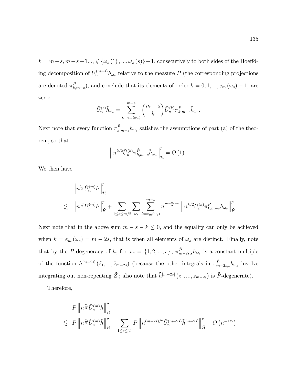$k = m - s, m - s + 1..., \# \{\omega_s(1), ..., \omega_s(s)\} + 1$ , consecutively to both sides of the Hoeffding decomposition of  $\tilde{U}_n^{(m-s)}\tilde{h}_{\omega_s}$  relative to the measure  $\tilde{P}$  (the corresponding projections are denoted  $\pi^{\tilde{P}}_{k,m-s}$ , and conclude that its elements of order  $k = 0, 1, ..., e_m(\omega_s) - 1$ , are zero:

$$
\tilde{U}_n^{(s)}\tilde{h}_{\omega_s} = \sum_{k=e_m(\omega_s)}^{m-s} \binom{m-s}{k} \tilde{U}_n^{(k)} \pi_{k,m-s}^{\tilde{P}} \tilde{h}_{\omega_s}.
$$

Next note that every function  $\pi_{k,m-s}^{\tilde{P}} \tilde{h}_{\omega_s}$  satisfies the assumptions of part (a) of the theorem, so that

$$
\left\| n^{k/2} \tilde{U}_n^{(k)} \pi_{k,m-s}^{\tilde{P}} \tilde{h}_{\omega_s} \right\|_{\tilde{\mathcal{H}}}^p = O(1) .
$$

We then have

$$
\left\| n^{\frac{m}{2}} \hat{U}_n^{(m)} h \right\|_{\mathcal{H}}^p
$$
  
\$\leq\$ 
$$
\left\| n^{\frac{m}{2}} \tilde{U}_n^{(m)} \tilde{h} \right\|_{\tilde{\mathcal{H}}}^p + \sum_{1 \leq s \leq m/2} \sum_{\omega_s} \sum_{k=e_m(\omega_s)}^{m-s} n^{\frac{m-2s-k}{2}} \left\| n^{k/2} \tilde{U}_n^{(k)} \pi_{k,m-s}^{\tilde{P}} \tilde{h}_{\omega_s} \right\|_{\tilde{\mathcal{H}}}^p.
$$

Next note that in the above sum  $m - s - k \leq 0$ , and the equality can only be achieved when  $k = e_m(\omega_s) = m - 2s$ , that is when all elements of  $\omega_s$  are distinct. Finally, note that by the  $\tilde{P}$ -degeneracy of  $\tilde{h}$ , for  $\omega_s = \{1, 2, ..., s\}$ ,  $\pi_{m-2s,s}^{\tilde{P}} \tilde{h}_{\omega_s}$  is a constant multiple of the function  $\tilde{h}^{[m-2s]}(\tilde{z}_1,\ldots,\tilde{z}_{m-2s})$  (because the other integrals in  $\pi_{m-2s,s}^{\tilde{P}}\tilde{h}_{\omega_s}$  involve integrating out non-repeating  $\tilde{Z}_i$ ; also note that  $\tilde{h}^{[m-2s]}(\tilde{z}_1, ..., \tilde{z}_{m-2s})$  is  $\tilde{P}$ -degenerate).

Therefore,

$$
P\left\|n^{\frac{m}{2}}\hat{U}_n^{(m)}h\right\|_{\mathcal{H}}^p
$$
  
\$\lesssim\$ 
$$
P\left\|n^{\frac{m}{2}}\tilde{U}_n^{(m)}\tilde{h}\right\|_{\tilde{\mathcal{H}}}^p + \sum_{1 \leq s \leq \frac{m}{2}} P\left\|n^{(m-2s)/2}\tilde{U}_n^{(m-2s)}\tilde{h}^{[m-2s]}\right\|_{\tilde{\mathcal{H}}}^p + O\left(n^{-1/2}\right).
$$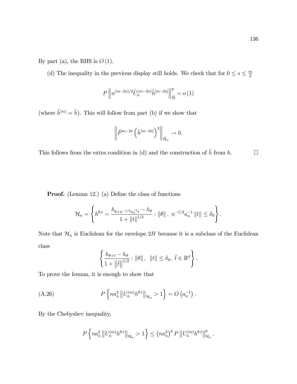By part (a), the RHS is  $O(1)$ .

(d) The inequality in the previous display still holds. We check that for  $0 \le s \le \frac{m}{2}$ 2

$$
P\left\|n^{(m-2s)/2}\tilde{U}_n^{(m-2s)}\tilde{h}^{[m-2s]}\right\|_{\tilde{\mathcal{H}}}^p = o(1)
$$

(where  $\tilde{h}^{[m]} = \tilde{h}$ ). This will follow from part (b) if we show that

$$
\bigg\|\tilde P^{m-2s}\left(\tilde h^{[m-2s]}\right)^2\bigg\|_{\tilde{\mathcal H}_n}\to 0.
$$

This follows from the extra condition in (d) and the construction of  $\tilde{h}$  from  $h$ .

**Proof.** (Lemma 12.) (a) Define the class of functions

$$
\mathcal{H}_n = \left\{ h^{\theta, t} = \frac{h_{\theta + n^{-1/2} a_n^{-1} t} - h_{\theta}}{1 + ||t||^{1/2}} : ||\theta||, n^{-1/2} a_n^{-1} ||t|| \le \delta_0 \right\}.
$$

Note that  $\mathcal{H}_n$  is Euclidean for the envelope  $2H$  because it is a subclass of the Euclidean class

$$
\left\{\frac{h_{\theta+t}-h_{\theta}}{1+\|\tilde{t}\|^{1/2}}:\|\theta\|,\ \ \|t\|\leq \delta_0,\ \tilde{t}\in\mathbb{R}^d\right\}.
$$

To prove the lemma, it is enough to show that

(A.26) 
$$
P\left\{na_n^2 \|U_n^{(m)}h^{\theta,t}\|_{\mathcal{H}_n} > 1\right\} = O\left(a_n^{-1}\right).
$$

By the Chebyshev inequality,

$$
P\left\{na_n^2\left\|U_n^{(m)}h^{\theta,t}\right\|_{\mathcal{H}_n}>1\right\}\leq \left(na_n^2\right)^p P\left\|U_n^{(m)}h^{\theta,t}\right\|_{\mathcal{H}_n}^p.
$$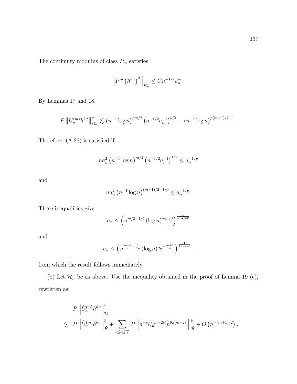The continuity modulus of class  $\mathcal{H}_n$  satisfies

$$
\left\|P^m\left(h^{\theta,t}\right)^2\right\|_{\mathcal{H}_n} \leq Cn^{-1/2}a_n^{-1}.
$$

By Lemmas 17 and 18,

$$
P\left\|U_n^{(m)}h^{\theta,t}\right\|_{\mathcal{H}_n}^p \lesssim \left(n^{-1}\log n\right)^{pm/2}\left(n^{-1/2}a_n^{-1}\right)^{p/2}+\left(n^{-1}\log n\right)^{p(m+1)/2-1}.
$$

Therefore,  $(A.26)$  is satisfied if

$$
na_n^2 \left(n^{-1} \log n\right)^{m/2} \left(n^{-1/2} a_n^{-1}\right)^{1/2} \le a_n^{-1/p}
$$

and

$$
na_n^2 \left( n^{-1} \log n \right)^{(m+1)/2 - 1/p} \le a_n^{-1/p}.
$$

These inequalities give

$$
a_n \le \left( n^{m/3 - 1/2} \left( \log n \right)^{-m/3} \right)^{\frac{1}{1 + 2/3p}}
$$

and

$$
a_n \le \left(n^{\frac{m-1}{4} - \frac{1}{2p}} (\log n)^{\frac{1}{2p} - \frac{m+1}{4}}\right)^{\frac{1}{1+1/2p}}.
$$

from which the result follows immediately.

(b) Let  $\mathcal{H}_n$  be as above. Use the inequality obtained in the proof of Lemma 19 (c), rewritten as:

$$
P \left\| \hat{U}_n^{(m)} h^{\theta,t} \right\|_{\mathcal{H}}^p
$$
  
\$\lesssim P \left\| \tilde{U}\_n^{(m)} \tilde{h}^{\theta,t} \right\|\_{\tilde{\mathcal{H}}}^p + \sum\_{1 \le s \le \frac{m}{2}} P \left\| n^{-s} \tilde{U}\_n^{(m-2s)} \tilde{h}^{\theta,t[m-2s]} \right\|\_{\tilde{\mathcal{H}}}^p + O \left( n^{-(m+1)/2} \right).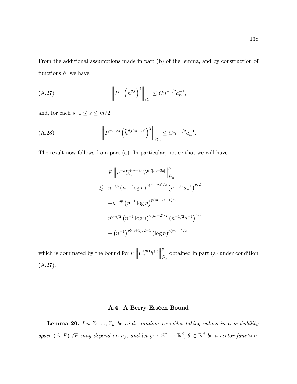From the additional assumptions made in part (b) of the lemma, and by construction of functions  $\tilde{h},$  we have:

(A.27) 
$$
\left\| P^m \left( \tilde{h}^{\theta,t} \right)^2 \right\|_{\mathcal{H}_n} \leq C n^{-1/2} a_n^{-1},
$$

and, for each  $s, \, 1 \leq s \leq m/2,$ 

(A.28) 
$$
\left\| P^{m-2s} \left( \tilde{h}^{\theta,t[m-2s]} \right)^2 \right\|_{\mathcal{H}_n} \leq C n^{-1/2} a_n^{-1}.
$$

The result now follows from part (a). In particular, notice that we will have

$$
P \left\| n^{-s} \tilde{U}_n^{(m-2s)} \tilde{h}^{\theta, t[m-2s]} \right\|_{\tilde{\mathcal{H}}_n}^p
$$
  
\n
$$
\lesssim n^{-sp} \left( n^{-1} \log n \right)^{p(m-2s)/2} \left( n^{-1/2} a_n^{-1} \right)^{p/2}
$$
  
\n
$$
+ n^{-sp} \left( n^{-1} \log n \right)^{p(m-2s+1)/2-1}
$$
  
\n
$$
= n^{pm/2} \left( n^{-1} \log n \right)^{p(m-2)/2} \left( n^{-1/2} a_n^{-1} \right)^{p/2}
$$
  
\n
$$
+ \left( n^{-1} \right)^{p(m+1)/2-1} (\log n)^{p(m-1)/2-1}.
$$

which is dominated by the bound for  $P\left\|\tilde{U}_n^{(m)}\tilde{h}^{\theta,t}\right\|$ p btained in part (a) under condition  $\tilde{\mathcal{H}}_n$  $(A.27)$ .

## A.4. A Berry-Esséen Bound

**Lemma 20.** Let  $Z_1, ..., Z_n$  be i.i.d. random variables taking values in a probability space  $(\mathcal{Z}, P)$  (P may depend on n), and let  $g_{\theta}: \mathcal{Z}^2 \to \mathbb{R}^d$ ,  $\theta \in \mathbb{R}^d$  be a vector-function,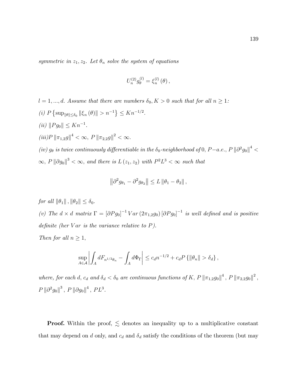symmetric in  $z_1, z_2$ . Let  $\theta_n$  solve the system of equations

$$
U_n^{(2)}g_{\theta}^{(l)} = \xi_n^{(l)}(\theta) ,
$$

 $l = 1, ..., d$ . Assume that there are numbers  $\delta_0, K > 0$  such that for all  $n \geq 1$ : (i)  $P \{\sup_{\|\theta\| \le \delta_0} ||\xi_n(\theta)|| > n^{-1}\} \le K n^{-1/2}.$ (*ii*)  $||Pg_0|| \le Kn^{-1}$ .  $(iii)P \|\pi_{1,2}g\|^4 < \infty, P \|\pi_{2,2}g\|^2 < \infty.$ (iv)  $g_{\theta}$  is twice continuously differentiable in the  $\delta_0$ -neighborhood of 0, P-a.e., P  $\|\partial^2 g_0\|^4$  <  $\infty$ ,  $P \|\partial g_0\|^3 < \infty$ , and there is  $L(z_1, z_2)$  with  $P^2L^3 < \infty$  such that

$$
\left\|\partial^2 g_{\theta_1} - \partial^2 g_{\theta_2}\right\| \leq L \left\|\theta_1 - \theta_2\right\|,
$$

for all  $\|\theta_1\|$ ,  $\|\theta_2\| \leq \delta_0$ . (v) The  $d \times d$  matrix  $\Gamma = [\partial P g_0]^{-1} Var (2\pi_{1,2} g_0) [\partial P g_0]^{-1}$  is well defined and is positive definite (her  $Var$  is the variance relative to  $P$ ).

Then for all  $n \geq 1$ ,

$$
\sup_{A\in\mathcal{A}}\left|\int_A dF_{n^{1/2}\theta_n} - \int_A d\Phi_{\Gamma}\right| \leq c_d n^{-1/2} + c_d P\left\{\|\theta_n\| > \delta_d\right\},\,
$$

where, for each d,  $c_d$  and  $\delta_d < \delta_0$  are continuous functions of K,  $P \|\pi_{1,2}g_0\|^4$ ,  $P \|\pi_{2,2}g_0\|^2$ ,  $P \left\| \partial^2 g_0 \right\|^3$ ,  $P \left\| \partial g_0 \right\|^4$ ,  $PL^3$ .

**Proof.** Within the proof,  $\leq$  denotes an inequality up to a multiplicative constant that may depend on d only, and  $c_d$  and  $\delta_d$  satisfy the conditions of the theorem (but may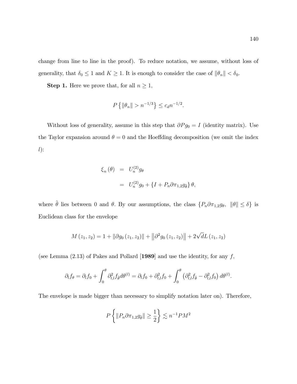change from line to line in the proof). To reduce notation, we assume, without loss of generality, that  $\delta_0 \leq 1$  and  $K \geq 1$ . It is enough to consider the case of  $\|\theta_n\| < \delta_0$ .

**Step 1.** Here we prove that, for all  $n \geq 1$ ,

$$
P\left\{\|\theta_n\| > n^{-1/3}\right\} \le c_d n^{-1/2}.
$$

Without loss of generality, assume in this step that  $\partial P g_0 = I$  (identity matrix). Use the Taylor expansion around  $\theta = 0$  and the Hoeffding decomposition (we omit the index  $l)$ :

$$
\xi_n(\theta) = U_n^{(2)} g_\theta
$$
  
= 
$$
U_n^{(2)} g_0 + \{I + P_n \partial \pi_{1,2} g_{\tilde{\theta}}\} \theta,
$$

where  $\tilde{\theta}$  lies between 0 and  $\theta$ . By our assumptions, the class  $\{P_n\partial\pi_{1,2}g_{\theta}, \|\theta\|\leq \delta\}$  is Euclidean class for the envelope

$$
M(z_1, z_2) = 1 + || \partial g_0(z_1, z_2)|| + || \partial^2 g_0(z_1, z_2)|| + 2\sqrt{d}L(z_1, z_2)
$$

(see Lemma (2.13) of Pakes and Pollard [1989] and use the identity, for any  $f$ ,

$$
\partial_l f_{\theta} = \partial_l f_0 + \int_0^{\theta} \partial_{l,l}^2 f_{\tilde{\theta}} d\theta^{(l)} = \partial_l f_0 + \partial_{l,l}^2 f_0 + \int_0^{\theta} \left( \partial_{l,l}^2 f_{\tilde{\theta}} - \partial_{l,l}^2 f_0 \right) d\theta^{(l)}.
$$

The envelope is made bigger than necessary to simplify notation later on). Therefore,

$$
P\left\{ \|P_n \partial \pi_{1,2} g_{\tilde{\theta}}\| \ge \frac{1}{2} \right\} \lesssim n^{-1} P M^2
$$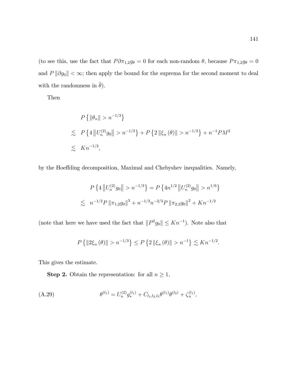(to see this, use the fact that  $P \partial \pi_{1,2} g_{\theta} = 0$  for each non-random  $\theta$ , because  $P \pi_{1,2} g_{\theta} = 0$ and  $P \|\partial g_0\| < \infty$ ; then apply the bound for the suprema for the second moment to deal with the randomness in  $\tilde{\theta}$ ).

Then

$$
P\left\{\|\theta_n\| > n^{-1/3}\right\}
$$
  
\n
$$
\lesssim P\left\{4\left\|U_n^{(2)}g_0\right\| > n^{-1/3}\right\} + P\left\{2\left\|\xi_n(\theta)\right\| > n^{-1/3}\right\} + n^{-1}PM^2
$$
  
\n
$$
\lesssim Kn^{-1/2},
$$

by the Hoeffding decomposition, Maximal and Chebyshev inequalities. Namely,

$$
P\left\{4\left\|U_n^{(2)}g_0\right\| > n^{-1/3}\right\} = P\left\{4n^{1/2}\left\|U_n^{(2)}g_0\right\| > n^{1/6}\right\}
$$
  

$$
\lesssim n^{-1/2}P\left\|\pi_{1,2}g_0\right\|^3 + n^{-1/3}n^{-2/3}P\left\|\pi_{2,2}g_0\right\|^2 + Kn^{-1/2}
$$

(note that here we have used the fact that  $||P^2g_0|| \le Kn^{-1}$ ). Note also that

$$
P\left\{\|2\xi_n(\theta)\| > n^{-1/3}\right\} \le P\left\{2\|\xi_n(\theta)\| > n^{-1}\right\} \lesssim Kn^{-1/2}.
$$

This gives the estimate.

**Step 2.** Obtain the representation: for all  $n \geq 1$ ,

$$
(A.29) \t\t\t\t\t\theta^{(l_1)} = U_n^{(2)} g_*^{(l_1)} + C_{l_1,l_2,l_3} \theta^{(l_1)} \theta^{(l_2)} + \zeta_n^{(l_1)},
$$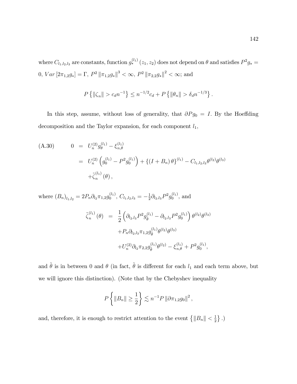where  $C_{l_1,l_2,l_3}$  are constants, function  $g_*^{(l_1)}(z_1, z_2)$  does not depend on  $\theta$  and satisfies  $P^2g_* =$  $0, Var[2\pi_{1,2}g_*] = \Gamma, P^2 ||\pi_{1,2}g_*||^3 < \infty, P^2 ||\pi_{2,2}g_*||^2 < \infty$ ; and

$$
P\left\{\|\zeta_n\| > c_d n^{-1}\right\} \le n^{-1/2} c_d + P\left\{\|\theta_n\| > \delta_d n^{-1/3}\right\}.
$$

In this step, assume, without loss of generality, that  $\partial P g_0 = I$ . By the Hoeffding decomposition and the Taylor expansion, for each component  $\boldsymbol{l}_1,$ 

(A.30) 
$$
0 = U_n^{(2)} g_\theta^{(l_1)} - \xi_{n,\theta}^{(l_1)} = U_n^{(2)} \left( g_0^{(l_1)} - P^2 g_0^{(l_1)} \right) + \left\{ (I + B_n) \theta \right\}^{(l_1)} - C_{l_1,l_2,l_3} \theta^{(l_2)} \theta^{(l_3)} + \tilde{\zeta}_n^{(l_1)} (\theta),
$$

where  $(B_n)_{l_1,l_2} = 2P_n \partial_{l_2} \pi_{1,2} g_0^{(l_1)}$  $\binom{(l_1)}{0},\ C_{l_1,l_2,l_3}=-\frac{1}{2}$  $\frac{1}{2}\partial_{l_2,l_3}P^2g_0^{(l_1)}$  $\mathbf{a}_0^{(l_1)}$ , and  $\widetilde{\zeta}_n^{(l_1)}$  $\binom{\left(l_{1}\right)}{n}\left(\theta\right)$  =  $\frac{1}{2}$ 2  $\left(\partial_{l_2,l_3}P^2g^{(l_1)}_{\tilde{\theta}}\right)$  $^{(l_1)}_{\tilde{\theta}} - \partial_{l_2,l_3} P^2 g_0^{(l_1)}$  $\boldsymbol{0}$  $\partial$   $\theta^{(l_2)}\theta^{(l_3)}$  $+P_n\partial_{l_2,l_3}\pi_{1,2}g^{(l_1)}_{\tilde{\theta}}$  $_{\tilde{\theta}}^{(l_1)}\theta^{(l_2)}\theta^{(l_3)}$  $+U_n^{(2)}\partial_{l_2}\pi_{2,2}g_{\tilde{\theta}}^{(l_1)}$  $^{(l_1)}_{\tilde{\theta}}\theta^{(l_2)}-\xi^{(l_1)}_{n,\theta}+P^2g_0^{(l_1)}$  $\big\{ \begin{matrix} \iota_1 \ 0 \end{matrix},$ 

and  $\tilde{\theta}$  is in between 0 and  $\theta$  (in fact,  $\tilde{\theta}$  is different for each  $l_1$  and each term above, but we will ignore this distinction). (Note that by the Chebyshev inequality

$$
P\left\{ \|B_n\| \ge \frac{1}{2} \right\} \lesssim n^{-1} P \left\| \partial \pi_{1,2} g_0 \right\|^2,
$$

and, therefore, it is enough to restrict attention to the event  $\{|B_n\| < \frac{1}{2}$  $\frac{1}{2}$ .)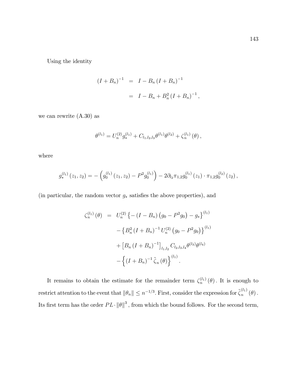Using the identity

$$
(I + B_n)^{-1} = I - B_n (I + B_n)^{-1}
$$
  
=  $I - B_n + B_n^2 (I + B_n)^{-1}$ ,

we can rewrite (A.30) as

$$
\theta^{(l_1)} = U_n^{(2)} g_*^{(l_1)} + C_{l_1,l_2,l_3} \theta^{(l_1)} \theta^{(l_2)} + \zeta_n^{(l_1)} (\theta) ,
$$

where

$$
g_*^{(l_1)}(z_1, z_2) = -\left(g_0^{(l_1)}(z_1, z_2) - P^2 g_0^{(l_1)}\right) - 2\partial_{l_2} \pi_{1,2} g_0^{(l_1)}(z_1) \cdot \pi_{1,2} g_0^{(l_2)}(z_2),
$$

(in particular, the random vector  $g_*$  satisfies the above properties), and

$$
\zeta_n^{(l_1)}(\theta) = U_n^{(2)} \left\{ - (I - B_n) (g_0 - P^2 g_0) - g_* \right\}^{(l_1)}
$$

$$
- \left\{ B_n^2 (I + B_n)^{-1} U_n^{(2)} (g_0 - P^2 g_0) \right\}^{(l_1)}
$$

$$
+ \left[ B_n (I + B_n)^{-1} \right]_{l_1, l_2} C_{l_2, l_3, l_4} \theta^{(l_3)} \theta^{(l_4)}
$$

$$
- \left\{ (I + B_n)^{-1} \tilde{\zeta}_n (\theta) \right\}^{(l_1)}.
$$

It remains to obtain the estimate for the remainder term  $\zeta_n^{(l_1)}(\theta)$ . It is enough to restrict attention to the event that  $\|\theta_n\| \leq n^{-1/3}$ . First, consider the expression for  $\tilde{\zeta}_n^{(l_1)}$  $\binom{0}{n}$   $(\theta)$ . Its first term has the order  $PL \cdot ||\theta||^3$ , from which the bound follows. For the second term,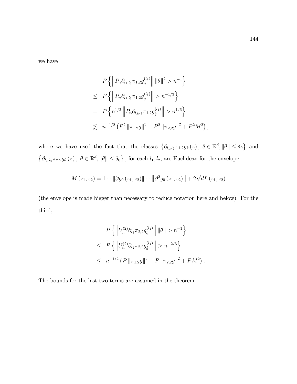we have

$$
P\left\{ \left\| P_n \partial_{l_2,l_3} \pi_{1,2} g_{\tilde{\theta}}^{(l_1)} \right\| \|\theta\|^2 > n^{-1} \right\}
$$
  
\n
$$
\leq P\left\{ \left\| P_n \partial_{l_2,l_3} \pi_{1,2} g_{\tilde{\theta}}^{(l_1)} \right\| > n^{-1/3} \right\}
$$
  
\n
$$
= P\left\{ n^{1/2} \left\| P_n \partial_{l_2,l_3} \pi_{1,2} g_{\tilde{\theta}}^{(l_1)} \right\| > n^{1/6} \right\}
$$
  
\n
$$
\lesssim n^{-1/2} \left( P^2 \left\| \pi_{1,2} g \right\|^3 + P^2 \left\| \pi_{2,2} g \right\|^2 + P^2 M^2 \right),
$$

where we have used the fact that the classes  $\{\partial_{l_1,l_2}\pi_{1,2}g_\theta(z),\ \theta\in\mathbb{R}^d, \|\theta\|\leq \delta_0\}$  and  $\{\partial_{l_1,l_2}\pi_{2,2}g_\theta(z),\ \theta\in\mathbb{R}^d, \|\theta\|\leq \delta_0\}$ , for each  $l_1,l_2$ , are Euclidean for the envelope

$$
M(z_1, z_2) = 1 + || \partial g_0(z_1, z_2)|| + || \partial^2 g_0(z_1, z_2)|| + 2\sqrt{d}L(z_1, z_2)
$$

(the envelope is made bigger than necessary to reduce notation here and below). For the third,

$$
P\left\{ \left\| U_n^{(2)} \partial_{l_2} \pi_{2,2} g_{\tilde{\theta}}^{(l_1)} \right\| \|\theta\| > n^{-1} \right\}
$$
  
\n
$$
\leq P\left\{ \left\| U_n^{(2)} \partial_{l_2} \pi_{2,2} g_{\tilde{\theta}}^{(l_1)} \right\| > n^{-2/3} \right\}
$$
  
\n
$$
\leq n^{-1/2} \left( P \left\| \pi_{1,2} g \right\|^3 + P \left\| \pi_{2,2} g \right\|^2 + P M^2 \right)
$$

:

The bounds for the last two terms are assumed in the theorem.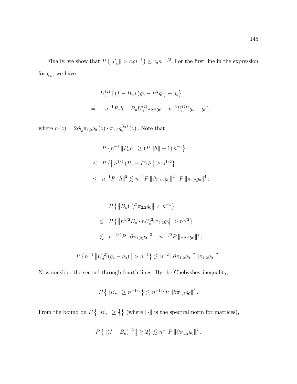Finally, we show that  $P\{\|\zeta_n\| > c_d n^{-1}\}\leq c_d n^{-1/2}$ . For the first line in the expression for  $\zeta_n$ , we have

$$
U_n^{(2)} \left\{ (I - B_n) \left( g_0 - P^2 g_0 \right) + g_* \right\}
$$
  
= 
$$
-n^{-1} P_n h - B_n U_n^{(2)} \pi_{2,2} g_0 + n^{-1} U_n^{(2)} (g_* - g_0),
$$

where  $h(z) = 2\partial_{l_2}\pi_{1,2}g_0(z) \cdot \pi_{1,2}g_0^{(l_2)}$  $\int_0^{(2)} (z)$ . Note that

$$
P\left\{n^{-1} \|P_n h\| \ge (P \|h\| + 1) n^{-1}\right\}
$$
  
\n
$$
\le P\left\{\|n^{1/2} (P_n - P) h\| \ge n^{1/2}\right\}
$$
  
\n
$$
\le n^{-1} P \|h\|^2 \lesssim n^{-1} P \|\partial \pi_{1,2} g_0\|^4 \cdot P \|\pi_{1,2} g_0\|^4 ;
$$

$$
P\left\{\left\|B_n U_n^{(2)} \pi_{2,2} g_0\right\| > n^{-1}\right\}
$$
  
\n
$$
\leq P\left\{\left\|n^{1/2} B_n \cdot n U_n^{(2)} \pi_{2,2} g_0\right\| > n^{1/2}\right\}
$$
  
\n
$$
\lesssim n^{-1/2} P \left\|\partial \pi_{1,2} g_0\right\|^2 + n^{-1/2} P \left\|\pi_{2,2} g_0\right\|^2;
$$
  
\n
$$
P\left\{n^{-1} \left\|U_n^{(2)}(g_* - g_0)\right\| > n^{-1}\right\} \lesssim n^{-2} \left\|\partial \pi_{1,2} g_0\right\|^2 \left\|\pi_{1,2} g_0\right\|^2.
$$

Now consider the second through fourth lines. By the Chebyshev inequality,

$$
P\left\{\|B_n\| \ge n^{-1/3}\right\} \lesssim n^{-1/2} P \left\|\partial \pi_{1,2} g_0\right\|^3.
$$

From the bound on  $P\{\|B_n\| \geq \frac{1}{2}\}\$  (where  $\|\cdot\|$  is the spectral norm for matrices),

$$
P\left\{\left\|\left(I+B_n\right)^{-1}\right\|\geq 2\right\}\lesssim n^{-1}P\left\|\partial\pi_{1,2}g_0\right\|^2.
$$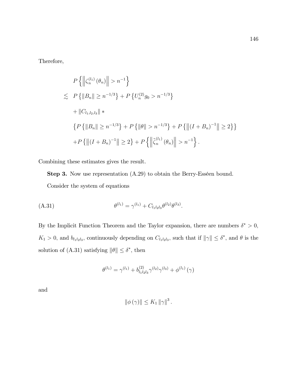Therefore,

$$
P\left\{\left\|\zeta_n^{(l_1)}(\theta_n)\right\| > n^{-1}\right\}
$$
\n
$$
\lesssim P\left\{\left\|B_n\right\| \ge n^{-1/3}\right\} + P\left\{U_n^{(2)}g_0 > n^{-1/3}\right\}
$$
\n
$$
+ \|C_{l_1,l_2,l_3}\| \ast
$$
\n
$$
\left\{P\left\{\left\|B_n\right\| \ge n^{-1/3}\right\} + P\left\{\left\|\theta\right\| > n^{-1/3}\right\} + P\left\{\left\|\left(I + B_n\right)^{-1}\right\| \ge 2\right\}\right\}
$$
\n
$$
+ P\left\{\left\|\left(I + B_n\right)^{-1}\right\| \ge 2\right\} + P\left\{\left\|\tilde{\zeta}_n^{(l_1)}(\theta_n)\right\| > n^{-1}\right\}.
$$

Combining these estimates gives the result.

**Step 3.** Now use representation  $(A.29)$  to obtain the Berry-Esséen bound.

Consider the system of equations

(A.31) 
$$
\theta^{(l_1)} = \gamma^{(l_1)} + C_{l_1 l_2 l_3} \theta^{(l_2)} \theta^{(l_3)}.
$$

By the Implicit Function Theorem and the Taylor expansion, there are numbers  $\delta^* > 0$ ,  $K_1 > 0$ , and  $b_{l_1 l_2 l_3}$ , continuously depending on  $C_{l_1 l_2 l_3}$ , such that if  $\|\gamma\| \leq \delta^*$ , and  $\theta$  is the solution of (A.31) satisfying  $\|\theta\| \leq \delta^*$ , then

$$
\theta^{(l_1)} = \gamma^{(l_1)} + b_{l_1l_2l_3}^{(2)} \gamma^{(l_2)} \gamma^{(l_3)} + \phi^{(l_1)}(\gamma)
$$

and

$$
\|\phi(\gamma)\| \leq K_1 \|\gamma\|^3.
$$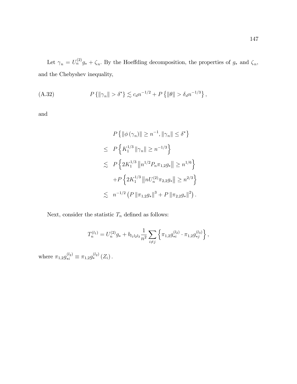Let  $\gamma_n = U_n^{(2)} g_* + \zeta_n$ . By the Hoeffding decomposition, the properties of  $g_*$  and  $\zeta_n$ , and the Chebyshev inequality,

(A.32) 
$$
P\{\|\gamma_n\| > \delta^*\} \lesssim c_d n^{-1/2} + P\{\|\theta\| > \delta_d n^{-1/3}\},
$$

and

$$
P\left\{\|\phi(\gamma_n)\| \ge n^{-1}, \|\gamma_n\| \le \delta^*\right\}
$$
  
\n
$$
\le P\left\{K_1^{1/3} \|\gamma_n\| \ge n^{-1/3}\right\}
$$
  
\n
$$
\le P\left\{2K_1^{1/3} \||n^{1/2}P_n\pi_{1,2}g_*\|| \ge n^{1/6}\right\}
$$
  
\n
$$
+P\left\{2K_1^{1/3} \||nU_n^{(2)}\pi_{2,2}g_*\|| \ge n^{2/3}\right\}
$$
  
\n
$$
\le n^{-1/2} \left(P\|\pi_{1,2}g_*\|^3 + P\|\pi_{2,2}g_*\|^2\right).
$$

Next, consider the statistic  $\mathcal{T}_n$  defined as follows:

$$
T_n^{(l_1)} = U_n^{(2)}g_* + b_{l_1l_2l_3}\frac{1}{n^2} \sum_{i \neq j} \left\{ \pi_{1,2}g_{*i}^{(l_2)} \cdot \pi_{1,2}g_{*j}^{(l_3)} \right\},\,
$$

where  $\pi_{1,2} g_{*i}^{(l_2)} \equiv \pi_{1,2} g_{*}^{(l_2)}(Z_i)$ .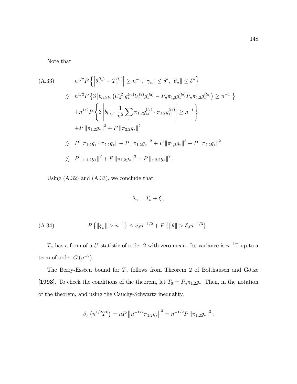Note that

$$
(A.33) \t n^{1/2} P\left\{ \left| \theta_n^{(l_1)} - T_n^{(l_1)} \right| \ge n^{-1}, \left\| \gamma_n \right\| \le \delta^*, \left\| \theta_n \right\| \le \delta^* \right\}
$$
  
\n
$$
\le n^{1/2} P\left\{ 3 \left| b_{l_1 l_2 l_3} \left( U_n^{(2)} g_*^{(l_2)} U_n^{(2)} g_*^{(l_3)} - P_n \pi_{1,2} g_*^{(l_2)} P_n \pi_{1,2} g_*^{(l_3)} \right) \ge n^{-1} \right\}
$$
  
\n
$$
+ n^{1/2} P\left\{ 3 \left| b_{l_1 l_2 l_3} \frac{1}{n^2} \sum_i \pi_{1,2} g_*^{(l_2)} \cdot \pi_{1,2} g_*^{(l_3)} \right| \ge n^{-1} \right\}
$$
  
\n
$$
+ P \left\| \pi_{1,2} g_* \right\|^3 + P \left\| \pi_{2,2} g_* \right\|^2
$$
  
\n
$$
\le P \left\| \pi_{1,2} g_* \cdot \pi_{2,2} g_* \right\| + P \left\| \pi_{1,2} g_* \right\|^2 + P \left\| \pi_{1,2} g_* \right\|^3 + P \left\| \pi_{2,2} g_* \right\|^2
$$
  
\n
$$
\le P \left\| \pi_{1,2} g_* \right\|^2 + P \left\| \pi_{1,2} g_* \right\|^3 + P \left\| \pi_{2,2} g_* \right\|^2.
$$

Using (A.32) and (A.33), we conclude that

$$
\theta_n = T_n + \xi_n
$$

(A.34) 
$$
P\left\{\|\xi_n\| > n^{-1}\right\} \leq c_d n^{-1/2} + P\left\{\|\theta\| > \delta_d n^{-1/3}\right\}.
$$

 $T_n$  has a form of a U-statistic of order 2 with zero mean. Its variance is  $n^{-1}\Gamma$  up to a term of order  $O(n^{-2})$ .

The Berry-Esséen bound for  $T_n$  follows from Theorem 2 of Bolthausen and Götze [1993]. To check the conditions of the theorem, let  $T_0 = P_n \pi_{1,2} g_*$ . Then, in the notation of the theorem, and using the Cauchy-Schwartz inequality,

$$
\beta_3\left(n^{1/2}T^0\right) = nP\left\|n^{-1/2}\pi_{1,2}g_*\right\|^3 = n^{-1/2}P\left\|\pi_{1,2}g_*\right\|^3,
$$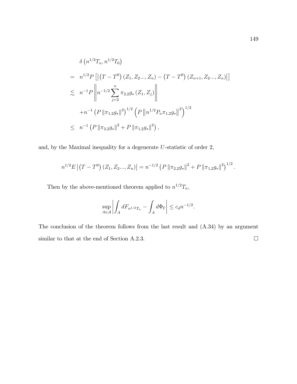$$
\delta\left(n^{1/2}T_n, n^{1/2}T_0\right)
$$
\n
$$
= n^{1/2}P\left[\left|\left(T - T^0\right)\left(Z_1, Z_2, ..., Z_n\right) - \left(T - T^0\right)\left(Z_{n+1}, Z_2, ..., Z_n\right)\right|\right]
$$
\n
$$
\lesssim n^{-1}P\left\|n^{-1/2}\sum_{j=2}^n \pi_{2,2}g_*\left(Z_1, Z_j\right)\right\|
$$
\n
$$
+ n^{-1}\left(P\left\|\pi_{1,2}g_*\right\|^2\right)^{1/2}\left(P\left\|n^{1/2}P_n\pi_{1,2}g_*\right\|^2\right)^{1/2}
$$
\n
$$
\leq n^{-1}\left(P\left\|\pi_{2,2}g_*\right\|^2 + P\left\|\pi_{1,2}g_*\right\|^2\right),
$$

and, by the Maximal inequality for a degenerate U-statistic of order 2,

$$
n^{1/2} E \left[ \left( T - T^0 \right) \left( Z_1, Z_2, \ldots, Z_n \right) \right] = n^{-1/2} \left( P \left\| \pi_{2,2} g_* \right\|^2 + P \left\| \pi_{1,2} g_* \right\|^2 \right)^{1/2}.
$$

Then by the above-mentioned theorem applied to  $n^{1/2}T_n$ ,

$$
\sup_{A \in \mathcal{A}} \left| \int_A dF_{n^{1/2}T_n} - \int_A d\Phi_{\Gamma} \right| \le c_d n^{-1/2}.
$$

The conclusion of the theorem follows from the last result and (A.34) by an argument similar to that at the end of Section A.2.3.  $\Box$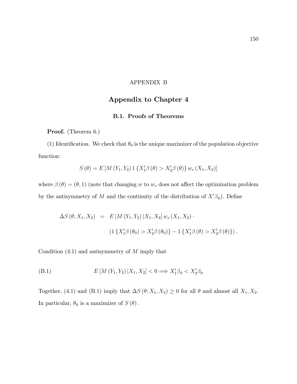### APPENDIX B

# Appendix to Chapter 4

### B.1. Proofs of Theorems

Proof. (Theorem 6.)

(1) Identification. We check that  $\theta_0$  is the unique maximizer of the population objective function:

$$
S(\theta) = E[M(Y_1, Y_2) \, 1\{X'_1 \beta(\theta) > X'_2 \beta(\theta)\} \, w_s(X_1, X_2)]
$$

where  $\beta(\theta) = (\theta, 1)$  (note that changing w to  $w_s$  does not affect the optimization problem by the antisymmetry of M and the continuity of the distribution of  $X'\beta_0$ ). Define

$$
\Delta S(\theta; X_1, X_2) = E[M(Y_1, Y_2) | X_1, X_2] w_s(X_1, X_2) \cdot
$$
  

$$
(1 \{X'_1 \beta(\theta_0) > X'_2 \beta(\theta_0) \} - 1 \{X'_1 \beta(\theta) > X'_2 \beta(\theta) \}).
$$

Condition  $(4.1)$  and antisymmetry of M imply that

(B.1) 
$$
E\left[M\left(Y_1, Y_2\right) | X_1, X_2\right] < 0 \Longrightarrow X_1'\beta_0 < X_2'\beta_0
$$

Together, (4.1) and (B.1) imply that  $\Delta S (\theta; X_1, X_2) \ge 0$  for all  $\theta$  and almost all  $X_1, X_2$ . In particular,  $\theta_0$  is a maximizer of  $S(\theta)$ .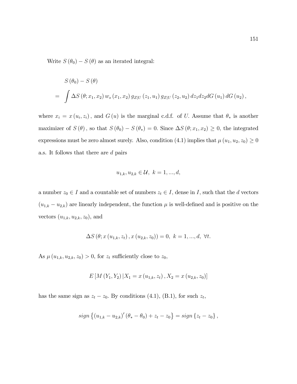Write  $S(\theta_0) - S(\theta)$  as an iterated integral:

$$
S(\theta_0) - S(\theta)
$$
  
=  $\int \Delta S(\theta; x_1, x_2) w_s(x_1, x_2) g_{Z|U}(z_1, u_1) g_{Z|U}(z_2, u_2) dz_1 dz_2 dG(u_1) dG(u_2),$ 

where  $x_i = x(u_i, z_i)$ , and  $G(u)$  is the marginal c.d.f. of U. Assume that  $\theta_*$  is another maximizer of  $S(\theta)$ , so that  $S(\theta_0) - S(\theta_*) = 0$ . Since  $\Delta S(\theta; x_1, x_2) \geq 0$ , the integrated expressions must be zero almost surely. Also, condition (4.1) implies that  $\mu(u_1, u_2, z_0) \ge 0$ a.s. It follows that there are d pairs

$$
u_{1,k}, u_{2,k} \in \mathcal{U}, \ k = 1, ..., d,
$$

a number  $z_0 \in I$  and a countable set of numbers  $z_t \in I$ , dense in I, such that the d vectors  $(u_{1,k} - u_{2,k})$  are linearly independent, the function  $\mu$  is well-defined and is positive on the vectors  $(u_{1,k}, u_{2,k}, z_0)$ , and

$$
\Delta S(\theta; x(u_{1,k}, z_t), x(u_{2,k}, z_0)) = 0, k = 1, ..., d, \forall t.
$$

As  $\mu(u_{1,k}, u_{2,k}, z_0) > 0$ , for  $z_t$  sufficiently close to  $z_0$ ,

$$
E\left[M\left(Y_1, Y_2\right) | X_1 = x\left(u_{1,k}, z_t\right), X_2 = x\left(u_{2,k}, z_0\right)\right]
$$

has the same sign as  $z_t - z_0$ . By conditions (4.1), (B.1), for such  $z_t$ ,

$$
sign\left\{ (u_{1,k} - u_{2,k})'(\theta_* - \theta_0) + z_t - z_0 \right\} = sign\left\{ z_t - z_0 \right\},\,
$$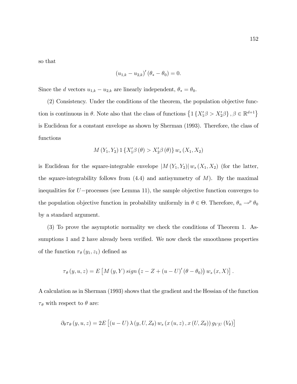so that

$$
(u_{1,k} - u_{2,k})' (\theta_* - \theta_0) = 0.
$$

Since the d vectors  $u_{1,k} - u_{2,k}$  are linearly independent,  $\theta_* = \theta_0$ .

(2) Consistency. Under the conditions of the theorem, the population objective function is continuous in  $\theta$ . Note also that the class of functions  $\{1\{X_1'\beta > X_2'\beta\}, \beta \in \mathbb{R}^{d+1}\}\$ is Euclidean for a constant envelope as shown by Sherman (1993). Therefore, the class of functions

$$
M(Y_1, Y_2) 1 \{ X_1' \beta (\theta) > X_2' \beta (\theta) \} w_s (X_1, X_2)
$$

is Euclidean for the square-integrable envelope  $|M(Y_1, Y_2)| w_s(X_1, X_2)$  (for the latter, the square-integrability follows from  $(4.4)$  and antisymmetry of  $M$ ). By the maximal inequalities for  $U$ -processes (see Lemma 11), the sample objective function converges to the population objective function in probability uniformly in  $\theta \in \Theta$ . Therefore,  $\theta_n \to^p \theta_0$ by a standard argument.

(3) To prove the asymptotic normality we check the conditions of Theorem 1. Assumptions 1 and 2 have already been verified. We now check the smoothness properties of the function  $\tau_{\theta}(y_1, z_1)$  defined as

$$
\tau_{\theta}(y, u, z) = E\left[M(y, Y) \operatorname{sign}(z - Z + (u - U)'(\theta - \theta_0)) w_s(x, X)\right].
$$

A calculation as in Sherman (1993) shows that the gradient and the Hessian of the function  $\tau_{\theta}$  with respect to  $\theta$  are:

$$
\partial_{\theta} \tau_{\theta} (y, u, z) = 2E \left[ \left( u - U \right) \lambda \left( y, U, Z_{\theta} \right) w_{s} \left( x \left( u, z \right), x \left( U, Z_{\theta} \right) \right) g_{V|U} \left( V_{\theta} \right) \right]
$$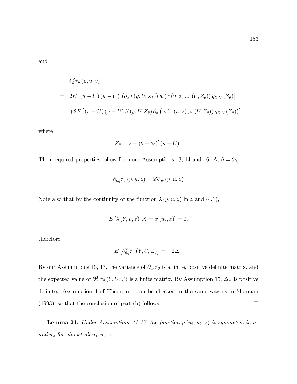and

$$
\partial_{\theta}^{2}\tau_{\theta}(y, u, v)
$$
\n
$$
= 2E [(u - U) (u - U)' (\partial_{z}\lambda(y, U, Z_{\theta})) w (x (u, z), x (U, Z_{\theta})) g_{Z|U} (Z_{\theta})]
$$
\n
$$
+ 2E [(u - U) (u - U) S (y, U, Z_{\theta}) \partial_{z} (w (x (u, z), x (U, Z_{\theta})) g_{Z|U} (Z_{\theta}))]
$$

where

$$
Z_{\theta} = z + (\theta - \theta_0)'(u - U).
$$

Then required properties follow from our Assumptions 13, 14 and 16. At  $\theta = \theta_0$ ,

$$
\partial_{\theta_0} \tau_{\theta} (y, u, z) = 2 \nabla_w (y, u, z)
$$

Note also that by the continuity of the function  $\lambda(y, u, z)$  in z and (4.1),

$$
E\left[\lambda (Y, u, z) \, | X = x(u_2, z) \right] = 0,
$$

therefore,

$$
E\left[\partial_{\theta_0}^2 \tau_{\theta}\left(Y, U, Z\right)\right] = -2\Delta_w
$$

By our Assumptions 16, 17, the variance of  $\partial_{\theta_0} \tau_{\theta}$  is a finite, positive definite matrix, and the expected value of  $\partial_{\theta_0}^2 \tau_\theta(Y, U, V)$  is a finite matrix. By Assumption 15,  $\Delta_w$  is positive definite. Assumption 4 of Theorem 1 can be checked in the same way as in Sherman  $(1993)$ , so that the conclusion of part (b) follows.

**Lemma 21.** Under Assumptions 11-17, the function  $\mu(u_1, u_2, z)$  is symmetric in  $u_1$ and  $u_2$  for almost all  $u_1, u_2, z$ .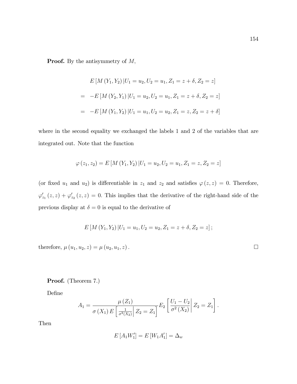**Proof.** By the antisymmetry of  $M$ ,

$$
E\left[M\left(Y_1, Y_2\right) | U_1 = u_2, U_2 = u_1, Z_1 = z + \delta, Z_2 = z\right]
$$
  
= 
$$
-E\left[M\left(Y_2, Y_1\right) | U_1 = u_2, U_2 = u_1, Z_1 = z + \delta, Z_2 = z\right]
$$
  
= 
$$
-E\left[M\left(Y_1, Y_2\right) | U_1 = u_1, U_2 = u_2, Z_1 = z, Z_2 = z + \delta\right]
$$

where in the second equality we exchanged the labels 1 and 2 of the variables that are integrated out. Note that the function

$$
\varphi(z_1, z_2) = E\left[M\left(Y_1, Y_2\right)| U_1 = u_2, U_2 = u_1, Z_1 = z, Z_2 = z\right]
$$

(or fixed  $u_1$  and  $u_2$ ) is differentiable in  $z_1$  and  $z_2$  and satisfies  $\varphi(z, z) = 0$ . Therefore,  $\varphi'_{z_1}(z, z) + \varphi'_{z_2}(z, z) = 0$ . This implies that the derivative of the right-hand side of the previous display at  $\delta = 0$  is equal to the derivative of

$$
E\left[M(Y_1,Y_2)\,|U_1=u_1,U_2=u_2,Z_1=z+\delta,Z_2=z\right];
$$

therefore,  $\mu(u_1, u_2, z) = \mu(u_2, u_1, z)$ .

Proof. (Theorem 7.)

Define

$$
A_1 = \frac{\mu(Z_1)}{\sigma(X_1) E\left[\frac{1}{\sigma^2(X_2)}\Big| Z_2 = Z_1\right]} E_2 \left[\frac{U_1 - U_2}{\sigma^2(X_2)}\Big| Z_2 = Z_1\right].
$$

Then

$$
E\left[A_1 W_1'\right] = E\left[W_1 A_1'\right] = \Delta_w
$$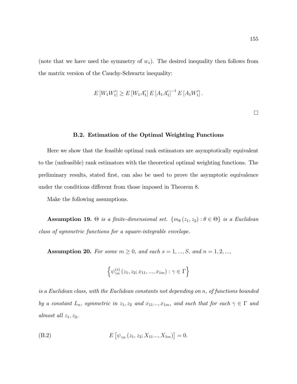(note that we have used the symmetry of  $w_s$ ). The desired inequality then follows from the matrix version of the Cauchy-Schwartz inequality:

$$
E[W_1W_1'] \ge E[W_1A_1'] E[A_1A_1']^{-1} E[A_1W_1'].
$$

 $\Box$ 

#### B.2. Estimation of the Optimal Weighting Functions

Here we show that the feasible optimal rank estimators are asymptotically equivalent to the (unfeasible) rank estimators with the theoretical optimal weighting functions. The preliminary results, stated Örst, can also be used to prove the asymptotic equivalence under the conditions different from those imposed in Theorem 8.

Make the following assumptions.

**Assumption 19.**  $\Theta$  is a finite-dimensional set.  $\{m_{\theta}(z_1, z_2) : \theta \in \Theta\}$  is a Euclidean class of symmetric functions for a square-integrable envelope.

Assumption 20. For some  $m \geq 0$ , and each  $s = 1, ..., S$ , and  $n = 1, 2, ...,$ 

$$
\left\{\psi_{\gamma n}^{(s)}\left(z_1,z_2;x_{11},...,x_{1m}\right):\gamma\in\Gamma\right\}
$$

is a Euclidean class, with the Euclidean constants not depending on n; of functions bounded by a constant  $L_n$ , symmetric in  $z_1, z_2$  and  $x_{11}..., x_{1m}$ , and such that for each  $\gamma \in \Gamma$  and almost all  $z_1, z_2$ ;

(B.2) 
$$
E[\psi_{\gamma n}(z_1, z_2; X_{11}..., X_{1m})] = 0.
$$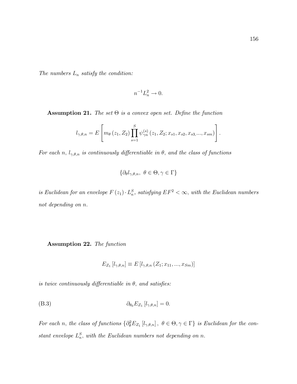The numbers  $L_n$  satisfy the condition:

$$
n^{-1}L_n^2 \to 0.
$$

**Assumption 21.** The set  $\Theta$  is a convex open set. Define the function

$$
l_{\gamma,\theta,n} = E\left[m_{\theta}\left(z_1, Z_2\right) \prod_{s=1}^{S} \psi_{\gamma n}^{(s)}\left(z_1, Z_2; x_{s1}, x_{s2}, x_{s3}, ..., x_{sm}\right)\right].
$$

For each n,  $l_{\gamma,\theta,n}$  is continuously differentiable in  $\theta$ , and the class of functions

$$
\{\partial_{\theta}l_{\gamma,\theta,n},\ \theta\in\Theta,\gamma\in\Gamma\}
$$

is Euclidean for an envelope  $F(z_1) \cdot L_n^S$ , satisfying  $EF^2 < \infty$ , with the Euclidean numbers not depending on n.

Assumption 22. The function

$$
E_{Z_1}[l_{\gamma,\theta,n}] \equiv E[l_{\gamma,\theta,n}(Z_1;x_{11},...,x_{Sm})]
$$

is twice continuously differentiable in  $\theta$ , and satisfies:

$$
\partial_{\theta_0} E_{Z_1} [l_{\gamma,\theta,n}] = 0.
$$

For each n, the class of functions  $\{\partial_{\theta}^2 E_{Z_1}[l_{\gamma,\theta,n}], \ \theta \in \Theta, \gamma \in \Gamma\}$  is Euclidean for the constant envelope  $L_n^S$ , with the Euclidean numbers not depending on n.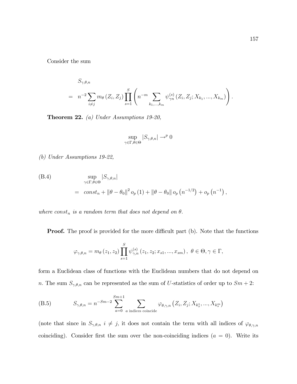Consider the sum

$$
S_{\gamma,\theta,n} = n^{-2} \sum_{i \neq j} m_{\theta} (Z_i, Z_j) \prod_{s=1}^{S} \left( n^{-m} \sum_{k_1, ..., k_m} \psi_{\gamma n}^{(s)} (Z_i, Z_j; X_{k_1}, ..., X_{k_m}) \right).
$$

Theorem 22. (a) Under Assumptions 19-20,

$$
\sup_{\gamma \in \Gamma, \theta \in \Theta} |S_{\gamma, \theta, n}| \to^p 0
$$

(b) Under Assumptions 19-22,

(B.4)  
\n
$$
\sup_{\gamma \in \Gamma, \theta \in \Theta} |S_{\gamma, \theta, n}|
$$
\n
$$
= \cosh_{n} + ||\theta - \theta_{0}||^{2} o_{p}(1) + ||\theta - \theta_{0}|| o_{p}(n^{-1/2}) + o_{p}(n^{-1}),
$$

where  $const_n$  is a random term that does not depend on  $\theta$ .

**Proof.** The proof is provided for the more difficult part (b). Note that the functions

$$
\varphi_{\gamma,\theta,n} = m_{\theta}(z_1, z_2) \prod_{s=1}^{S} \psi_{\gamma,n}^{(s)}(z_1, z_2; x_{s1}, ..., x_{sm}), \ \theta \in \Theta, \gamma \in \Gamma,
$$

form a Euclidean class of functions with the Euclidean numbers that do not depend on n. The sum  $S_{\gamma,\theta,n}$  can be represented as the sum of U-statistics of order up to  $Sm + 2$ :

(B.5) 
$$
S_{\gamma,\theta,n} = n^{-Sm-2} \sum_{a=0}^{Sm+1} \sum_{a \text{ indices coincide}} \varphi_{\theta,\gamma,n} (Z_i, Z_j; X_{k_s^1}, ..., X_{k_s^m})
$$

(note that since in  $S_{\gamma,\theta,n}$   $i \neq j$ , it does not contain the term with all indices of  $\varphi_{\theta,\gamma,n}$ coinciding). Consider first the sum over the non-coinciding indices  $(a = 0)$ . Write its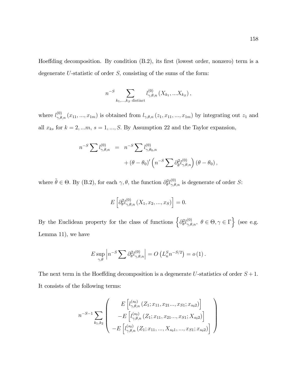Hoeffding decomposition. By condition  $(B.2)$ , its first (lowest order, nonzero) term is a degenerate  $U$ -statistic of order  $S$ , consisting of the sums of the form:

$$
n^{-S} \sum_{k_1,...,k_S \text{ distinct}} l_{\gamma,\theta,n}^{(0)}(X_{k_1},...X_{k_S}),
$$

where  $l_{\gamma,\theta,n}^{(0)}(x_{11},...,x_{1m})$  is obtained from  $l_{\gamma,\theta,n}(z_1,x_{11},...,x_{1m})$  by integrating out  $z_1$  and all  $x_{ks}$  for  $k = 2, \ldots m$ ,  $s = 1, \ldots, S$ . By Assumption 22 and the Taylor expansion,

$$
n^{-S} \sum l_{\gamma,\theta,n}^{(0)} = n^{-S} \sum l_{\gamma,\theta_0,n}^{(0)} + (\theta - \theta_0)' \left( n^{-S} \sum \partial_{\tilde{\theta}}^{2} l_{\gamma,\theta,n}^{(0)} \right) (\theta - \theta_0),
$$

where  $\tilde{\theta} \in \Theta$ . By (B.2), for each  $\gamma$ ,  $\theta$ , the function  $\partial_{\theta}^{2} l_{\gamma,\theta,n}^{(0)}$  is degenerate of order S:

$$
E\left[\partial_{\theta}^{2}l_{\gamma,\theta,n}^{(0)}\left(X_{1},x_{2},...,x_{S}\right)\right]=0.
$$

By the Euclidean property for the class of functions  $\left\{\partial_{\theta}^{2}l_{\gamma,\theta,n}^{(0)}, \ \theta \in \Theta, \gamma \in \Gamma\right\}$  (see e.g. Lemma 11), we have

$$
E \sup_{\gamma,\theta} \left| n^{-S} \sum \partial_{\theta}^2 l_{\gamma,\theta,n}^{(0)} \right| = O\left( L_n^S n^{-S/2} \right) = o\left(1\right).
$$

The next term in the Hoeffding decomposition is a degenerate U-statistics of order  $S + 1$ . It consists of the following terms:

$$
n^{-S-1} \sum_{k_1, k_2} \left( \begin{array}{c} E\left[l_{\gamma, \theta, n}^{(s_0)}\left(Z_1; x_{11}, x_{21} \ldots, x_{S1}; x_{s_0 2}\right)\right] \\ - E\left[l_{\gamma, \theta, n}^{(s_0)}\left(Z_1; x_{11}, x_{21} \ldots, x_{S1}; X_{s_0 2}\right)\right] \\ - E\left[l_{\gamma, \theta, n}^{(s_0)}\left(Z_1; x_{11}, \ldots, X_{s_0 1}, \ldots, x_{S1}; x_{s_0 2}\right)\right] \end{array} \right)
$$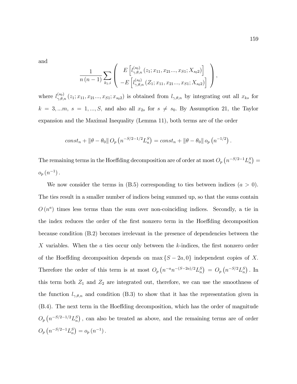and

$$
\frac{1}{n(n-1)}\sum_{k_1,i}\left(\begin{array}{c} E\left[l_{\gamma,\theta,n}^{(s_0)}(z_1;x_{11},x_{21}...,x_{S1};X_{s_02})\right] \\ -E\left[l_{\gamma,\theta,n}^{(s_0)}(Z_1;x_{11},x_{21}...,x_{S1};X_{s_02})\right] \end{array}\right),
$$

where  $l_{\gamma,\theta,n}^{(s_0)}(z_1; x_{11}, x_{21} \ldots, x_{S1}; x_{s_02})$  is obtained from  $l_{\gamma,\theta,n}$  by integrating out all  $x_{ks}$  for  $k = 3, \dots, s = 1, \dots, S$ , and also all  $x_{2s}$  for  $s \neq s_0$ . By Assumption 21, the Taylor expansion and the Maximal Inequality (Lemma 11), both terms are of the order

$$
const_n + \|\theta - \theta_0\| O_p (n^{-S/2 - 1/2} L_n^S) = const_n + \|\theta - \theta_0\| O_p (n^{-1/2}).
$$

The remaining terms in the Hoeffding decomposition are of order at most  $O_p(n^{-S/2-1}L_n^S)$  $o_p(n^{-1})$ .

We now consider the terms in  $(B.5)$  corresponding to ties between indices  $(a > 0)$ . The ties result in a smaller number of indices being summed up, so that the sums contain  $O(n^a)$  times less terms than the sum over non-coinciding indices. Secondly, a tie in the index reduces the order of the first nonzero term in the Hoeffding decomposition because condition (B.2) becomes irrelevant in the presence of dependencies between the X variables. When the  $\alpha$  ties occur only between the  $k$ -indices, the first nonzero order of the Hoeffding decomposition depends on  $\max\{S - 2a, 0\}$  independent copies of X. Therefore the order of this term is at most  $O_p(n^{-a}n^{-(S-2a)/2}L_n^S) = O_p(n^{-S/2}L_n^S)$ . In this term both  $Z_1$  and  $Z_2$  are integrated out, therefore, we can use the smoothness of the function  $l_{\gamma,\theta,n}$  and condition (B.3) to show that it has the representation given in (B.4). The next term in the Hoeffding decomposition, which has the order of magnitude  $O_p(n^{-S/2-1/2}L_n^S)$ , can also be treated as above, and the remaining terms are of order  $O_p\left(n^{-S/2-1}L_n^S\right) = o_p\left(n^{-1}\right).$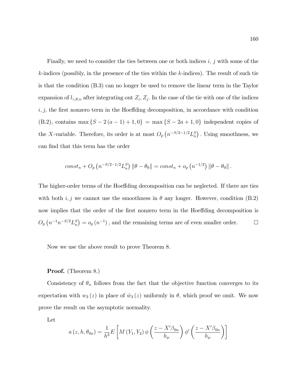Finally, we need to consider the ties between one or both indices  $i, j$  with some of the  $k$ -indices (possibly, in the presence of the ties within the  $k$ -indices). The result of such tie is that the condition (B.3) can no longer be used to remove the linear term in the Taylor expansion of  $l_{\gamma,\theta,n}$  after integrating out  $Z_i, Z_j$ . In the case of the tie with one of the indices  $i, j$ , the first nonzero term in the Hoeffding decomposition, in accordance with condition (B.2), contains max  $\{S - 2(a - 1) + 1, 0\}$  = max  $\{S - 2a + 1, 0\}$  independent copies of the X-variable. Therefore, its order is at most  $O_p(n^{-S/2-1/2}L_n^S)$ . Using smoothness, we can find that this term has the order

$$
const_n + O_p(n^{-S/2 - 1/2} L_n^S) ||\theta - \theta_0|| = const_n + o_p(n^{-1/2}) ||\theta - \theta_0||.
$$

The higher-order terms of the Hoeffding decomposition can be neglected. If there are ties with both i, j we cannot use the smoothness in  $\theta$  any longer. However, condition (B.2) now implies that the order of the first nonzero term in the Hoeffding decomposition is  $O_p\left(n^{-1}n^{-S/2}L_n^S\right) = o_p\left(n^{-1}\right)$ , and the remaining terms are of even smaller order.  $\Box$ 

Now we use the above result to prove Theorem 8.

### Proof. (Theorem 8.)

Consistency of  $\theta_n$  follows from the fact that the objective function converges to its expectation with  $w_3 (z)$  in place of  $\hat{w}_3 (z)$  uniformly in  $\theta$ , which proof we omit. We now prove the result on the asymptotic normality.

Let

$$
a(z, h, \theta_{0n}) = \frac{1}{h^3} E\left[M(Y_1, Y_2) \phi\left(\frac{z - X'\beta_{0n}}{h_\mu}\right) \phi'\left(\frac{z - X'\beta_{0n}}{h_\mu}\right)\right]
$$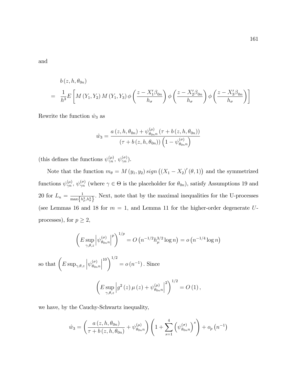and

$$
b(z, h, \theta_{0n})
$$
  
=  $\frac{1}{h^3} E \left[ M(Y_1, Y_2) M(Y_1, Y_3) \phi \left( \frac{z - X_1' \beta_{0n}}{h_{\sigma}} \right) \phi \left( \frac{z - X_2' \beta_{0n}}{h_{\sigma}} \right) \phi \left( \frac{z - X_3' \beta_{0n}}{h_{\sigma}} \right) \right]$ 

Rewrite the function  $\hat{w}_3$  as

$$
\hat{w}_3 = \frac{a(z, h, \theta_{0n}) + \psi_{\theta_{0n}n}^{(\mu)}(\tau + b(z, h, \theta_{0n}))}{(\tau + b(z, h, \theta_{0n})) (1 - \psi_{\theta_{0n}n}^{(\sigma)})}
$$

(this defines the functions  $\psi_{\gamma n}^{(\mu)}, \psi_{\gamma n}^{(\sigma)}$ ).

Note that the function  $m_{\theta} = M(y_1, y_2) sign((X_1 - X_2)'(\theta, 1))$  and the symmetrized functions  $\psi_{\gamma n}^{(\mu)}, \psi_{\gamma n}^{(\sigma)}$  (where  $\gamma \in \Theta$  is the placeholder for  $\theta_{0n}$ ), satisfy Assumptions 19 and 20 for  $L_n = \frac{1}{\max\{b\}}$  $\max\left\{h_\mu^3,h_\sigma^3\right\}$ : Next, note that by the maximal inequalities for the U-processes (see Lemmas 16 and 18 for  $m = 1$ , and Lemma 11 for the higher-order degenerate Uprocesses), for  $p\geq 2,$ 

$$
\left(E \sup_{\gamma,\theta,z} \left| \psi_{\theta_{0n}n}^{(\sigma)} \right|^p \right)^{1/p} = O\left(n^{-1/2} h_{\mu}^{3/2} \log n\right) = o\left(n^{-1/4} \log n\right)
$$

so that  $\left(E\sup_{\gamma,\theta,z}\left|\psi^{(\sigma)}_{\theta_{0n}}\right|\right)$  $\theta_{0n}$ n  $10\bigvee$ <sup>1/2</sup>  $= o(n^{-1})$ . Since

$$
\left(E \sup_{\gamma,\theta,z} \left| g^2\left(z\right) \mu\left(z\right) + \psi_{\theta_{0n}n}^{(\mu)} \right|^2 \right)^{1/2} = O\left(1\right),\,
$$

we have, by the Cauchy-Schwartz inequality,

$$
\hat{w}_3 = \left(\frac{a(z, h, \theta_{0n})}{\tau + b(z, h, \theta_{0n})} + \psi_{\theta_{0n}n}^{(\mu)}\right) \left(1 + \sum_{s=1}^4 \left(\psi_{\theta_{0n}n}^{(\sigma)}\right)^s\right) + o_p(n^{-1})
$$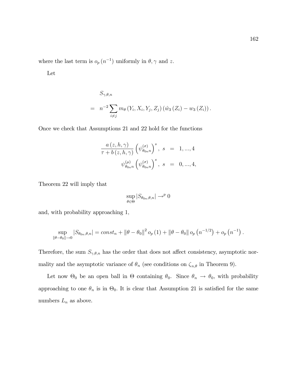where the last term is  $o_p(n^{-1})$  uniformly in  $\theta, \gamma$  and z.

Let

$$
S_{\gamma,\theta,n} = n^{-2} \sum_{i \neq j} m_{\theta} (Y_i, X_i, Y_j, Z_j) (\hat{w}_3 (Z_i) - w_3 (Z_i)).
$$

Once we check that Assumptions 21 and 22 hold for the functions

$$
\frac{a(z, h, \gamma)}{\tau + b(z, h, \gamma)} \left(\psi_{\theta_{0n}n}^{(\sigma)}\right)^s, \ s = 1, ..., 4
$$
  

$$
\psi_{\theta_{0n}n}^{(\mu)} \left(\psi_{\theta_{0n}n}^{(\sigma)}\right)^s, \ s = 0, ..., 4,
$$

Theorem 22 will imply that

$$
\sup_{\theta \in \Theta} |S_{\theta_{0n},\theta,n}| \to^p 0
$$

and, with probability approaching 1;

$$
\sup_{\|\theta-\theta_0\| \to 0} |S_{\theta_{0n},\theta,n}| = const_n + \|\theta-\theta_0\|^2 o_p(1) + \|\theta-\theta_0\| o_p(n^{-1/2}) + o_p(n^{-1}).
$$

Therefore, the sum  $S_{\gamma,\theta,n}$  has the order that does not affect consistency, asymptotic normality and the asymptotic variance of  $\theta_n$  (see conditions on  $\zeta_{n,\theta}$  in Theorem 9).

Let now  $\Theta_0$  be an open ball in  $\Theta$  containing  $\theta_0$ . Since  $\theta_n \to \theta_0$ , with probability approaching to one  $\theta_n$  is in  $\Theta_0$ . It is clear that Assumption 21 is satisfied for the same numbers  $L_n$  as above.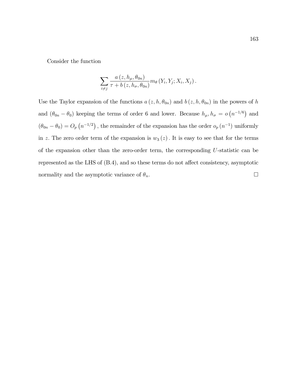Consider the function

$$
\sum_{i \neq j} \frac{a(z, h_{\mu}, \theta_{0n})}{\tau + b(z, h_{\sigma}, \theta_{0n})} m_{\theta}(Y_i, Y_j; X_i, X_j).
$$

Use the Taylor expansion of the functions  $a(z, h, \theta_{0n})$  and  $b(z, h, \theta_{0n})$  in the powers of h and  $(\theta_{0n} - \theta_0)$  keeping the terms of order 6 and lower. Because  $h_\mu, h_\sigma = o(n^{-1/6})$  and  $(\theta_{0n} - \theta_0) = O_p(n^{-1/2})$ , the remainder of the expansion has the order  $o_p(n^{-1})$  uniformly in z. The zero order term of the expansion is  $w_3(z)$ . It is easy to see that for the terms of the expansion other than the zero-order term, the corresponding U-statistic can be represented as the LHS of  $(B.4)$ , and so these terms do not affect consistency, asymptotic normality and the asymptotic variance of  $\theta_n$ .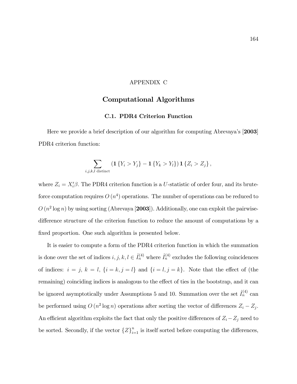### APPENDIX C

## Computational Algorithms

### C.1. PDR4 Criterion Function

Here we provide a brief description of our algorithm for computing Abrevaya's [2003] PDR4 criterion function:

$$
\sum_{i,j,k,l \text{ distinct}} \left( \mathbf{1} \left\{ Y_i > Y_j \right\} - \mathbf{1} \left\{ Y_k > Y_l \right\} \right) \mathbf{1} \left\{ Z_i > Z_j \right\},
$$

where  $Z_i = X_i' \beta$ . The PDR4 criterion function is a U-statistic of order four, and its bruteforce computation requires  $O(n^4)$  operations. The number of operations can be reduced to  $O(n^2 \log n)$  by using sorting (Abrevaya [2003]). Additionally, one can exploit the pairwisedifference structure of the criterion function to reduce the amount of computations by a fixed proportion. One such algorithm is presented below.

It is easier to compute a form of the PDR4 criterion function in which the summation is done over the set of indices  $i, j, k, l \in \hat{I}_n^{(4)}$  where  $\hat{I}_n^{(4)}$  excludes the following coincidences of indices:  $i = j, k = l, \{i = k, j = l\}$  and  $\{i = l, j = k\}$ . Note that the effect of (the remaining) coinciding indices is analogous to the effect of ties in the bootstrap, and it can be ignored asymptotically under Assumptions 5 and 10. Summation over the set  $\mathring{I}_n^{(4)}$  can be performed using  $O(n^2 \log n)$  operations after sorting the vector of differences  $Z_i - Z_j$ . An efficient algorithm exploits the fact that only the positive differences of  $Z_i - Z_j$  need to be sorted. Secondly, if the vector  $\{Z\}_{i=1}^n$  is itself sorted before computing the differences,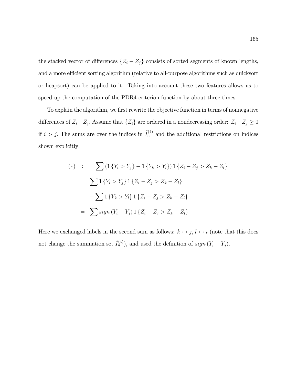the stacked vector of differences  $\{Z_i - Z_j\}$  consists of sorted segments of known lengths, and a more efficient sorting algorithm (relative to all-purpose algorithms such as quicksort or heapsort) can be applied to it. Taking into account these two features allows us to speed up the computation of the PDR4 criterion function by about three times.

To explain the algorithm, we first rewrite the objective function in terms of nonnegative differences of  $Z_i - Z_j$ . Assume that  $\{Z_i\}$  are ordered in a nondecreasing order:  $Z_i - Z_j \ge 0$ if  $i > j$ . The sums are over the indices in  $\mathring{I}_n^{(4)}$  and the additional restrictions on indices shown explicitly:

$$
(*)\quad = \sum (1\{Y_i > Y_j\} - 1\{Y_k > Y_l\}) 1\{Z_i - Z_j > Z_k - Z_l\}
$$
\n
$$
= \sum 1\{Y_i > Y_j\} 1\{Z_i - Z_j > Z_k - Z_l\}
$$
\n
$$
- \sum 1\{Y_k > Y_l\} 1\{Z_i - Z_j > Z_k - Z_l\}
$$
\n
$$
= \sum sign(Y_i - Y_j) 1\{Z_i - Z_j > Z_k - Z_l\}
$$

Here we exchanged labels in the second sum as follows:  $k \leftrightarrow j$ ,  $l \leftrightarrow i$  (note that this does not change the summation set  $\hat{I}_n^{(4)}$ ), and used the definition of  $sign(Y_i - Y_j)$ .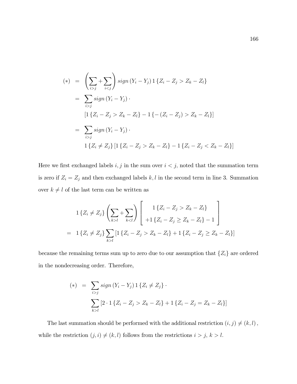$$
(*) = \left(\sum_{i > j} + \sum_{i < j}\right) sign(Y_i - Y_j) \, 1\{Z_i - Z_j > Z_k - Z_l\}
$$
\n
$$
= \sum_{i > j} sign(Y_i - Y_j) \, .
$$
\n
$$
[1\{Z_i - Z_j > Z_k - Z_l\} - 1\{-(Z_i - Z_j) > Z_k - Z_l\}]
$$
\n
$$
= \sum_{i > j} sign(Y_i - Y_j) \, .
$$
\n
$$
1\{Z_i \neq Z_j\} \, [1\{Z_i - Z_j > Z_k - Z_l\} - 1\{Z_i - Z_j < Z_k - Z_l\}]
$$

Here we first exchanged labels  $i, j$  in the sum over  $i < j$ , noted that the summation term is zero if  $Z_i = Z_j$  and then exchanged labels k, l in the second term in line 3. Summation over  $k\neq l$  of the last term can be written as

$$
1\{Z_i \neq Z_j\} \left(\sum_{k>l} + \sum_{k Z_k - Z_l\} \\ +1\{Z_i - Z_j \geq Z_k - Z_l\} - 1 \end{array} \right]
$$
  
= 1\{Z\_i \neq Z\_j\} \sum\_{k>l} [1\{Z\_i - Z\_j > Z\_k - Z\_l\} + 1\{Z\_i - Z\_j \geq Z\_k - Z\_l\}]

because the remaining terms sum up to zero due to our assumption that  $\{Z_i\}$  are ordered in the nondecreasing order. Therefore,

$$
(*) = \sum_{i > j} sign (Y_i - Y_j) \mathbb{1} \{ Z_i \neq Z_j \} \cdot \sum_{k > l} [2 \cdot \mathbb{1} \{ Z_i - Z_j > Z_k - Z_l \} + \mathbb{1} \{ Z_i - Z_j = Z_k - Z_l \}]
$$

The last summation should be performed with the additional restriction  $(i, j) \neq (k, l)$ , while the restriction  $(j, i) \neq (k, l)$  follows from the restrictions  $i > j, k > l$ .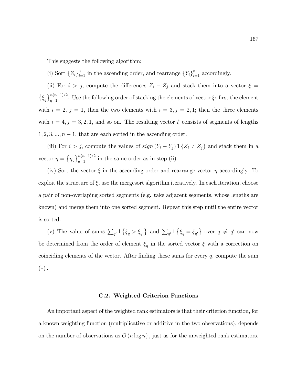This suggests the following algorithm:

(i) Sort  ${Z_i}_{i=1}^n$  in the ascending order, and rearrange  ${Y_i}_{i=1}^n$  accordingly.

(ii) For  $i > j$ , compute the differences  $Z_i - Z_j$  and stack them into a vector  $\xi =$  $\{\xi_q\}_{q=1}^{n(n-1)/2}$ . Use the following order of stacking the elements of vector  $\xi$ : first the element with  $i = 2, j = 1$ , then the two elements with  $i = 3, j = 2, 1$ ; then the three elements with  $i = 4, j = 3, 2, 1$ , and so on. The resulting vector  $\xi$  consists of segments of lengths  $1, 2, 3, \ldots, n-1$ , that are each sorted in the ascending order.

(iii) For  $i > j$ , compute the values of  $sign(Y_i - Y_j) \mathbb{1} \{Z_i \neq Z_j\}$  and stack them in a vector  $\eta = {\eta_q}_{q=1}^{n(n-1)/2}$  in the same order as in step (ii).

(iv) Sort the vector  $\xi$  in the ascending order and rearrange vector  $\eta$  accordingly. To exploit the structure of  $\xi$ , use the mergesort algorithm iteratively. In each iteration, choose a pair of non-overlaping sorted segments (e.g. take adjacent segments, whose lengths are known) and merge them into one sorted segment. Repeat this step until the entire vector is sorted.

(v) The value of sums  $\sum_{q'} 1 \{\xi_q > \xi_{q'}\}$  and  $\sum_{q'} 1 \{\xi_q = \xi_{q'}\}$  over  $q \neq q'$  can now be determined from the order of element  $\xi_q$  in the sorted vector  $\xi$  with a correction on coinciding elements of the vector. After finding these sums for every  $q$ , compute the sum  $(*)$ .

#### C.2. Weighted Criterion Functions

An important aspect of the weighted rank estimators is that their criterion function, for a known weighting function (multiplicative or additive in the two observations), depends on the number of observations as  $O(n \log n)$ , just as for the unweighted rank estimators.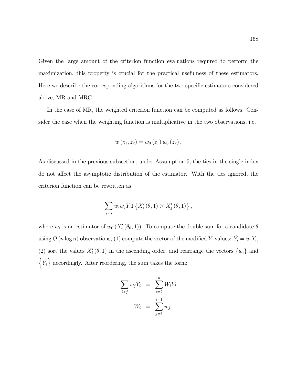Given the large amount of the criterion function evaluations required to perform the maximization, this property is crucial for the practical usefulness of these estimators. Here we describe the corresponding algorithms for the two specific estimators considered above, MR and MRC.

In the case of MR, the weighted criterion function can be computed as follows. Consider the case when the weighting function is multiplicative in the two observations, i.e.

$$
w(z_1, z_2) = w_0(z_1) w_0(z_2).
$$

As discussed in the previous subsection, under Assumption 5, the ties in the single index do not affect the asymptotic distribution of the estimator. With the ties ignored, the criterion function can be rewritten as

$$
\sum_{i \neq j} w_i w_j Y_i 1 \{ X'_i (\theta, 1) > X'_j (\theta, 1) \},
$$

where  $w_i$  is an estimator of  $w_0(X'_i(\theta_0, 1))$ . To compute the double sum for a candidate  $\theta$ using  $O(n \log n)$  observations, (1) compute the vector of the modified Y-values:  $\tilde{Y}_i = w_i Y_i$ , (2) sort the values  $X_i'(\theta, 1)$  in the ascending order, and rearrange the vectors  $\{w_i\}$  and  $\{\tilde{Y}_i\}$  accordingly. After reordering, the sum takes the form:

$$
\sum_{i>j} w_j \tilde{Y}_i = \sum_{i=2}^n W_i \tilde{Y}_i
$$

$$
W_i = \sum_{j=1}^{i-1} w_j.
$$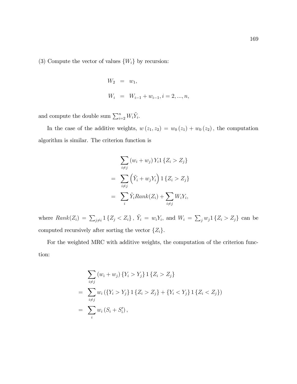(3) Compute the vector of values  $\{W_i\}$  by recursion:

$$
W_2 = w_1,
$$
  
\n
$$
W_i = W_{i-1} + w_{i-1}, i = 2, ..., n,
$$

and compute the double sum  $\sum_{i=2}^{n} W_i \tilde{Y}_i$ .

In the case of the additive weights,  $w(z_1, z_2) = w_0(z_1) + w_0(z_2)$ , the computation algorithm is similar. The criterion function is

$$
\sum_{i \neq j} (w_i + w_j) Y_i 1 \{Z_i > Z_j\}
$$

$$
= \sum_{i \neq j} (\tilde{Y}_i + w_j Y_i) 1 \{Z_i > Z_j\}
$$

$$
= \sum_i \tilde{Y}_i Rank(Z_i) + \sum_{i \neq j} W_i Y_i,
$$

where  $Rank(Z_i) = \sum_{j \neq i} 1\{Z_j < Z_i\}, \ \tilde{Y}_i = w_i Y_i, \text{ and } W_i = \sum_j w_j 1\{Z_i > Z_j\} \text{ can be}$ computed recursively after sorting the vector  $\{Z_i\}$ .

For the weighted MRC with additive weights, the computation of the criterion function:

$$
\sum_{i \neq j} (w_i + w_j) \{ Y_i > Y_j \} 1 \{ Z_i > Z_j \}
$$
  
= 
$$
\sum_{i \neq j} w_i (\{ Y_i > Y_j \} 1 \{ Z_i > Z_j \} + \{ Y_i < Y_j \} 1 \{ Z_i < Z_j \})
$$
  
= 
$$
\sum_i w_i (S_i + S'_i),
$$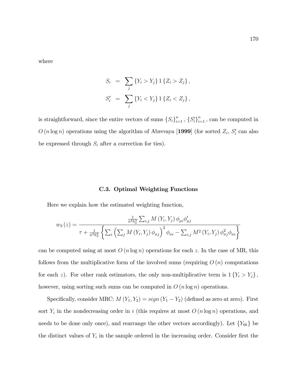where

$$
S_i = \sum_j \{Y_i > Y_j\} \, 1 \{Z_i > Z_j\} \,,
$$
  

$$
S'_i = \sum_j \{Y_i < Y_j\} \, 1 \{Z_i < Z_j\} \,,
$$

is straightforward, since the entire vectors of sums  $\{S_i\}_{i=1}^n$ ,  $\{S_i'\}_{i=1}^n$ , can be computed in  $O(n \log n)$  operations using the algorithm of Abrevaya [1999] (for sorted  $Z_i$ ,  $S'_i$  can also be expressed through  $S_i$  after a correction for ties).

### C.3. Optimal Weighting Functions

Here we explain how the estimated weighting function,

$$
w_3(z) = \frac{\frac{1}{n^2 h_\mu^3} \sum_{i,j} M(Y_i, Y_j) \phi_{\mu i} \phi_{\mu j}'}{\tau + \frac{1}{n^3 h_\sigma^3} \left\{ \sum_i \left( \sum_j M(Y_i, Y_j) \phi_{\sigma j} \right)^2 \phi_{\sigma i} - \sum_{i,j} M^2(Y_i, Y_j) \phi_{\sigma j}^2 \phi_{\sigma i} \right\}}
$$

can be computed using at most  $O(n \log n)$  operations for each z. In the case of MR, this follows from the multiplicative form of the involved sums (requiring  $O(n)$  computations for each z). For other rank estimators, the only non-multiplicative term is  $1\{Y_i > Y_j\}$ , however, using sorting such sums can be computed in  $O(n \log n)$  operations.

Specifically, consider MRC:  $M(Y_1, Y_2) = sign(Y_1 - Y_2)$  (defined as zero at zero). First sort  $Y_i$  in the nondecreasing order in i (this requires at most  $O(n \log n)$  operations, and needs to be done only once), and rearrange the other vectors accordingly). Let  $\{Y_{0k}\}$  be the distinct values of  $Y_i$  in the sample ordered in the increasing order. Consider first the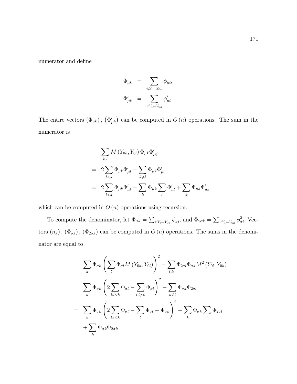numerator and define

$$
\begin{array}{rcl} \Phi_{\mu k} & = & \displaystyle \sum_{i: Y_i = Y_{0k}} \phi_{\mu i}, \\ \Phi'_{\mu k} & = & \displaystyle \sum_{i: Y_i = Y_{0k}} \phi'_{\mu i}. \end{array}
$$

The entire vectors  $(\Phi_{\mu k})$ ,  $(\Phi'_{\mu k})$  can be computed in  $O(n)$  operations. The sum in the numerator is

$$
\sum_{k,l} M(Y_{0k}, Y_{0l}) \Phi_{\mu k} \Phi'_{\mu j} \n= 2 \sum_{l < k} \Phi_{\mu k} \Phi'_{\mu l} - \sum_{k \neq l} \Phi_{\mu k} \Phi'_{\mu l} \n= 2 \sum_{l < k} \Phi_{\mu k} \Phi'_{\mu l} - \sum_{k} \Phi_{\mu k} \sum_{l} \Phi'_{\mu l} + \sum_{k} \Phi_{\mu k} \Phi'_{\mu k}
$$

which can be computed in  $O(n)$  operations using recursion.

To compute the denominator, let  $\Phi_{\sigma k} = \sum_{i:Y_i=Y_{0k}} \phi_{\sigma i}$ , and  $\Phi_{2\sigma k} = \sum_{i:Y_i=Y_{0k}} \phi_{\sigma i}^2$ . Vectors  $(n_k)$ ,  $(\Phi_{\sigma k})$ ,  $(\Phi_{2\sigma k})$  can be computed in  $O(n)$  operations. The sums in the denominator are equal to

$$
\sum_{k} \Phi_{\sigma k} \left( \sum_{l} \Phi_{\sigma l} M \left( Y_{0k}, Y_{0l} \right) \right)^2 - \sum_{l,k} \Phi_{2\sigma l} \Phi_{\sigma k} M^2 \left( Y_{0l}, Y_{0k} \right)
$$
\n
$$
= \sum_{k} \Phi_{\sigma k} \left( 2 \sum_{l:l < k} \Phi_{\sigma l} - \sum_{l:l \neq k} \Phi_{\sigma l} \right)^2 - \sum_{k \neq l} \Phi_{\sigma k} \Phi_{2\sigma l}
$$
\n
$$
= \sum_{k} \Phi_{\sigma k} \left( 2 \sum_{l:l < k} \Phi_{\sigma l} - \sum_{l} \Phi_{\sigma l} + \Phi_{\sigma k} \right)^2 - \sum_{k} \Phi_{\sigma k} \sum_{l} \Phi_{2\sigma l}
$$
\n
$$
+ \sum_{k} \Phi_{\sigma k} \Phi_{2\sigma k}
$$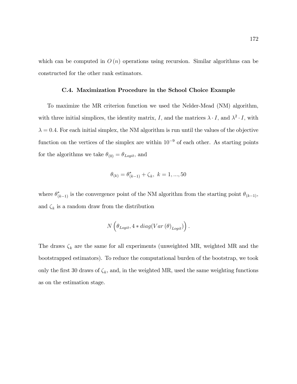which can be computed in  $O(n)$  operations using recursion. Similar algorithms can be constructed for the other rank estimators.

#### C.4. Maximization Procedure in the School Choice Example

To maximize the MR criterion function we used the Nelder-Mead (NM) algorithm, with three initial simplices, the identity matrix, I, and the matrices  $\lambda \cdot I$ , and  $\lambda^2 \cdot I$ , with  $\lambda = 0.4.$  For each initial simplex, the NM algorithm is run until the values of the objective function on the vertices of the simplex are within  $10^{-9}$  of each other. As starting points for the algorithms we take  $\theta_{(0)} = \theta_{Logit},$  and

$$
\theta_{(k)} = \theta_{(k-1)}^* + \zeta_k, \ k = 1, ..., 50
$$

where  $\theta_{(k-1)}^*$  is the convergence point of the NM algorithm from the starting point  $\theta_{(k-1)}$ , and  $\zeta_k$  is a random draw from the distribution

$$
N\left(\theta_{Logit}, 4*diag(Var(\theta)_{Logit})\right).
$$

The draws  $\zeta_k$  are the same for all experiments (unweighted MR, weighted MR and the bootstrapped estimators). To reduce the computational burden of the bootstrap, we took only the first 30 draws of  $\zeta_k$ , and, in the weighted MR, used the same weighting functions as on the estimation stage.